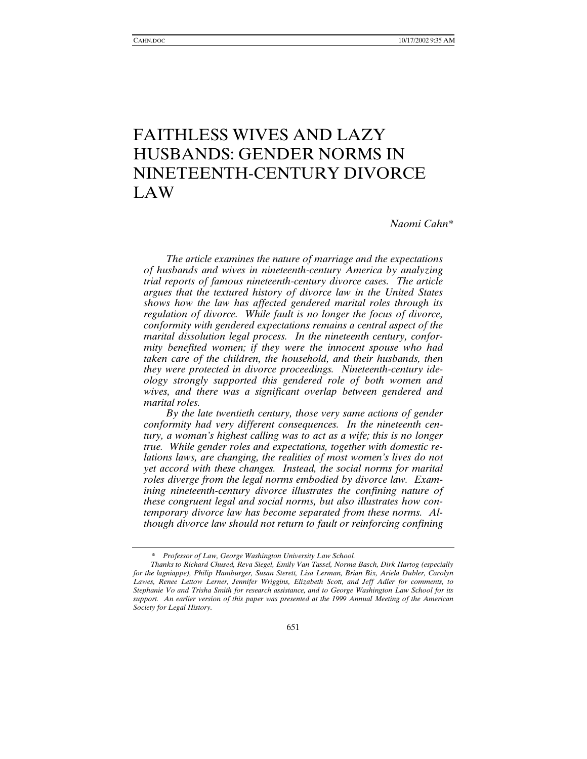# FAITHLESS WIVES AND LAZY HUSBANDS: GENDER NORMS IN NINETEENTH-CENTURY DIVORCE LAW

*Naomi Cahn\** 

*The article examines the nature of marriage and the expectations of husbands and wives in nineteenth-century America by analyzing trial reports of famous nineteenth-century divorce cases. The article argues that the textured history of divorce law in the United States shows how the law has affected gendered marital roles through its regulation of divorce. While fault is no longer the focus of divorce, conformity with gendered expectations remains a central aspect of the marital dissolution legal process. In the nineteenth century, conformity benefited women; if they were the innocent spouse who had taken care of the children, the household, and their husbands, then they were protected in divorce proceedings. Nineteenth-century ideology strongly supported this gendered role of both women and wives, and there was a significant overlap between gendered and marital roles.* 

*By the late twentieth century, those very same actions of gender conformity had very different consequences. In the nineteenth century, a woman's highest calling was to act as a wife; this is no longer true. While gender roles and expectations, together with domestic relations laws, are changing, the realities of most women's lives do not yet accord with these changes. Instead, the social norms for marital roles diverge from the legal norms embodied by divorce law. Examining nineteenth-century divorce illustrates the confining nature of these congruent legal and social norms, but also illustrates how contemporary divorce law has become separated from these norms. Although divorce law should not return to fault or reinforcing confining* 

 <sup>\*</sup> *Professor of Law, George Washington University Law School.* 

*Thanks to Richard Chused, Reva Siegel, Emily Van Tassel, Norma Basch, Dirk Hartog (especially for the lagniappe), Philip Hamburger, Susan Sterett, Lisa Lerman, Brian Bix, Ariela Dubler, Carolyn Lawes, Renee Lettow Lerner, Jennifer Wriggins, Elizabeth Scott, and Jeff Adler for comments, to Stephanie Vo and Trisha Smith for research assistance, and to George Washington Law School for its*  support. An earlier version of this paper was presented at the 1999 Annual Meeting of the American *Society for Legal History.*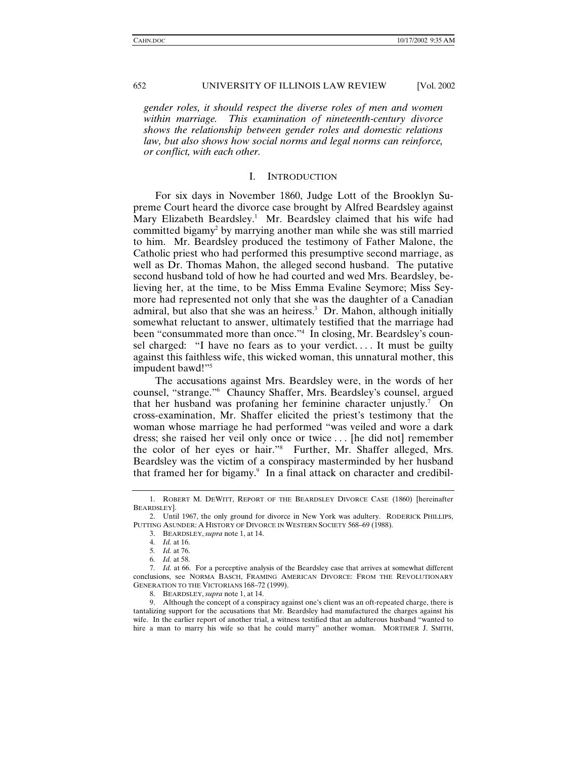*gender roles, it should respect the diverse roles of men and women within marriage. This examination of nineteenth-century divorce shows the relationship between gender roles and domestic relations law, but also shows how social norms and legal norms can reinforce, or conflict, with each other.* 

#### I. INTRODUCTION

For six days in November 1860, Judge Lott of the Brooklyn Supreme Court heard the divorce case brought by Alfred Beardsley against Mary Elizabeth Beardsley.<sup>1</sup> Mr. Beardsley claimed that his wife had committed bigamy<sup>2</sup> by marrying another man while she was still married to him. Mr. Beardsley produced the testimony of Father Malone, the Catholic priest who had performed this presumptive second marriage, as well as Dr. Thomas Mahon, the alleged second husband. The putative second husband told of how he had courted and wed Mrs. Beardsley, believing her, at the time, to be Miss Emma Evaline Seymore; Miss Seymore had represented not only that she was the daughter of a Canadian admiral, but also that she was an heiress.<sup>3</sup> Dr. Mahon, although initially somewhat reluctant to answer, ultimately testified that the marriage had been "consummated more than once."4 In closing, Mr. Beardsley's counsel charged: "I have no fears as to your verdict.... It must be guilty against this faithless wife, this wicked woman, this unnatural mother, this impudent bawd!"<sup>5</sup>

The accusations against Mrs. Beardsley were, in the words of her counsel, "strange."6 Chauncy Shaffer, Mrs. Beardsley's counsel, argued that her husband was profaning her feminine character unjustly.7 On cross-examination, Mr. Shaffer elicited the priest's testimony that the woman whose marriage he had performed "was veiled and wore a dark dress; she raised her veil only once or twice . . . [he did not] remember the color of her eyes or hair."8 Further, Mr. Shaffer alleged, Mrs. Beardsley was the victim of a conspiracy masterminded by her husband that framed her for bigamy.<sup>9</sup> In a final attack on character and credibil-

 <sup>1.</sup> ROBERT M. DEWITT, REPORT OF THE BEARDSLEY DIVORCE CASE (1860) [hereinafter BEARDSLEY].

 <sup>2.</sup> Until 1967, the only ground for divorce in New York was adultery. RODERICK PHILLIPS, PUTTING ASUNDER: A HISTORY OF DIVORCE IN WESTERN SOCIETY 568–69 (1988).

 <sup>3.</sup> BEARDSLEY,*supra* note 1, at 14.

<sup>4</sup>*. Id.* at 16.

<sup>5</sup>*. Id.* at 76.

<sup>6</sup>*. Id.* at 58.

<sup>7</sup>*. Id.* at 66. For a perceptive analysis of the Beardsley case that arrives at somewhat different conclusions, see NORMA BASCH, FRAMING AMERICAN DIVORCE: FROM THE REVOLUTIONARY GENERATION TO THE VICTORIANS 168–72 (1999).

 <sup>8.</sup> BEARDSLEY,*supra* note 1, at 14.

 <sup>9.</sup> Although the concept of a conspiracy against one's client was an oft-repeated charge, there is tantalizing support for the accusations that Mr. Beardsley had manufactured the charges against his wife. In the earlier report of another trial, a witness testified that an adulterous husband "wanted to hire a man to marry his wife so that he could marry" another woman. MORTIMER J. SMITH,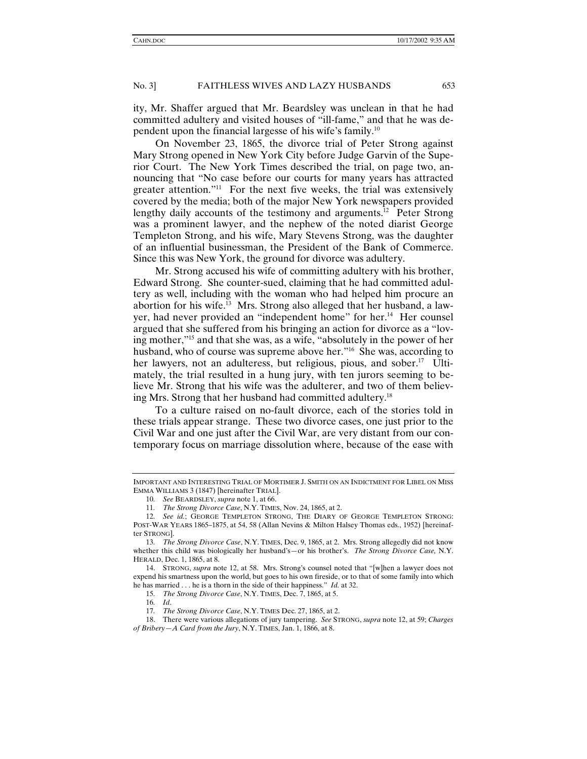ity, Mr. Shaffer argued that Mr. Beardsley was unclean in that he had committed adultery and visited houses of "ill-fame," and that he was dependent upon the financial largesse of his wife's family.10

On November 23, 1865, the divorce trial of Peter Strong against Mary Strong opened in New York City before Judge Garvin of the Superior Court. The New York Times described the trial, on page two, announcing that "No case before our courts for many years has attracted greater attention."11 For the next five weeks, the trial was extensively covered by the media; both of the major New York newspapers provided lengthy daily accounts of the testimony and arguments.<sup>12</sup> Peter Strong was a prominent lawyer, and the nephew of the noted diarist George Templeton Strong, and his wife, Mary Stevens Strong, was the daughter of an influential businessman, the President of the Bank of Commerce. Since this was New York, the ground for divorce was adultery.

Mr. Strong accused his wife of committing adultery with his brother, Edward Strong. She counter-sued, claiming that he had committed adultery as well, including with the woman who had helped him procure an abortion for his wife.<sup>13</sup> Mrs. Strong also alleged that her husband, a lawyer, had never provided an "independent home" for her.<sup>14</sup> Her counsel argued that she suffered from his bringing an action for divorce as a "loving mother,"15 and that she was, as a wife, "absolutely in the power of her husband, who of course was supreme above her."<sup>16</sup> She was, according to her lawyers, not an adulteress, but religious, pious, and sober.<sup>17</sup> Ultimately, the trial resulted in a hung jury, with ten jurors seeming to believe Mr. Strong that his wife was the adulterer, and two of them believing Mrs. Strong that her husband had committed adultery.18

To a culture raised on no-fault divorce, each of the stories told in these trials appear strange. These two divorce cases, one just prior to the Civil War and one just after the Civil War, are very distant from our contemporary focus on marriage dissolution where, because of the ease with

IMPORTANT AND INTERESTING TRIAL OF MORTIMER J. SMITH ON AN INDICTMENT FOR LIBEL ON MISS EMMA WILLIAMS 3 (1847) [hereinafter TRIAL].

<sup>10</sup>*. See* BEARDSLEY, *supra* note 1, at 66.

<sup>11</sup>*. The Strong Divorce Case*, N.Y. TIMES, Nov. 24, 1865, at 2.

<sup>12</sup>*. See id.*; GEORGE TEMPLETON STRONG, THE DIARY OF GEORGE TEMPLETON STRONG: POST-WAR YEARS 1865–1875, at 54, 58 (Allan Nevins & Milton Halsey Thomas eds., 1952) [hereinafter STRONG].

<sup>13</sup>*. The Strong Divorce Case*, N.Y. TIMES, Dec. 9, 1865, at 2. Mrs. Strong allegedly did not know whether this child was biologically her husband's—or his brother's. *The Strong Divorce Case,* N.Y. HERALD, Dec. 1, 1865, at 8.

 <sup>14.</sup> STRONG, *supra* note 12, at 58. Mrs. Strong's counsel noted that "[w]hen a lawyer does not expend his smartness upon the world, but goes to his own fireside, or to that of some family into which he has married . . . he is a thorn in the side of their happiness." *Id.* at 32.

<sup>15</sup>*. The Strong Divorce Case*, N.Y. TIMES, Dec. 7, 1865, at 5.

<sup>16</sup>*. Id*.

<sup>17</sup>*. The Strong Divorce Case*, N.Y. TIMES Dec. 27, 1865, at 2.

 <sup>18.</sup> There were various allegations of jury tampering. *See* STRONG, *supra* note 12, at 59; *Charges of Bribery—A Card from the Jury*, N.Y. TIMES, Jan. 1, 1866, at 8.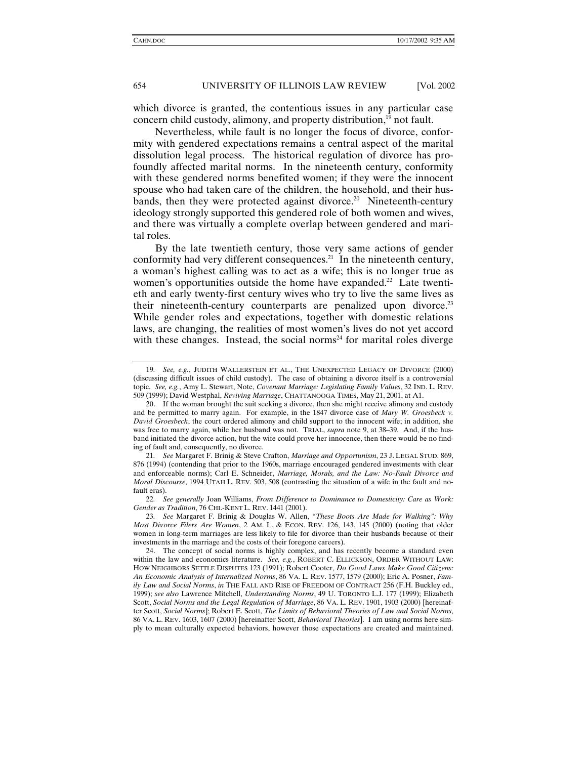which divorce is granted, the contentious issues in any particular case concern child custody, alimony, and property distribution,<sup>19</sup> not fault.

Nevertheless, while fault is no longer the focus of divorce, conformity with gendered expectations remains a central aspect of the marital dissolution legal process. The historical regulation of divorce has profoundly affected marital norms. In the nineteenth century, conformity with these gendered norms benefited women; if they were the innocent spouse who had taken care of the children, the household, and their husbands, then they were protected against divorce.<sup>20</sup> Nineteenth-century ideology strongly supported this gendered role of both women and wives, and there was virtually a complete overlap between gendered and marital roles.

By the late twentieth century, those very same actions of gender conformity had very different consequences.<sup>21</sup> In the nineteenth century, a woman's highest calling was to act as a wife; this is no longer true as women's opportunities outside the home have expanded.<sup>22</sup> Late twentieth and early twenty-first century wives who try to live the same lives as their nineteenth-century counterparts are penalized upon divorce.<sup>23</sup> While gender roles and expectations, together with domestic relations laws, are changing, the realities of most women's lives do not yet accord with these changes. Instead, the social norms<sup>24</sup> for marital roles diverge

22*. See generally* Joan Williams, *From Difference to Dominance to Domesticity: Care as Work: Gender as Tradition*, 76 CHI.-KENT L. REV. 1441 (2001).

<sup>19</sup>*. See, e.g.*, JUDITH WALLERSTEIN ET AL., THE UNEXPECTED LEGACY OF DIVORCE (2000) (discussing difficult issues of child custody). The case of obtaining a divorce itself is a controversial topic. *See, e.g.*, Amy L. Stewart, Note, *Covenant Marriage: Legislating Family Values*, 32 IND. L. REV. 509 (1999); David Westphal, *Reviving Marriage*, CHATTANOOGA TIMES, May 21, 2001, at A1.

 <sup>20.</sup> If the woman brought the suit seeking a divorce, then she might receive alimony and custody and be permitted to marry again. For example, in the 1847 divorce case of *Mary W. Groesbeck v. David Groesbeck*, the court ordered alimony and child support to the innocent wife; in addition, she was free to marry again, while her husband was not. TRIAL, *supra* note 9, at 38–39. And, if the husband initiated the divorce action, but the wife could prove her innocence, then there would be no finding of fault and, consequently, no divorce.

<sup>21</sup>*. See* Margaret F. Brinig & Steve Crafton, *Marriage and Opportunism*, 23 J. LEGAL STUD. 869, 876 (1994) (contending that prior to the 1960s, marriage encouraged gendered investments with clear and enforceable norms); Carl E. Schneider, *Marriage, Morals, and the Law: No-Fault Divorce and Moral Discourse*, 1994 UTAH L. REV. 503, 508 (contrasting the situation of a wife in the fault and nofault eras).

<sup>23</sup>*. See* Margaret F. Brinig & Douglas W. Allen, *"These Boots Are Made for Walking": Why Most Divorce Filers Are Women*, 2 AM. L. & ECON. REV. 126, 143, 145 (2000) (noting that older women in long-term marriages are less likely to file for divorce than their husbands because of their investments in the marriage and the costs of their foregone careers).

The concept of social norms is highly complex, and has recently become a standard even within the law and economics literature. *See, e.g.*, ROBERT C. ELLICKSON, ORDER WITHOUT LAW: HOW NEIGHBORS SETTLE DISPUTES 123 (1991); Robert Cooter, *Do Good Laws Make Good Citizens: An Economic Analysis of Internalized Norms*, 86 VA. L. REV. 1577, 1579 (2000); Eric A. Posner, *Family Law and Social Norms*, *in* THE FALL AND RISE OF FREEDOM OF CONTRACT 256 (F.H. Buckley ed., 1999); *see also* Lawrence Mitchell, *Understanding Norms*, 49 U. TORONTO L.J. 177 (1999); Elizabeth Scott, *Social Norms and the Legal Regulation of Marriage*, 86 VA. L. REV. 1901, 1903 (2000) [hereinafter Scott, *Social Norms*]; Robert E. Scott, *The Limits of Behavioral Theories of Law and Social Norms*, 86 VA. L. REV. 1603, 1607 (2000) [hereinafter Scott, *Behavioral Theories*]. I am using norms here simply to mean culturally expected behaviors, however those expectations are created and maintained.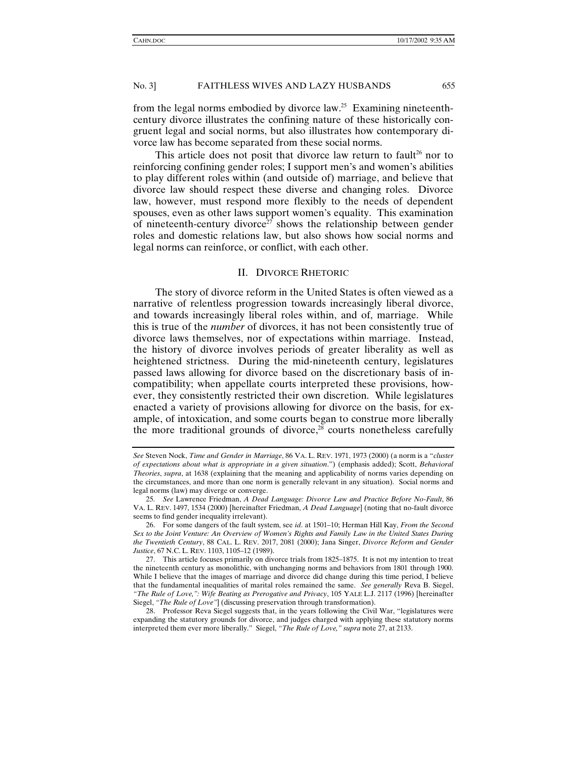from the legal norms embodied by divorce law.<sup>25</sup> Examining nineteenthcentury divorce illustrates the confining nature of these historically congruent legal and social norms, but also illustrates how contemporary divorce law has become separated from these social norms.

This article does not posit that divorce law return to fault<sup>26</sup> nor to reinforcing confining gender roles; I support men's and women's abilities to play different roles within (and outside of) marriage, and believe that divorce law should respect these diverse and changing roles. Divorce law, however, must respond more flexibly to the needs of dependent spouses, even as other laws support women's equality. This examination of nineteenth-century divorce<sup>27</sup> shows the relationship between gender roles and domestic relations law, but also shows how social norms and legal norms can reinforce, or conflict, with each other.

#### II. DIVORCE RHETORIC

The story of divorce reform in the United States is often viewed as a narrative of relentless progression towards increasingly liberal divorce, and towards increasingly liberal roles within, and of, marriage. While this is true of the *number* of divorces, it has not been consistently true of divorce laws themselves, nor of expectations within marriage. Instead, the history of divorce involves periods of greater liberality as well as heightened strictness. During the mid-nineteenth century, legislatures passed laws allowing for divorce based on the discretionary basis of incompatibility; when appellate courts interpreted these provisions, however, they consistently restricted their own discretion. While legislatures enacted a variety of provisions allowing for divorce on the basis, for example, of intoxication, and some courts began to construe more liberally the more traditional grounds of divorce, $28$  courts nonetheless carefully

*See* Steven Nock, *Time and Gender in Marriage*, 86 VA. L. REV. 1971, 1973 (2000) (a norm is a "*cluster of expectations about what is appropriate in a given situation*.") (emphasis added); Scott, *Behavioral Theories*, *supra*, at 1638 (explaining that the meaning and applicability of norms varies depending on the circumstances, and more than one norm is generally relevant in any situation). Social norms and legal norms (law) may diverge or converge.

<sup>25</sup>*. See* Lawrence Friedman, *A Dead Language: Divorce Law and Practice Before No-Fault*, 86 VA. L. REV. 1497, 1534 (2000) [hereinafter Friedman, *A Dead Language*] (noting that no-fault divorce seems to find gender inequality irrelevant).

 <sup>26.</sup> For some dangers of the fault system, see *id*. at 1501–10; Herman Hill Kay, *From the Second Sex to the Joint Venture: An Overview of Women's Rights and Family Law in the United States During the Twentieth Century*, 88 CAL. L. REV. 2017, 2081 (2000); Jana Singer, *Divorce Reform and Gender Justice*, 67 N.C. L. REV. 1103, 1105–12 (1989).

 <sup>27.</sup> This article focuses primarily on divorce trials from 1825–1875. It is not my intention to treat the nineteenth century as monolithic, with unchanging norms and behaviors from 1801 through 1900. While I believe that the images of marriage and divorce did change during this time period, I believe that the fundamental inequalities of marital roles remained the same. *See generally* Reva B. Siegel, *"The Rule of Love,": Wife Beating as Prerogative and Privacy*, 105 YALE L.J. 2117 (1996) [hereinafter Siegel, *"The Rule of Love"*] (discussing preservation through transformation).

 <sup>28.</sup> Professor Reva Siegel suggests that, in the years following the Civil War, "legislatures were expanding the statutory grounds for divorce, and judges charged with applying these statutory norms interpreted them ever more liberally." Siegel, *"The Rule of Love," supra* note 27, at 2133.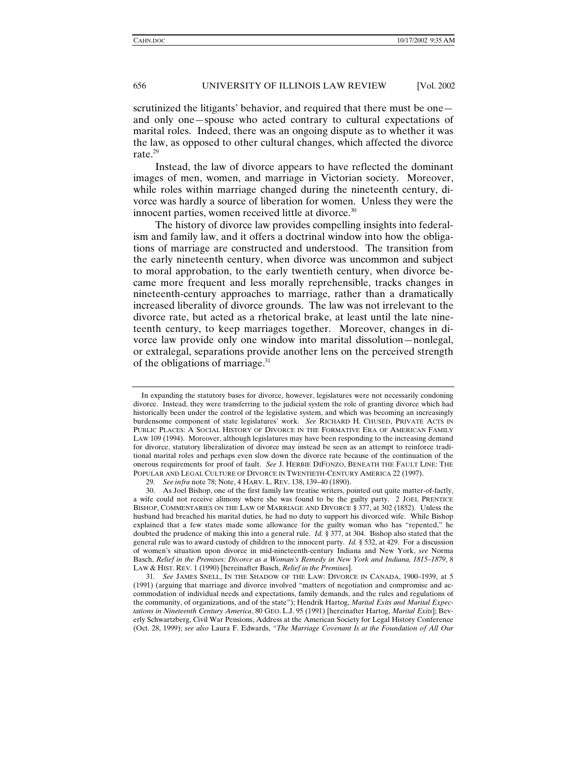scrutinized the litigants' behavior, and required that there must be one and only one—spouse who acted contrary to cultural expectations of marital roles. Indeed, there was an ongoing dispute as to whether it was the law, as opposed to other cultural changes, which affected the divorce rate.29

Instead, the law of divorce appears to have reflected the dominant images of men, women, and marriage in Victorian society. Moreover, while roles within marriage changed during the nineteenth century, divorce was hardly a source of liberation for women. Unless they were the innocent parties, women received little at divorce. $30$ 

The history of divorce law provides compelling insights into federalism and family law, and it offers a doctrinal window into how the obligations of marriage are constructed and understood. The transition from the early nineteenth century, when divorce was uncommon and subject to moral approbation, to the early twentieth century, when divorce became more frequent and less morally reprehensible, tracks changes in nineteenth-century approaches to marriage, rather than a dramatically increased liberality of divorce grounds. The law was not irrelevant to the divorce rate, but acted as a rhetorical brake, at least until the late nineteenth century, to keep marriages together. Moreover, changes in divorce law provide only one window into marital dissolution—nonlegal, or extralegal, separations provide another lens on the perceived strength of the obligations of marriage.<sup>31</sup>

In expanding the statutory bases for divorce, however, legislatures were not necessarily condoning divorce. Instead, they were transferring to the judicial system the role of granting divorce which had historically been under the control of the legislative system, and which was becoming an increasingly burdensome component of state legislatures' work. *See* RICHARD H. CHUSED, PRIVATE ACTS IN PUBLIC PLACES: A SOCIAL HISTORY OF DIVORCE IN THE FORMATIVE ERA OF AMERICAN FAMILY LAW 109 (1994). Moreover, although legislatures may have been responding to the increasing demand for divorce, statutory liberalization of divorce may instead be seen as an attempt to reinforce traditional marital roles and perhaps even slow down the divorce rate because of the continuation of the onerous requirements for proof of fault. *See* J. HERBIE DIFONZO, BENEATH THE FAULT LINE: THE POPULAR AND LEGAL CULTURE OF DIVORCE IN TWENTIETH-CENTURY AMERICA 22 (1997).

<sup>29</sup>*. See infra* note 78; Note, 4 HARV. L. REV. 138, 139–40 (1890).

 <sup>30.</sup> As Joel Bishop, one of the first family law treatise writers, pointed out quite matter-of-factly, a wife could not receive alimony where she was found to be the guilty party. 2 JOEL PRENTICE BISHOP, COMMENTARIES ON THE LAW OF MARRIAGE AND DIVORCE § 377, at 302 (1852). Unless the husband had breached his marital duties, he had no duty to support his divorced wife. While Bishop explained that a few states made some allowance for the guilty woman who has "repented," he doubted the prudence of making this into a general rule. *Id.* § 377, at 304. Bishop also stated that the general rule was to award custody of children to the innocent party. *Id.* § 532, at 429. For a discussion of women's situation upon divorce in mid-nineteenth-century Indiana and New York, *see* Norma Basch, *Relief in the Premises: Divorce as a Woman's Remedy in New York and Indiana, 1815–1879*, 8 LAW & HIST. REV. 1 (1990) [hereinafter Basch, *Relief in the Premises*].

<sup>31</sup>*. See* JAMES SNELL, IN THE SHADOW OF THE LAW: DIVORCE IN CANADA, 1900–1939, at 5 (1991) (arguing that marriage and divorce involved "matters of negotiation and compromise and accommodation of individual needs and expectations, family demands, and the rules and regulations of the community, of organizations, and of the state"); Hendrik Hartog, *Marital Exits and Marital Expectations in Nineteenth Century America*, 80 GEO. L.J. 95 (1991) [hereinafter Hartog, *Marital Exits*]; Beverly Schwartzberg, Civil War Pensions, Address at the American Society for Legal History Conference (Oct. 28, 1999); *see also* Laura F. Edwards, *"The Marriage Covenant Is at the Foundation of All Our*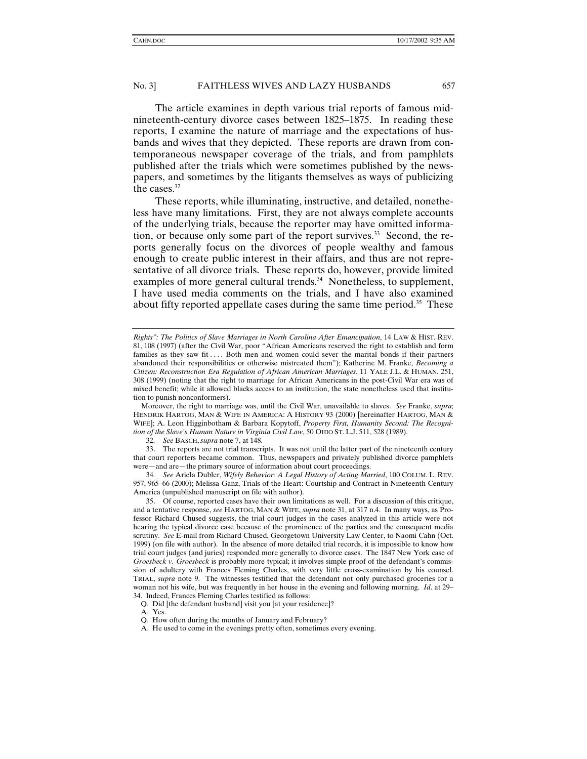The article examines in depth various trial reports of famous midnineteenth-century divorce cases between 1825–1875. In reading these reports, I examine the nature of marriage and the expectations of husbands and wives that they depicted. These reports are drawn from contemporaneous newspaper coverage of the trials, and from pamphlets published after the trials which were sometimes published by the newspapers, and sometimes by the litigants themselves as ways of publicizing the cases.<sup>32</sup>

These reports, while illuminating, instructive, and detailed, nonetheless have many limitations. First, they are not always complete accounts of the underlying trials, because the reporter may have omitted information, or because only some part of the report survives.<sup>33</sup> Second, the reports generally focus on the divorces of people wealthy and famous enough to create public interest in their affairs, and thus are not representative of all divorce trials. These reports do, however, provide limited examples of more general cultural trends.<sup>34</sup> Nonetheless, to supplement, I have used media comments on the trials, and I have also examined about fifty reported appellate cases during the same time period.<sup>35</sup> These

Moreover, the right to marriage was, until the Civil War, unavailable to slaves. *See* Franke, *supra*; HENDRIK HARTOG, MAN & WIFE IN AMERICA: A HISTORY 93 (2000) [hereinafter HARTOG, MAN & WIFE]; A. Leon Higginbotham & Barbara Kopytoff, *Property First, Humanity Second: The Recognition of the Slave's Human Nature in Virginia Civil Law*, 50 OHIO ST. L.J. 511, 528 (1989).

32*. See* BASCH,*supra* note 7, at 148.

 33. The reports are not trial transcripts. It was not until the latter part of the nineteenth century that court reporters became common. Thus, newspapers and privately published divorce pamphlets were—and are—the primary source of information about court proceedings.

34*. See* Ariela Dubler, *Wifely Behavior: A Legal History of Acting Married*, 100 COLUM. L. REV. 957, 965–66 (2000); Melissa Ganz, Trials of the Heart: Courtship and Contract in Nineteenth Century America (unpublished manuscript on file with author).

 35. Of course, reported cases have their own limitations as well. For a discussion of this critique, and a tentative response, *see* HARTOG, MAN & WIFE, *supra* note 31, at 317 n.4. In many ways, as Professor Richard Chused suggests, the trial court judges in the cases analyzed in this article were not hearing the typical divorce case because of the prominence of the parties and the consequent media scrutiny. *See* E-mail from Richard Chused, Georgetown University Law Center, to Naomi Cahn (Oct. 1999) (on file with author). In the absence of more detailed trial records, it is impossible to know how trial court judges (and juries) responded more generally to divorce cases. The 1847 New York case of *Groesbeck v. Groesbeck* is probably more typical; it involves simple proof of the defendant's commission of adultery with Frances Fleming Charles, with very little cross-examination by his counsel. TRIAL, *supra* note 9. The witnesses testified that the defendant not only purchased groceries for a woman not his wife, but was frequently in her house in the evening and following morning. *Id*. at 29– 34. Indeed, Frances Fleming Charles testified as follows:

Q. Did [the defendant husband] visit you [at your residence]?

A. Yes.

- Q. How often during the months of January and February?
- A. He used to come in the evenings pretty often, sometimes every evening.

*Rights": The Politics of Slave Marriages in North Carolina After Emancipation*, 14 LAW & HIST. REV. 81, 108 (1997) (after the Civil War, poor "African Americans reserved the right to establish and form families as they saw fit .... Both men and women could sever the marital bonds if their partners abandoned their responsibilities or otherwise mistreated them"); Katherine M. Franke, *Becoming a Citizen: Reconstruction Era Regulation of African American Marriages*, 11 YALE J.L. & HUMAN. 251, 308 (1999) (noting that the right to marriage for African Americans in the post-Civil War era was of mixed benefit; while it allowed blacks access to an institution, the state nonetheless used that institution to punish nonconformers).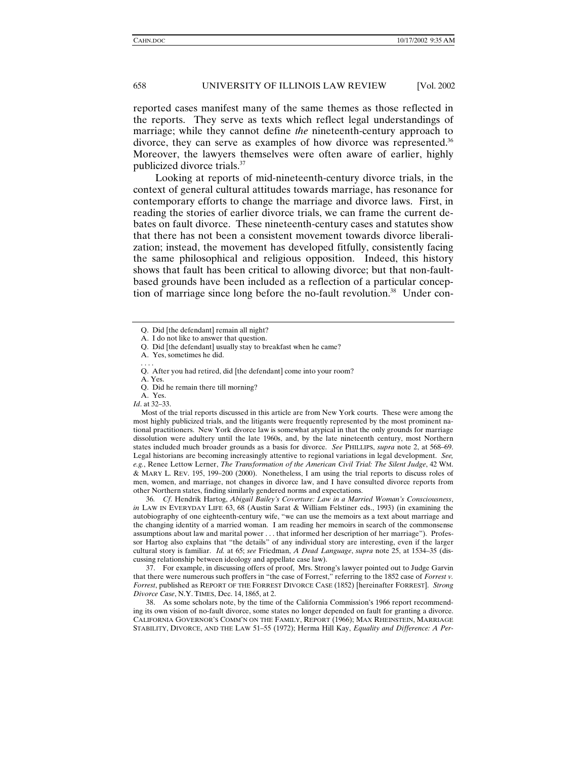reported cases manifest many of the same themes as those reflected in the reports. They serve as texts which reflect legal understandings of marriage; while they cannot define *the* nineteenth-century approach to divorce, they can serve as examples of how divorce was represented.<sup>36</sup> Moreover, the lawyers themselves were often aware of earlier, highly publicized divorce trials.37

Looking at reports of mid-nineteenth-century divorce trials, in the context of general cultural attitudes towards marriage, has resonance for contemporary efforts to change the marriage and divorce laws. First, in reading the stories of earlier divorce trials, we can frame the current debates on fault divorce. These nineteenth-century cases and statutes show that there has not been a consistent movement towards divorce liberalization; instead, the movement has developed fitfully, consistently facing the same philosophical and religious opposition. Indeed, this history shows that fault has been critical to allowing divorce; but that non-faultbased grounds have been included as a reflection of a particular conception of marriage since long before the no-fault revolution.<sup>38</sup> Under con-

Most of the trial reports discussed in this article are from New York courts. These were among the most highly publicized trials, and the litigants were frequently represented by the most prominent national practitioners. New York divorce law is somewhat atypical in that the only grounds for marriage dissolution were adultery until the late 1960s, and, by the late nineteenth century, most Northern states included much broader grounds as a basis for divorce. *See* PHILLIPS, *supra* note 2, at 568–69. Legal historians are becoming increasingly attentive to regional variations in legal development. *See, e.g.*, Renee Lettow Lerner, *The Transformation of the American Civil Trial: The Silent Judge*, 42 WM. & MARY L. REV. 195, 199–200 (2000). Nonetheless, I am using the trial reports to discuss roles of men, women, and marriage, not changes in divorce law, and I have consulted divorce reports from other Northern states, finding similarly gendered norms and expectations.

36*. Cf*. Hendrik Hartog, *Abigail Bailey's Coverture: Law in a Married Woman's Consciousness*, *in* LAW IN EVERYDAY LIFE 63, 68 (Austin Sarat & William Felstiner eds., 1993) (in examining the autobiography of one eighteenth-century wife, "we can use the memoirs as a text about marriage and the changing identity of a married woman. I am reading her memoirs in search of the commonsense assumptions about law and marital power . . . that informed her description of her marriage"). Professor Hartog also explains that "the details" of any individual story are interesting, even if the larger cultural story is familiar. *Id.* at 65; *see* Friedman, *A Dead Language*, *supra* note 25, at 1534–35 (discussing relationship between ideology and appellate case law).

 37. For example, in discussing offers of proof, Mrs. Strong's lawyer pointed out to Judge Garvin that there were numerous such proffers in "the case of Forrest," referring to the 1852 case of *Forrest v. Forrest*, published as REPORT OF THE FORREST DIVORCE CASE (1852) [hereinafter FORREST]. *Strong Divorce Case*, N.Y. TIMES, Dec. 14, 1865, at 2.

 38. As some scholars note, by the time of the California Commission's 1966 report recommending its own vision of no-fault divorce, some states no longer depended on fault for granting a divorce. CALIFORNIA GOVERNOR'S COMM'N ON THE FAMILY, REPORT (1966); MAX RHEINSTEIN, MARRIAGE STABILITY, DIVORCE, AND THE LAW 51–55 (1972); Herma Hill Kay, *Equality and Difference: A Per-*

Q. Did [the defendant] remain all night?

A. I do not like to answer that question.

Q. Did [the defendant] usually stay to breakfast when he came?

A. Yes, sometimes he did.

<sup>. . . .</sup>  Q. After you had retired, did [the defendant] come into your room?

A. Yes.

Q. Did he remain there till morning?

A. Yes.

*Id*. at 32–33.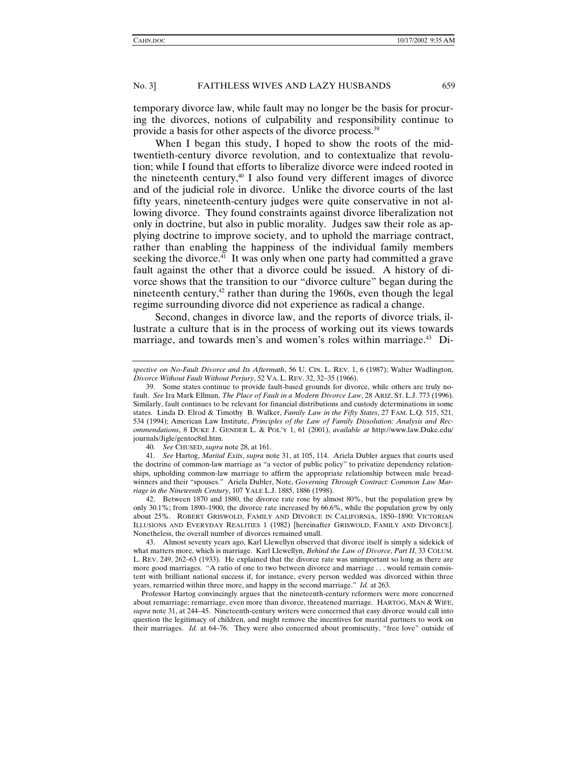temporary divorce law, while fault may no longer be the basis for procuring the divorces, notions of culpability and responsibility continue to provide a basis for other aspects of the divorce process.39

When I began this study, I hoped to show the roots of the midtwentieth-century divorce revolution, and to contextualize that revolution; while I found that efforts to liberalize divorce were indeed rooted in the nineteenth century,<sup>40</sup> I also found very different images of divorce and of the judicial role in divorce. Unlike the divorce courts of the last fifty years, nineteenth-century judges were quite conservative in not allowing divorce. They found constraints against divorce liberalization not only in doctrine, but also in public morality. Judges saw their role as applying doctrine to improve society, and to uphold the marriage contract, rather than enabling the happiness of the individual family members seeking the divorce.<sup>41</sup> It was only when one party had committed a grave fault against the other that a divorce could be issued. A history of divorce shows that the transition to our "divorce culture" began during the nineteenth century, $42$  rather than during the 1960s, even though the legal regime surrounding divorce did not experience as radical a change.

Second, changes in divorce law, and the reports of divorce trials, illustrate a culture that is in the process of working out its views towards marriage, and towards men's and women's roles within marriage.<sup>43</sup> Di-

40*. See* CHUSED, *supra* note 28, at 161.

41*. See* Hartog, *Marital Exits*, *supra* note 31, at 105, 114. Ariela Dubler argues that courts used the doctrine of common-law marriage as "a vector of public policy" to privatize dependency relationships, upholding common-law marriage to affirm the appropriate relationship between male breadwinners and their "spouses." Ariela Dubler, Note, *Governing Through Contract: Common Law Marriage in the Nineteenth Century*, 107 YALE L.J. 1885, 1886 (1998).

 42. Between 1870 and 1880, the divorce rate rose by almost 80%, but the population grew by only 30.1%; from 1890–1900, the divorce rate increased by 66.6%, while the population grew by only about 25%. ROBERT GRISWOLD, FAMILY AND DIVORCE IN CALIFORNIA, 1850–1890: VICTORIAN ILLUSIONS AND EVERYDAY REALITIES 1 (1982) [hereinafter GRISWOLD, FAMILY AND DIVORCE]. Nonetheless, the overall number of divorces remained small.

 43. Almost seventy years ago, Karl Llewellyn observed that divorce itself is simply a sidekick of what matters more, which is marriage. Karl Llewellyn, *Behind the Law of Divorce*, *Part II*, 33 COLUM. L. REV. 249, 262–63 (1933). He explained that the divorce rate was unimportant so long as there are more good marriages. "A ratio of one to two between divorce and marriage . . . would remain consistent with brilliant national success if, for instance, every person wedded was divorced within three years, remarried within three more, and happy in the second marriage." *Id.* at 263.

Professor Hartog convincingly argues that the nineteenth-century reformers were more concerned about remarriage; remarriage, even more than divorce, threatened marriage. HARTOG, MAN & WIFE, *supra* note 31, at 244–45. Nineteenth-century writers were concerned that easy divorce would call into question the legitimacy of children, and might remove the incentives for marital partners to work on their marriages. *Id.* at 64–76. They were also concerned about promiscuity, "free love" outside of

*spective on No-Fault Divorce and Its Aftermath*, 56 U. CIN. L. REV. 1, 6 (1987); Walter Wadlington, *Divorce Without Fault Without Perjury*, 52 VA. L. REV. 32, 32–35 (1966).

 <sup>39.</sup> Some states continue to provide fault-based grounds for divorce, while others are truly nofault. *See* Ira Mark Ellman, *The Place of Fault in a Modern Divorce Law*, 28 ARIZ. ST. L.J. 773 (1996). Similarly, fault continues to be relevant for financial distributions and custody determinations in some states. Linda D. Elrod & Timothy B. Walker, *Family Law in the Fifty States*, 27 FAM. L.Q. 515, 521, 534 (1994); American Law Institute, *Principles of the Law of Family Dissolution: Analysis and Recommendations*, 8 DUKE J. GENDER L. & POL'Y 1, 61 (2001), *available at* http://www.law.Duke.edu/ journals/Jigle/gentoc8nl.htm.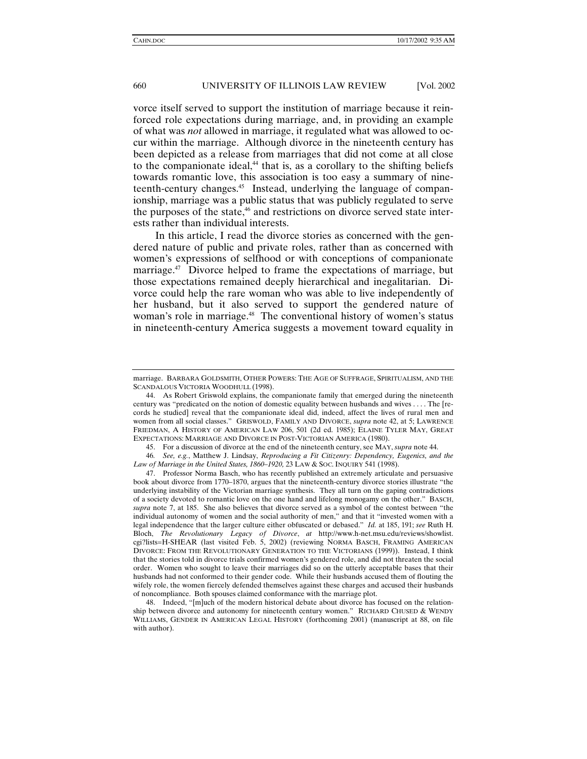vorce itself served to support the institution of marriage because it reinforced role expectations during marriage, and, in providing an example of what was *not* allowed in marriage, it regulated what was allowed to occur within the marriage. Although divorce in the nineteenth century has been depicted as a release from marriages that did not come at all close to the companionate ideal,<sup>44</sup> that is, as a corollary to the shifting beliefs towards romantic love, this association is too easy a summary of nineteenth-century changes.45 Instead, underlying the language of companionship, marriage was a public status that was publicly regulated to serve the purposes of the state,<sup>46</sup> and restrictions on divorce served state interests rather than individual interests.

In this article, I read the divorce stories as concerned with the gendered nature of public and private roles, rather than as concerned with women's expressions of selfhood or with conceptions of companionate marriage.<sup>47</sup> Divorce helped to frame the expectations of marriage, but those expectations remained deeply hierarchical and inegalitarian. Divorce could help the rare woman who was able to live independently of her husband, but it also served to support the gendered nature of woman's role in marriage.<sup>48</sup> The conventional history of women's status in nineteenth-century America suggests a movement toward equality in

marriage. BARBARA GOLDSMITH, OTHER POWERS: THE AGE OF SUFFRAGE, SPIRITUALISM, AND THE SCANDALOUS VICTORIA WOODHULL (1998).

 <sup>44.</sup> As Robert Griswold explains, the companionate family that emerged during the nineteenth century was "predicated on the notion of domestic equality between husbands and wives . . . . The [records he studied] reveal that the companionate ideal did, indeed, affect the lives of rural men and women from all social classes." GRISWOLD, FAMILY AND DIVORCE, *supra* note 42, at 5; LAWRENCE FRIEDMAN, A HISTORY OF AMERICAN LAW 206, 501 (2d ed. 1985); ELAINE TYLER MAY, GREAT EXPECTATIONS: MARRIAGE AND DIVORCE IN POST-VICTORIAN AMERICA (1980).

 <sup>45.</sup> For a discussion of divorce at the end of the nineteenth century, see MAY, *supra* note 44.

<sup>46</sup>*. See, e.g.*, Matthew J. Lindsay, *Reproducing a Fit Citizenry: Dependency, Eugenics, and the Law of Marriage in the United States, 1860–1920,* 23 LAW & SOC.INQUIRY 541 (1998).

 <sup>47.</sup> Professor Norma Basch, who has recently published an extremely articulate and persuasive book about divorce from 1770–1870, argues that the nineteenth-century divorce stories illustrate "the underlying instability of the Victorian marriage synthesis. They all turn on the gaping contradictions of a society devoted to romantic love on the one hand and lifelong monogamy on the other." BASCH, *supra* note 7, at 185. She also believes that divorce served as a symbol of the contest between "the individual autonomy of women and the social authority of men," and that it "invested women with a legal independence that the larger culture either obfuscated or debased." *Id.* at 185, 191; *see* Ruth H. Bloch, *The Revolutionary Legacy of Divorce*, *at* http://www.h-net.msu.edu/reviews/showlist. cgi?lists=H-SHEAR (last visited Feb. 5, 2002) (reviewing NORMA BASCH, FRAMING AMERICAN DIVORCE: FROM THE REVOLUTIONARY GENERATION TO THE VICTORIANS (1999)). Instead, I think that the stories told in divorce trials confirmed women's gendered role, and did not threaten the social order. Women who sought to leave their marriages did so on the utterly acceptable bases that their husbands had not conformed to their gender code. While their husbands accused them of flouting the wifely role, the women fiercely defended themselves against these charges and accused their husbands of noncompliance. Both spouses claimed conformance with the marriage plot.

 <sup>48.</sup> Indeed, "[m]uch of the modern historical debate about divorce has focused on the relationship between divorce and autonomy for nineteenth century women." RICHARD CHUSED & WENDY WILLIAMS, GENDER IN AMERICAN LEGAL HISTORY (forthcoming 2001) (manuscript at 88, on file with author).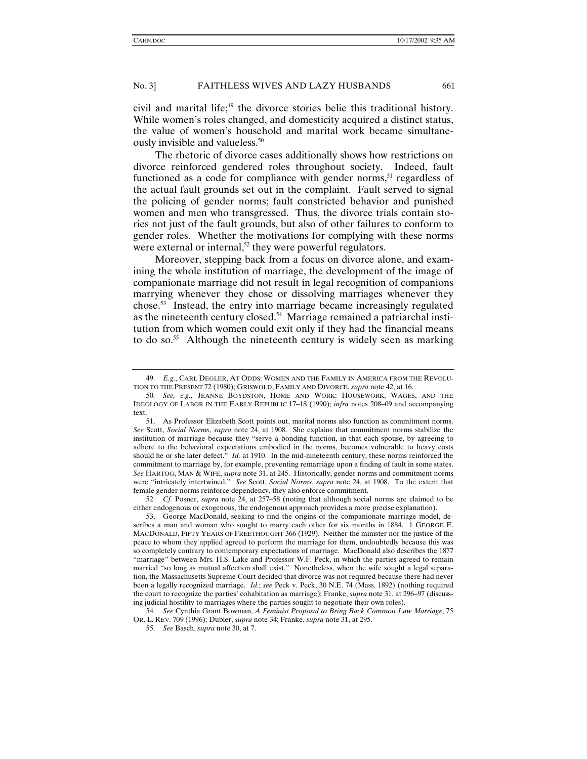civil and marital life;<sup>49</sup> the divorce stories belie this traditional history. While women's roles changed, and domesticity acquired a distinct status, the value of women's household and marital work became simultaneously invisible and valueless.<sup>50</sup>

The rhetoric of divorce cases additionally shows how restrictions on divorce reinforced gendered roles throughout society. Indeed, fault functioned as a code for compliance with gender norms,<sup>51</sup> regardless of the actual fault grounds set out in the complaint. Fault served to signal the policing of gender norms; fault constricted behavior and punished women and men who transgressed. Thus, the divorce trials contain stories not just of the fault grounds, but also of other failures to conform to gender roles. Whether the motivations for complying with these norms were external or internal,<sup>52</sup> they were powerful regulators.

Moreover, stepping back from a focus on divorce alone, and examining the whole institution of marriage, the development of the image of companionate marriage did not result in legal recognition of companions marrying whenever they chose or dissolving marriages whenever they chose.53 Instead, the entry into marriage became increasingly regulated as the nineteenth century closed.54 Marriage remained a patriarchal institution from which women could exit only if they had the financial means to do so.<sup>55</sup> Although the nineteenth century is widely seen as marking

52*. Cf.* Posner, *supra* note 24, at 257–58 (noting that although social norms are claimed to be either endogenous or exogenous, the endogenous approach provides a more precise explanation).

54*. See* Cynthia Grant Bowman, *A Feminist Proposal to Bring Back Common Law Marriage*, 75 OR. L. REV. 709 (1996); Dubler, *supra* note 34; Franke, *supra* note 31, at 295.

<sup>49</sup>*. E.g.*, CARL DEGLER, AT ODDS: WOMEN AND THE FAMILY IN AMERICA FROM THE REVOLU-TION TO THE PRESENT 72 (1980); GRISWOLD, FAMILY AND DIVORCE, *supra* note 42, at 16.

<sup>50</sup>*. See, e.g.*, JEANNE BOYDSTON, HOME AND WORK: HOUSEWORK, WAGES, AND THE IDEOLOGY OF LABOR IN THE EARLY REPUBLIC 17–18 (1990); *infra* notes 208–09 and accompanying text.

 <sup>51.</sup> As Professor Elizabeth Scott points out, marital norms also function as commitment norms. *See* Scott, *Social Norms*, *supra* note 24, at 1908. She explains that commitment norms stabilize the institution of marriage because they "serve a bonding function, in that each spouse, by agreeing to adhere to the behavioral expectations embodied in the norms, becomes vulnerable to heavy costs should he or she later defect." *Id.* at 1910. In the mid-nineteenth century, these norms reinforced the commitment to marriage by, for example, preventing remarriage upon a finding of fault in some states. *See* HARTOG, MAN & WIFE, *supra* note 31, at 245. Historically, gender norms and commitment norms were "intricately intertwined." *See* Scott, *Social Norms*, *supra* note 24, at 1908. To the extent that female gender norms reinforce dependency, they also enforce commitment.

 <sup>53.</sup> George MacDonald, seeking to find the origins of the companionate marriage model, describes a man and woman who sought to marry each other for six months in 1884. 1 GEORGE E. MACDONALD, FIFTY YEARS OF FREETHOUGHT 366 (1929). Neither the minister nor the justice of the peace to whom they applied agreed to perform the marriage for them, undoubtedly because this was so completely contrary to contemporary expectations of marriage. MacDonald also describes the 1877 "marriage" between Mrs. H.S. Lake and Professor W.F. Peck, in which the parties agreed to remain married "so long as mutual affection shall exist." Nonetheless, when the wife sought a legal separation, the Massachusetts Supreme Court decided that divorce was not required because there had never been a legally recognized marriage. *Id.*; *see* Peck v. Peck, 30 N.E. 74 (Mass. 1892) (nothing required the court to recognize the parties' cohabitation as marriage); Franke, *supra* note 31, at 296–97 (discussing judicial hostility to marriages where the parties sought to negotiate their own roles).

<sup>55</sup>*. See* Basch, *supra* note 30, at 7.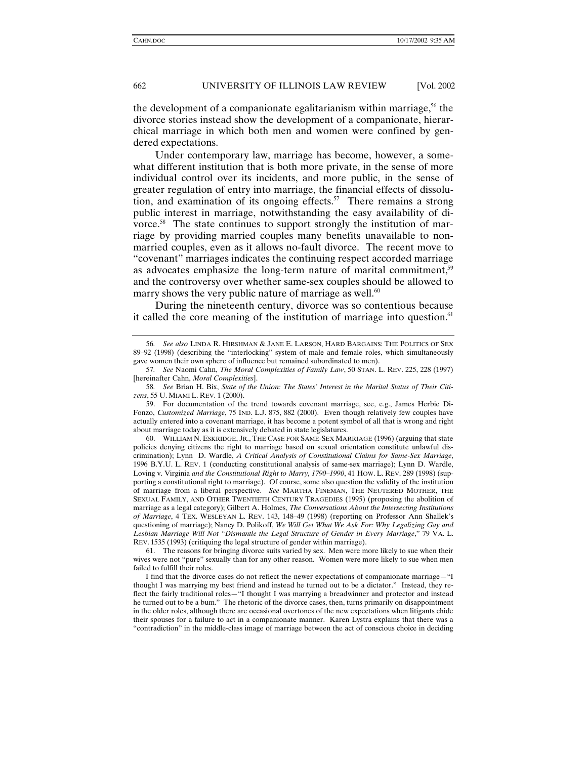the development of a companionate egalitarianism within marriage,  $56$  the divorce stories instead show the development of a companionate, hierarchical marriage in which both men and women were confined by gendered expectations.

Under contemporary law, marriage has become, however, a somewhat different institution that is both more private, in the sense of more individual control over its incidents, and more public, in the sense of greater regulation of entry into marriage, the financial effects of dissolution, and examination of its ongoing effects.<sup>57</sup> There remains a strong public interest in marriage, notwithstanding the easy availability of divorce.<sup>58</sup> The state continues to support strongly the institution of marriage by providing married couples many benefits unavailable to nonmarried couples, even as it allows no-fault divorce. The recent move to "covenant" marriages indicates the continuing respect accorded marriage as advocates emphasize the long-term nature of marital commitment,59 and the controversy over whether same-sex couples should be allowed to marry shows the very public nature of marriage as well.<sup>60</sup>

During the nineteenth century, divorce was so contentious because it called the core meaning of the institution of marriage into question.<sup>61</sup>

 60. WILLIAM N. ESKRIDGE, JR., THE CASE FOR SAME-SEX MARRIAGE (1996) (arguing that state policies denying citizens the right to marriage based on sexual orientation constitute unlawful discrimination); Lynn D. Wardle, *A Critical Analysis of Constitutional Claims for Same-Sex Marriage*, 1996 B.Y.U. L. REV. 1 (conducting constitutional analysis of same-sex marriage); Lynn D. Wardle, Loving v. Virginia *and the Constitutional Right to Marry, 1790–1990*, 41 HOW. L. REV. 289 (1998) (supporting a constitutional right to marriage). Of course, some also question the validity of the institution of marriage from a liberal perspective. *See* MARTHA FINEMAN, THE NEUTERED MOTHER, THE SEXUAL FAMILY, AND OTHER TWENTIETH CENTURY TRAGEDIES (1995) (proposing the abolition of marriage as a legal category); Gilbert A. Holmes, *The Conversations About the Intersecting Institutions of Marriage*, 4 TEX. WESLEYAN L. REV. 143, 148–49 (1998) (reporting on Professor Ann Shallek's questioning of marriage); Nancy D. Polikoff, *We Will Get What We Ask For: Why Legalizing Gay and Lesbian Marriage Will Not "Dismantle the Legal Structure of Gender in Every Marriage*," 79 VA. L. REV. 1535 (1993) (critiquing the legal structure of gender within marriage).

 61. The reasons for bringing divorce suits varied by sex. Men were more likely to sue when their wives were not "pure" sexually than for any other reason. Women were more likely to sue when men failed to fulfill their roles.

I find that the divorce cases do not reflect the newer expectations of companionate marriage—"I thought I was marrying my best friend and instead he turned out to be a dictator." Instead, they reflect the fairly traditional roles—"I thought I was marrying a breadwinner and protector and instead he turned out to be a bum." The rhetoric of the divorce cases, then, turns primarily on disappointment in the older roles, although there are occasional overtones of the new expectations when litigants chide their spouses for a failure to act in a companionate manner. Karen Lystra explains that there was a "contradiction" in the middle-class image of marriage between the act of conscious choice in deciding

<sup>56</sup>*. See also* LINDA R. HIRSHMAN & JANE E. LARSON, HARD BARGAINS: THE POLITICS OF SEX 89–92 (1998) (describing the "interlocking" system of male and female roles, which simultaneously gave women their own sphere of influence but remained subordinated to men).

<sup>57</sup>*. See* Naomi Cahn, *The Moral Complexities of Family Law*, 50 STAN. L. REV. 225, 228 (1997) [hereinafter Cahn, *Moral Complexities*].

<sup>58</sup>*. See* Brian H. Bix, *State of the Union: The States' Interest in the Marital Status of Their Citizens*, 55 U. MIAMI L. REV. 1 (2000).

 <sup>59.</sup> For documentation of the trend towards covenant marriage, see, e.g., James Herbie Di-Fonzo, *Customized Marriage*, 75 IND. L.J. 875, 882 (2000). Even though relatively few couples have actually entered into a covenant marriage, it has become a potent symbol of all that is wrong and right about marriage today as it is extensively debated in state legislatures.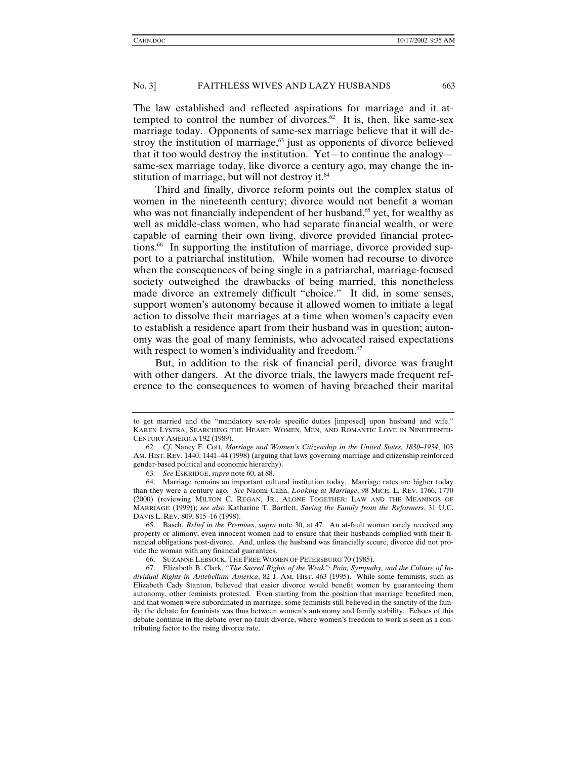The law established and reflected aspirations for marriage and it attempted to control the number of divorces.<sup>62</sup> It is, then, like same-sex marriage today. Opponents of same-sex marriage believe that it will destroy the institution of marriage, $63$  just as opponents of divorce believed that it too would destroy the institution. Yet—to continue the analogy same-sex marriage today, like divorce a century ago, may change the institution of marriage, but will not destroy it.<sup>64</sup>

Third and finally, divorce reform points out the complex status of women in the nineteenth century; divorce would not benefit a woman who was not financially independent of her husband, $65$  yet, for wealthy as well as middle-class women, who had separate financial wealth, or were capable of earning their own living, divorce provided financial protections.<sup>66</sup> In supporting the institution of marriage, divorce provided support to a patriarchal institution. While women had recourse to divorce when the consequences of being single in a patriarchal, marriage-focused society outweighed the drawbacks of being married, this nonetheless made divorce an extremely difficult "choice." It did, in some senses, support women's autonomy because it allowed women to initiate a legal action to dissolve their marriages at a time when women's capacity even to establish a residence apart from their husband was in question; autonomy was the goal of many feminists, who advocated raised expectations with respect to women's individuality and freedom.<sup>67</sup>

But, in addition to the risk of financial peril, divorce was fraught with other dangers. At the divorce trials, the lawyers made frequent reference to the consequences to women of having breached their marital

to get married and the "mandatory sex-role specific duties [imposed] upon husband and wife." KAREN LYSTRA, SEARCHING THE HEART: WOMEN, MEN, AND ROMANTIC LOVE IN NINETEENTH-CENTURY AMERICA 192 (1989).

<sup>62</sup>*. Cf*. Nancy F. Cott, *Marriage and Women's Citizenship in the United States, 1830–1934*, 103 AM. HIST. REV. 1440, 1441–44 (1998) (arguing that laws governing marriage and citizenship reinforced gender-based political and economic hierarchy).

<sup>63</sup>*. See* ESKRIDGE, *supra* note 60, at 88.

 <sup>64.</sup> Marriage remains an important cultural institution today. Marriage rates are higher today than they were a century ago. *See* Naomi Cahn, *Looking at Marriage*, 98 MICH. L. REV. 1766, 1770 (2000) (reviewing MILTON C. REGAN, JR., ALONE TOGETHER: LAW AND THE MEANINGS OF MARRIAGE (1999)); *see also* Katharine T. Bartlett, *Saving the Family from the Reformers*, 31 U.C. DAVIS L. REV. 809, 815–16 (1998).

 <sup>65.</sup> Basch, *Relief in the Premises*, *supra* note 30, at 47. An at-fault woman rarely received any property or alimony; even innocent women had to ensure that their husbands complied with their financial obligations post-divorce. And, unless the husband was financially secure, divorce did not provide the woman with any financial guarantees.

 <sup>66.</sup> SUZANNE LEBSOCK, THE FREE WOMEN OF PETERSBURG 70 (1985).

 <sup>67.</sup> Elizabeth B. Clark, *"The Sacred Rights of the Weak": Pain, Sympathy, and the Culture of Individual Rights in Antebellum America*, 82 J. AM. HIST. 463 (1995). While some feminists, such as Elizabeth Cady Stanton, believed that easier divorce would benefit women by guaranteeing them autonomy, other feminists protested. Even starting from the position that marriage benefited men, and that women were subordinated in marriage, some feminists still believed in the sanctity of the family; the debate for feminists was thus between women's autonomy and family stability. Echoes of this debate continue in the debate over no-fault divorce, where women's freedom to work is seen as a contributing factor to the rising divorce rate.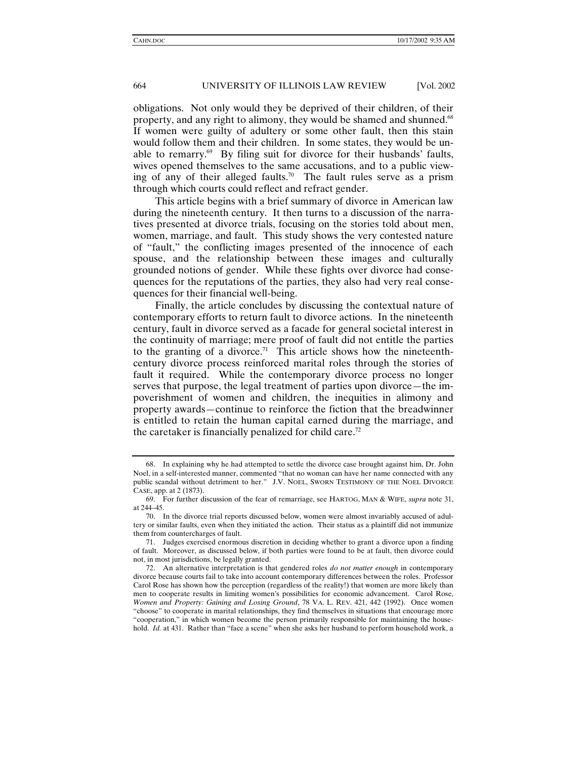obligations. Not only would they be deprived of their children, of their property, and any right to alimony, they would be shamed and shunned.68 If women were guilty of adultery or some other fault, then this stain would follow them and their children. In some states, they would be unable to remarry.<sup>69</sup> By filing suit for divorce for their husbands' faults, wives opened themselves to the same accusations, and to a public viewing of any of their alleged faults.<sup>70</sup> The fault rules serve as a prism through which courts could reflect and refract gender.

This article begins with a brief summary of divorce in American law during the nineteenth century. It then turns to a discussion of the narratives presented at divorce trials, focusing on the stories told about men, women, marriage, and fault. This study shows the very contested nature of "fault," the conflicting images presented of the innocence of each spouse, and the relationship between these images and culturally grounded notions of gender. While these fights over divorce had consequences for the reputations of the parties, they also had very real consequences for their financial well-being.

Finally, the article concludes by discussing the contextual nature of contemporary efforts to return fault to divorce actions. In the nineteenth century, fault in divorce served as a facade for general societal interest in the continuity of marriage; mere proof of fault did not entitle the parties to the granting of a divorce.<sup>71</sup> This article shows how the nineteenthcentury divorce process reinforced marital roles through the stories of fault it required. While the contemporary divorce process no longer serves that purpose, the legal treatment of parties upon divorce—the impoverishment of women and children, the inequities in alimony and property awards—continue to reinforce the fiction that the breadwinner is entitled to retain the human capital earned during the marriage, and the caretaker is financially penalized for child care.<sup>72</sup>

 <sup>68.</sup> In explaining why he had attempted to settle the divorce case brought against him, Dr. John Noel, in a self-interested manner, commented "that no woman can have her name connected with any public scandal without detriment to her." J.V. NOEL, SWORN TESTIMONY OF THE NOEL DIVORCE CASE, app. at 2 (1873).

 <sup>69.</sup> For further discussion of the fear of remarriage, see HARTOG, MAN & WIFE, *supra* note 31, at 244–45.

 <sup>70.</sup> In the divorce trial reports discussed below, women were almost invariably accused of adultery or similar faults, even when they initiated the action. Their status as a plaintiff did not immunize them from countercharges of fault.

 <sup>71.</sup> Judges exercised enormous discretion in deciding whether to grant a divorce upon a finding of fault. Moreover, as discussed below, if both parties were found to be at fault, then divorce could not, in most jurisdictions, be legally granted.

 <sup>72.</sup> An alternative interpretation is that gendered roles *do not matter enough* in contemporary divorce because courts fail to take into account contemporary differences between the roles. Professor Carol Rose has shown how the perception (regardless of the reality!) that women are more likely than men to cooperate results in limiting women's possibilities for economic advancement. Carol Rose, *Women and Property: Gaining and Losing Ground*, 78 VA. L. REV. 421, 442 (1992). Once women "choose" to cooperate in marital relationships, they find themselves in situations that encourage more "cooperation," in which women become the person primarily responsible for maintaining the household. *Id.* at 431. Rather than "face a scene" when she asks her husband to perform household work, a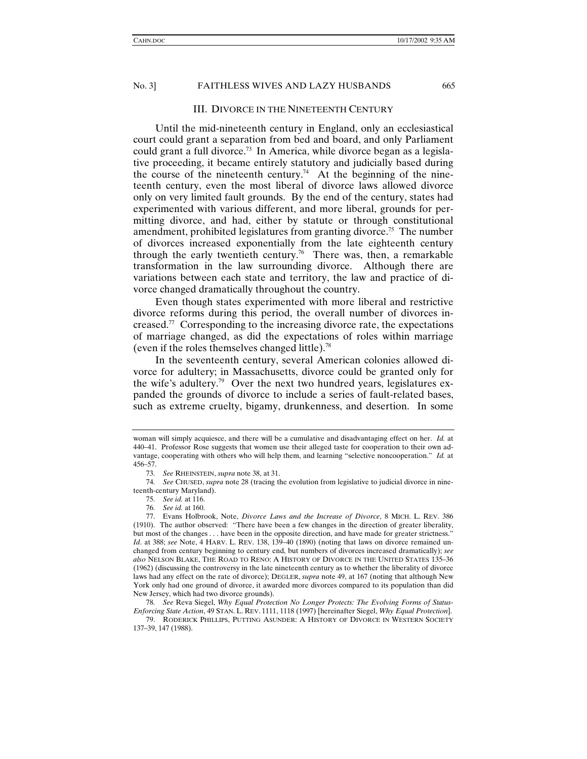# III. DIVORCE IN THE NINETEENTH CENTURY

Until the mid-nineteenth century in England, only an ecclesiastical court could grant a separation from bed and board, and only Parliament could grant a full divorce.<sup>73</sup> In America, while divorce began as a legislative proceeding, it became entirely statutory and judicially based during the course of the nineteenth century.<sup>74</sup> At the beginning of the nineteenth century, even the most liberal of divorce laws allowed divorce only on very limited fault grounds. By the end of the century, states had experimented with various different, and more liberal, grounds for permitting divorce, and had, either by statute or through constitutional amendment, prohibited legislatures from granting divorce.75 The number of divorces increased exponentially from the late eighteenth century through the early twentieth century.<sup>76</sup> There was, then, a remarkable transformation in the law surrounding divorce. Although there are variations between each state and territory, the law and practice of divorce changed dramatically throughout the country.

Even though states experimented with more liberal and restrictive divorce reforms during this period, the overall number of divorces increased.77 Corresponding to the increasing divorce rate, the expectations of marriage changed, as did the expectations of roles within marriage (even if the roles themselves changed little).78

In the seventeenth century, several American colonies allowed divorce for adultery; in Massachusetts, divorce could be granted only for the wife's adultery.<sup>79</sup> Over the next two hundred years, legislatures expanded the grounds of divorce to include a series of fault-related bases, such as extreme cruelty, bigamy, drunkenness, and desertion. In some

 79. RODERICK PHILLIPS, PUTTING ASUNDER: A HISTORY OF DIVORCE IN WESTERN SOCIETY 137–39, 147 (1988).

woman will simply acquiesce, and there will be a cumulative and disadvantaging effect on her. *Id.* at 440–41. Professor Rose suggests that women use their alleged taste for cooperation to their own advantage, cooperating with others who will help them, and learning "selective noncooperation." *Id.* at 456–57.

<sup>73</sup>*. See* RHEINSTEIN, *supra* note 38, at 31.

<sup>74</sup>*. See* CHUSED, *supra* note 28 (tracing the evolution from legislative to judicial divorce in nineteenth-century Maryland).

<sup>75</sup>*. See id.* at 116.

<sup>76</sup>*. See id.* at 160.

 <sup>77.</sup> Evans Holbrook, Note, *Divorce Laws and the Increase of Divorce*, 8 MICH. L. REV. 386 (1910). The author observed: "There have been a few changes in the direction of greater liberality, but most of the changes . . . have been in the opposite direction, and have made for greater strictness." *Id.* at 388; see Note, 4 HARV. L. REV. 138, 139-40 (1890) (noting that laws on divorce remained unchanged from century beginning to century end, but numbers of divorces increased dramatically); *see also* NELSON BLAKE, THE ROAD TO RENO: A HISTORY OF DIVORCE IN THE UNITED STATES 135–36 (1962) (discussing the controversy in the late nineteenth century as to whether the liberality of divorce laws had any effect on the rate of divorce); DEGLER, *supra* note 49, at 167 (noting that although New York only had one ground of divorce, it awarded more divorces compared to its population than did New Jersey, which had two divorce grounds).

<sup>78</sup>*. See* Reva Siegel, *Why Equal Protection No Longer Protects: The Evolving Forms of Status-Enforcing State Action*, 49 STAN. L. REV. 1111, 1118 (1997) [hereinafter Siegel, *Why Equal Protection*].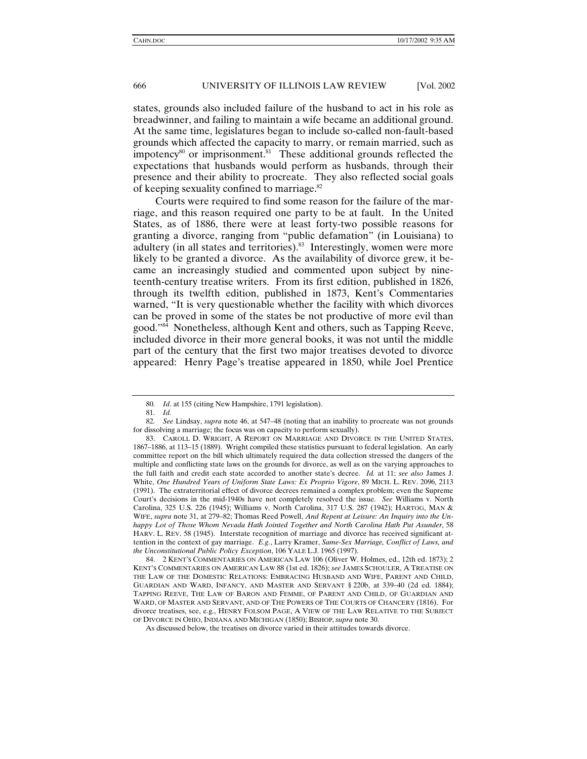states, grounds also included failure of the husband to act in his role as breadwinner, and failing to maintain a wife became an additional ground. At the same time, legislatures began to include so-called non-fault-based grounds which affected the capacity to marry, or remain married, such as impotency $80$  or imprisonment. $81$  These additional grounds reflected the expectations that husbands would perform as husbands, through their presence and their ability to procreate. They also reflected social goals of keeping sexuality confined to marriage.<sup>82</sup>

Courts were required to find some reason for the failure of the marriage, and this reason required one party to be at fault. In the United States, as of 1886, there were at least forty-two possible reasons for granting a divorce, ranging from "public defamation" (in Louisiana) to adultery (in all states and territories).<sup>83</sup> Interestingly, women were more likely to be granted a divorce. As the availability of divorce grew, it became an increasingly studied and commented upon subject by nineteenth-century treatise writers. From its first edition, published in 1826, through its twelfth edition, published in 1873, Kent's Commentaries warned, "It is very questionable whether the facility with which divorces can be proved in some of the states be not productive of more evil than good."84 Nonetheless, although Kent and others, such as Tapping Reeve, included divorce in their more general books, it was not until the middle part of the century that the first two major treatises devoted to divorce appeared: Henry Page's treatise appeared in 1850, while Joel Prentice

<sup>80</sup>*. Id*. at 155 (citing New Hampshire, 1791 legislation).

<sup>81</sup>*. Id.*

<sup>82</sup>*. See* Lindsay, *supra* note 46, at 547–48 (noting that an inability to procreate was not grounds for dissolving a marriage; the focus was on capacity to perform sexually).

 <sup>83.</sup> CAROLL D. WRIGHT, A REPORT ON MARRIAGE AND DIVORCE IN THE UNITED STATES, 1867–1886, at 113–15 (1889). Wright compiled these statistics pursuant to federal legislation. An early committee report on the bill which ultimately required the data collection stressed the dangers of the multiple and conflicting state laws on the grounds for divorce, as well as on the varying approaches to the full faith and credit each state accorded to another state's decree. *Id.* at 11; *see also* James J. White, *One Hundred Years of Uniform State Laws: Ex Proprio Vigore*, 89 MICH. L. REV. 2096, 2113 (1991). The extraterritorial effect of divorce decrees remained a complex problem; even the Supreme Court's decisions in the mid-1940s have not completely resolved the issue. *See* Williams v. North Carolina, 325 U.S. 226 (1945); Williams v. North Carolina, 317 U.S. 287 (1942); HARTOG, MAN & WIFE, *supra* note 31, at 279–82; Thomas Reed Powell, *And Repent at Leisure: An Inquiry into the Unhappy Lot of Those Whom Nevada Hath Jointed Together and North Carolina Hath Put Asunder*, 58 HARV. L. REV. 58 (1945). Interstate recognition of marriage and divorce has received significant attention in the context of gay marriage. *E.g.*, Larry Kramer, *Same-Sex Marriage, Conflict of Laws, and the Unconstitutional Public Policy Exception*, 106 YALE L.J. 1965 (1997).

 <sup>84. 2</sup> KENT'S COMMENTARIES ON AMERICAN LAW 106 (Oliver W. Holmes, ed., 12th ed. 1873); 2 KENT'S COMMENTARIES ON AMERICAN LAW 88 (1st ed. 1826); *see* JAMES SCHOULER, A TREATISE ON THE LAW OF THE DOMESTIC RELATIONS: EMBRACING HUSBAND AND WIFE, PARENT AND CHILD, GUARDIAN AND WARD, INFANCY, AND MASTER AND SERVANT § 220b, at 339–40 (2d ed. 1884); TAPPING REEVE, THE LAW OF BARON AND FEMME, OF PARENT AND CHILD, OF GUARDIAN AND WARD, OF MASTER AND SERVANT, AND OF THE POWERS OF THE COURTS OF CHANCERY (1816). For divorce treatises, see, e.g., HENRY FOLSOM PAGE, A VIEW OF THE LAW RELATIVE TO THE SUBJECT OF DIVORCE IN OHIO,INDIANA AND MICHIGAN (1850); BISHOP,*supra* note 30.

As discussed below, the treatises on divorce varied in their attitudes towards divorce.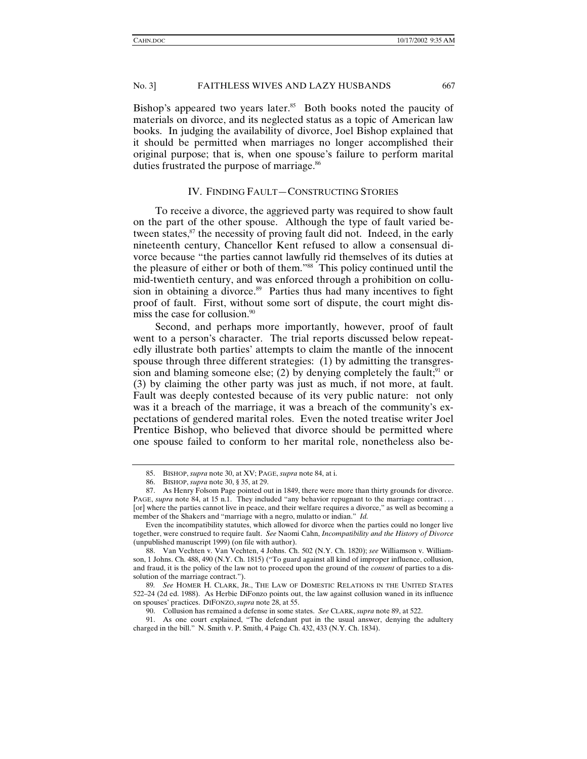Bishop's appeared two years later.<sup>85</sup> Both books noted the paucity of materials on divorce, and its neglected status as a topic of American law books. In judging the availability of divorce, Joel Bishop explained that it should be permitted when marriages no longer accomplished their original purpose; that is, when one spouse's failure to perform marital duties frustrated the purpose of marriage.<sup>86</sup>

#### IV. FINDING FAULT—CONSTRUCTING STORIES

To receive a divorce, the aggrieved party was required to show fault on the part of the other spouse. Although the type of fault varied between states, $87$  the necessity of proving fault did not. Indeed, in the early nineteenth century, Chancellor Kent refused to allow a consensual divorce because "the parties cannot lawfully rid themselves of its duties at the pleasure of either or both of them."<sup>88</sup> This policy continued until the mid-twentieth century, and was enforced through a prohibition on collusion in obtaining a divorce.<sup>89</sup> Parties thus had many incentives to fight proof of fault. First, without some sort of dispute, the court might dismiss the case for collusion.<sup>90</sup>

Second, and perhaps more importantly, however, proof of fault went to a person's character. The trial reports discussed below repeatedly illustrate both parties' attempts to claim the mantle of the innocent spouse through three different strategies: (1) by admitting the transgression and blaming someone else; (2) by denying completely the fault;<sup>91</sup> or (3) by claiming the other party was just as much, if not more, at fault. Fault was deeply contested because of its very public nature: not only was it a breach of the marriage, it was a breach of the community's expectations of gendered marital roles. Even the noted treatise writer Joel Prentice Bishop, who believed that divorce should be permitted where one spouse failed to conform to her marital role, nonetheless also be-

 <sup>85.</sup> BISHOP, *supra* note 30, at XV; PAGE, *supra* note 84, at i.

 <sup>86.</sup> BISHOP, *supra* note 30, § 35, at 29.

 <sup>87.</sup> As Henry Folsom Page pointed out in 1849, there were more than thirty grounds for divorce. PAGE, *supra* note 84, at 15 n.1. They included "any behavior repugnant to the marriage contract... [or] where the parties cannot live in peace, and their welfare requires a divorce," as well as becoming a member of the Shakers and "marriage with a negro, mulatto or indian." *Id.*

Even the incompatibility statutes, which allowed for divorce when the parties could no longer live together, were construed to require fault. *See* Naomi Cahn, *Incompatibility and the History of Divorce* (unpublished manuscript 1999) (on file with author).

 <sup>88.</sup> Van Vechten v. Van Vechten, 4 Johns. Ch. 502 (N.Y. Ch. 1820); *see* Williamson v. Williamson, 1 Johns. Ch. 488, 490 (N.Y. Ch. 1815) ("To guard against all kind of improper influence, collusion, and fraud, it is the policy of the law not to proceed upon the ground of the *consent* of parties to a dissolution of the marriage contract.").

<sup>89</sup>*. See* HOMER H. CLARK, JR., THE LAW OF DOMESTIC RELATIONS IN THE UNITED STATES 522–24 (2d ed. 1988). As Herbie DiFonzo points out, the law against collusion waned in its influence on spouses' practices. DIFONZO,*supra* note 28, at 55.

 <sup>90.</sup> Collusion has remained a defense in some states. *See* CLARK, *supra* note 89, at 522.

 <sup>91.</sup> As one court explained, "The defendant put in the usual answer, denying the adultery charged in the bill." N. Smith v. P. Smith, 4 Paige Ch. 432, 433 (N.Y. Ch. 1834).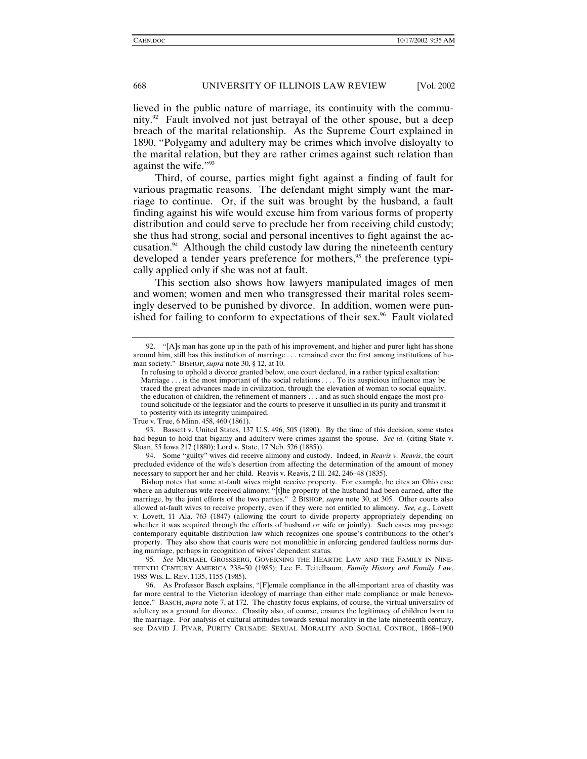lieved in the public nature of marriage, its continuity with the community.<sup>92</sup> Fault involved not just betrayal of the other spouse, but a deep breach of the marital relationship. As the Supreme Court explained in 1890, "Polygamy and adultery may be crimes which involve disloyalty to the marital relation, but they are rather crimes against such relation than against the wife."93

Third, of course, parties might fight against a finding of fault for various pragmatic reasons. The defendant might simply want the marriage to continue. Or, if the suit was brought by the husband, a fault finding against his wife would excuse him from various forms of property distribution and could serve to preclude her from receiving child custody; she thus had strong, social and personal incentives to fight against the accusation.<sup>94</sup> Although the child custody law during the nineteenth century developed a tender years preference for mothers,<sup>95</sup> the preference typically applied only if she was not at fault.

This section also shows how lawyers manipulated images of men and women; women and men who transgressed their marital roles seemingly deserved to be punished by divorce. In addition, women were punished for failing to conform to expectations of their  $sex.^{96}$  Fault violated

 93. Bassett v. United States, 137 U.S. 496, 505 (1890). By the time of this decision, some states had begun to hold that bigamy and adultery were crimes against the spouse. *See id.* (citing State v. Sloan, 55 Iowa 217 (1880); Lord v. State, 17 Neb. 526 (1885)).

 94. Some "guilty" wives did receive alimony and custody. Indeed, in *Reavis v. Reavis*, the court precluded evidence of the wife's desertion from affecting the determination of the amount of money necessary to support her and her child. Reavis v. Reavis, 2 Ill. 242, 246–48 (1835).

Bishop notes that some at-fault wives might receive property. For example, he cites an Ohio case where an adulterous wife received alimony; "[t]he property of the husband had been earned, after the marriage, by the joint efforts of the two parties." 2 BISHOP, *supra* note 30, at 305. Other courts also allowed at-fault wives to receive property, even if they were not entitled to alimony. *See, e.g.*, Lovett v. Lovett, 11 Ala. 763 (1847) (allowing the court to divide property appropriately depending on whether it was acquired through the efforts of husband or wife or jointly). Such cases may presage contemporary equitable distribution law which recognizes one spouse's contributions to the other's property. They also show that courts were not monolithic in enforcing gendered faultless norms during marriage, perhaps in recognition of wives' dependent status.

95*. See* MICHAEL GROSSBERG, GOVERNING THE HEARTH: LAW AND THE FAMILY IN NINE-TEENTH CENTURY AMERICA 238–50 (1985); Lee E. Teitelbaum, *Family History and Family Law*, 1985 WIS. L. REV. 1135, 1155 (1985).

 96. As Professor Basch explains, "[F]emale compliance in the all-important area of chastity was far more central to the Victorian ideology of marriage than either male compliance or male benevolence." BASCH, *supra* note 7, at 172. The chastity focus explains, of course, the virtual universality of adultery as a ground for divorce. Chastity also, of course, ensures the legitimacy of children born to the marriage. For analysis of cultural attitudes towards sexual morality in the late nineteenth century, see DAVID J. PIVAR, PURITY CRUSADE: SEXUAL MORALITY AND SOCIAL CONTROL, 1868–1900

 <sup>92. &</sup>quot;[A]s man has gone up in the path of his improvement, and higher and purer light has shone around him, still has this institution of marriage . . . remained ever the first among institutions of human society." BISHOP, *supra* note 30, § 12, at 10.

In refusing to uphold a divorce granted below, one court declared, in a rather typical exaltation: Marriage . . . is the most important of the social relations . . . . To its auspicious influence may be traced the great advances made in civilization, through the elevation of woman to social equality, the education of children, the refinement of manners . . . and as such should engage the most profound solicitude of the legislator and the courts to preserve it unsullied in its purity and transmit it to posterity with its integrity unimpaired.

True v. True, 6 Minn. 458, 460 (1861).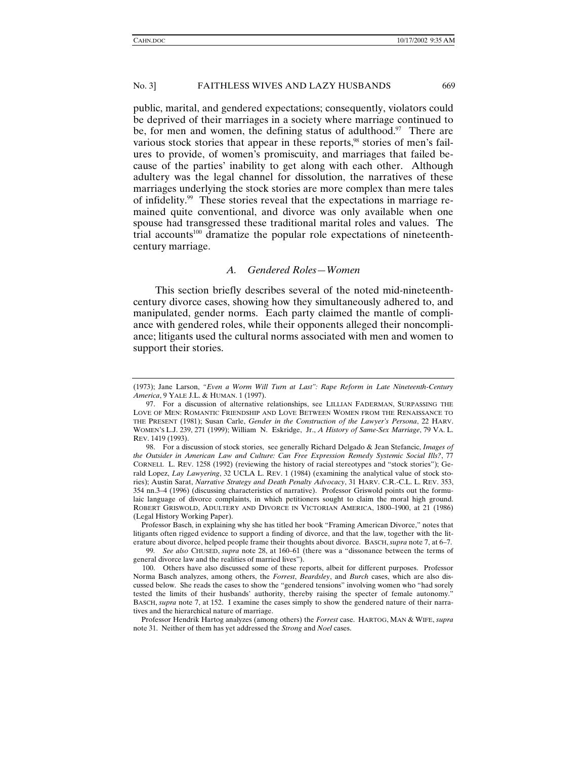public, marital, and gendered expectations; consequently, violators could be deprived of their marriages in a society where marriage continued to be, for men and women, the defining status of adulthood.<sup>97</sup> There are various stock stories that appear in these reports,<sup>98</sup> stories of men's failures to provide, of women's promiscuity, and marriages that failed because of the parties' inability to get along with each other. Although adultery was the legal channel for dissolution, the narratives of these marriages underlying the stock stories are more complex than mere tales of infidelity.99 These stories reveal that the expectations in marriage remained quite conventional, and divorce was only available when one spouse had transgressed these traditional marital roles and values. The trial accounts<sup>100</sup> dramatize the popular role expectations of nineteenthcentury marriage.

# *A. Gendered Roles—Women*

This section briefly describes several of the noted mid-nineteenthcentury divorce cases, showing how they simultaneously adhered to, and manipulated, gender norms. Each party claimed the mantle of compliance with gendered roles, while their opponents alleged their noncompliance; litigants used the cultural norms associated with men and women to support their stories.

Professor Basch, in explaining why she has titled her book "Framing American Divorce," notes that litigants often rigged evidence to support a finding of divorce, and that the law, together with the literature about divorce, helped people frame their thoughts about divorce. BASCH,*supra* note 7, at 6–7.

99*. See also* CHUSED, *supra* note 28, at 160–61 (there was a "dissonance between the terms of general divorce law and the realities of married lives").

Professor Hendrik Hartog analyzes (among others) the *Forrest* case. HARTOG, MAN & WIFE, *supra* note 31. Neither of them has yet addressed the *Strong* and *Noel* cases.

<sup>(1973);</sup> Jane Larson, *"Even a Worm Will Turn at Last": Rape Reform in Late Nineteenth-Century America*, 9 YALE J.L. & HUMAN. 1 (1997).

 <sup>97.</sup> For a discussion of alternative relationships, see LILLIAN FADERMAN, SURPASSING THE LOVE OF MEN: ROMANTIC FRIENDSHIP AND LOVE BETWEEN WOMEN FROM THE RENAISSANCE TO THE PRESENT (1981); Susan Carle, *Gender in the Construction of the Lawyer's Persona*, 22 HARV. WOMEN'S L.J. 239, 271 (1999); William N. Eskridge, Jr., *A History of Same-Sex Marriage*, 79 VA. L. REV. 1419 (1993).

 <sup>98.</sup> For a discussion of stock stories, see generally Richard Delgado & Jean Stefancic, *Images of the Outsider in American Law and Culture: Can Free Expression Remedy Systemic Social Ills?*, 77 CORNELL L. REV. 1258 (1992) (reviewing the history of racial stereotypes and "stock stories"); Gerald Lopez, *Lay Lawyering*, 32 UCLA L. REV. 1 (1984) (examining the analytical value of stock stories); Austin Sarat, *Narrative Strategy and Death Penalty Advocacy*, 31 HARV. C.R.-C.L. L. REV. 353, 354 nn.3–4 (1996) (discussing characteristics of narrative). Professor Griswold points out the formulaic language of divorce complaints, in which petitioners sought to claim the moral high ground. ROBERT GRISWOLD, ADULTERY AND DIVORCE IN VICTORIAN AMERICA, 1800–1900, at 21 (1986) (Legal History Working Paper).

 <sup>100.</sup> Others have also discussed some of these reports, albeit for different purposes. Professor Norma Basch analyzes, among others, the *Forrest*, *Beardsley*, and *Burch* cases, which are also discussed below. She reads the cases to show the "gendered tensions" involving women who "had sorely tested the limits of their husbands' authority, thereby raising the specter of female autonomy." BASCH, *supra* note 7, at 152. I examine the cases simply to show the gendered nature of their narratives and the hierarchical nature of marriage.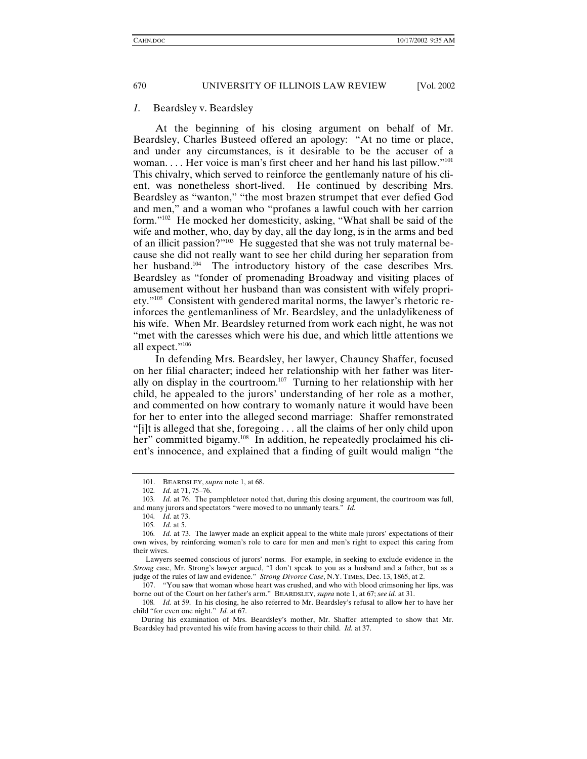#### *1.* Beardsley v. Beardsley

At the beginning of his closing argument on behalf of Mr. Beardsley, Charles Busteed offered an apology: "At no time or place, and under any circumstances, is it desirable to be the accuser of a woman. . . . Her voice is man's first cheer and her hand his last pillow."<sup>101</sup> This chivalry, which served to reinforce the gentlemanly nature of his client, was nonetheless short-lived. He continued by describing Mrs. Beardsley as "wanton," "the most brazen strumpet that ever defied God and men," and a woman who "profanes a lawful couch with her carrion form."102 He mocked her domesticity, asking, "What shall be said of the wife and mother, who, day by day, all the day long, is in the arms and bed of an illicit passion?"103 He suggested that she was not truly maternal because she did not really want to see her child during her separation from her husband.<sup>104</sup> The introductory history of the case describes Mrs. Beardsley as "fonder of promenading Broadway and visiting places of amusement without her husband than was consistent with wifely propriety."105 Consistent with gendered marital norms, the lawyer's rhetoric reinforces the gentlemanliness of Mr. Beardsley, and the unladylikeness of his wife. When Mr. Beardsley returned from work each night, he was not "met with the caresses which were his due, and which little attentions we all expect."106

In defending Mrs. Beardsley, her lawyer, Chauncy Shaffer, focused on her filial character; indeed her relationship with her father was literally on display in the courtroom.<sup>107</sup> Turning to her relationship with her child, he appealed to the jurors' understanding of her role as a mother, and commented on how contrary to womanly nature it would have been for her to enter into the alleged second marriage: Shaffer remonstrated "[i]t is alleged that she, foregoing . . . all the claims of her only child upon her" committed bigamy.<sup>108</sup> In addition, he repeatedly proclaimed his client's innocence, and explained that a finding of guilt would malign "the

 <sup>101.</sup> BEARDSLEY, *supra* note 1, at 68.

<sup>102</sup>*. Id.* at 71, 75–76.

<sup>103</sup>*. Id.* at 76. The pamphleteer noted that, during this closing argument, the courtroom was full, and many jurors and spectators "were moved to no unmanly tears." *Id.*

<sup>104</sup>*. Id.* at 73.

<sup>105</sup>*. Id.* at 5.

<sup>106</sup>*. Id.* at 73. The lawyer made an explicit appeal to the white male jurors' expectations of their own wives, by reinforcing women's role to care for men and men's right to expect this caring from their wives.

Lawyers seemed conscious of jurors' norms. For example, in seeking to exclude evidence in the *Strong* case, Mr. Strong's lawyer argued, "I don't speak to you as a husband and a father, but as a judge of the rules of law and evidence." *Strong Divorce Case*, N.Y. TIMES, Dec. 13, 1865, at 2.

 <sup>107. &</sup>quot;You saw that woman whose heart was crushed, and who with blood crimsoning her lips, was borne out of the Court on her father's arm." BEARDSLEY, *supra* note 1, at 67; *see id.* at 31.

<sup>108</sup>*. Id.* at 59. In his closing, he also referred to Mr. Beardsley's refusal to allow her to have her child "for even one night." *Id.* at 67.

During his examination of Mrs. Beardsley's mother, Mr. Shaffer attempted to show that Mr. Beardsley had prevented his wife from having access to their child. *Id.* at 37.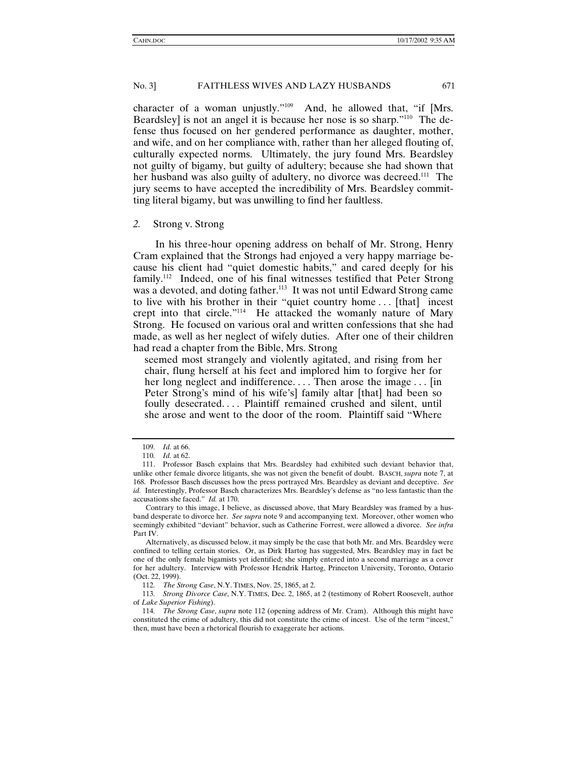character of a woman unjustly."109 And, he allowed that, "if [Mrs. Beardsley] is not an angel it is because her nose is so sharp."110 The defense thus focused on her gendered performance as daughter, mother, and wife, and on her compliance with, rather than her alleged flouting of, culturally expected norms. Ultimately, the jury found Mrs. Beardsley not guilty of bigamy, but guilty of adultery; because she had shown that her husband was also guilty of adultery, no divorce was decreed.<sup>111</sup> The jury seems to have accepted the incredibility of Mrs. Beardsley committing literal bigamy, but was unwilling to find her faultless.

#### *2.* Strong v. Strong

In his three-hour opening address on behalf of Mr. Strong, Henry Cram explained that the Strongs had enjoyed a very happy marriage because his client had "quiet domestic habits," and cared deeply for his family.112 Indeed, one of his final witnesses testified that Peter Strong was a devoted, and doting father.<sup>113</sup> It was not until Edward Strong came to live with his brother in their "quiet country home . . . [that] incest crept into that circle."114 He attacked the womanly nature of Mary Strong. He focused on various oral and written confessions that she had made, as well as her neglect of wifely duties. After one of their children had read a chapter from the Bible, Mrs. Strong

seemed most strangely and violently agitated, and rising from her chair, flung herself at his feet and implored him to forgive her for her long neglect and indifference.... Then arose the image... [in] Peter Strong's mind of his wife's] family altar [that] had been so foully desecrated.... Plaintiff remained crushed and silent, until she arose and went to the door of the room. Plaintiff said "Where

<sup>109</sup>*. Id.* at 66.

<sup>110</sup>*. Id.* at 62.

 <sup>111.</sup> Professor Basch explains that Mrs. Beardsley had exhibited such deviant behavior that, unlike other female divorce litigants, she was not given the benefit of doubt. BASCH, *supra* note 7, at 168. Professor Basch discusses how the press portrayed Mrs. Beardsley as deviant and deceptive. *See id.* Interestingly, Professor Basch characterizes Mrs. Beardsley's defense as "no less fantastic than the accusations she faced." *Id.* at 170.

Contrary to this image, I believe, as discussed above, that Mary Beardsley was framed by a husband desperate to divorce her. *See supra* note 9 and accompanying text. Moreover, other women who seemingly exhibited "deviant" behavior, such as Catherine Forrest, were allowed a divorce. *See infra* Part IV.

Alternatively, as discussed below, it may simply be the case that both Mr. and Mrs. Beardsley were confined to telling certain stories. Or, as Dirk Hartog has suggested, Mrs. Beardsley may in fact be one of the only female bigamists yet identified; she simply entered into a second marriage as a cover for her adultery. Interview with Professor Hendrik Hartog, Princeton University, Toronto, Ontario (Oct. 22, 1999).

<sup>112</sup>*. The Strong Case*, N.Y. TIMES, Nov. 25, 1865, at 2.

<sup>113</sup>*. Strong Divorce Case*, N.Y. TIMES, Dec. 2, 1865, at 2 (testimony of Robert Roosevelt, author of *Lake Superior Fishing*).

<sup>114</sup>*. The Strong Case*, *supra* note 112 (opening address of Mr. Cram). Although this might have constituted the crime of adultery, this did not constitute the crime of incest. Use of the term "incest," then, must have been a rhetorical flourish to exaggerate her actions.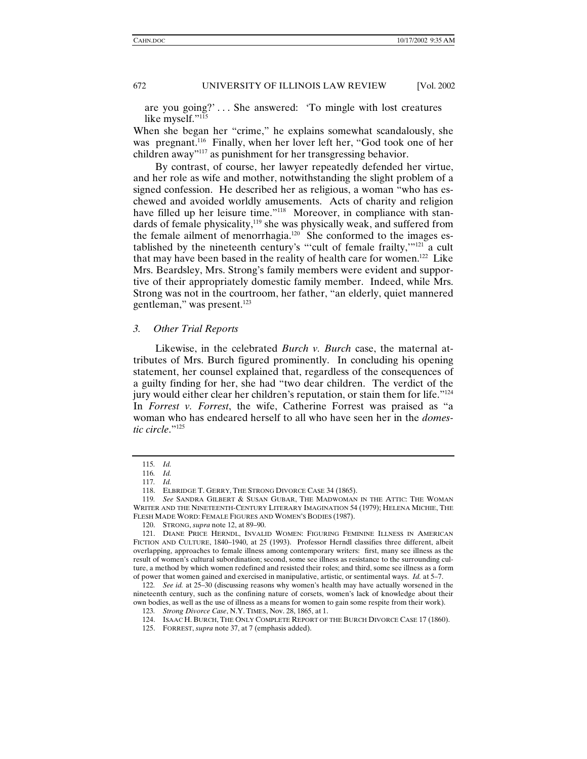are you going?' . . . She answered: 'To mingle with lost creatures like myself."<sup>115</sup>

When she began her "crime," he explains somewhat scandalously, she was pregnant.116 Finally, when her lover left her, "God took one of her children away"117 as punishment for her transgressing behavior.

By contrast, of course, her lawyer repeatedly defended her virtue, and her role as wife and mother, notwithstanding the slight problem of a signed confession. He described her as religious, a woman "who has eschewed and avoided worldly amusements. Acts of charity and religion have filled up her leisure time."<sup>118</sup> Moreover, in compliance with standards of female physicality, $119$  she was physically weak, and suffered from the female ailment of menorrhagia.<sup>120</sup> She conformed to the images established by the nineteenth century's "'cult of female frailty,'"121 a cult that may have been based in the reality of health care for women.122 Like Mrs. Beardsley, Mrs. Strong's family members were evident and supportive of their appropriately domestic family member. Indeed, while Mrs. Strong was not in the courtroom, her father, "an elderly, quiet mannered gentleman," was present.123

#### *3. Other Trial Reports*

Likewise, in the celebrated *Burch v. Burch* case, the maternal attributes of Mrs. Burch figured prominently. In concluding his opening statement, her counsel explained that, regardless of the consequences of a guilty finding for her, she had "two dear children. The verdict of the jury would either clear her children's reputation, or stain them for life."<sup>124</sup> In *Forrest v. Forrest*, the wife, Catherine Forrest was praised as "a woman who has endeared herself to all who have seen her in the *domestic circle*."125

<sup>115</sup>*. Id.*

<sup>116</sup>*. Id.* 117*. Id.*

 <sup>118.</sup> ELBRIDGE T. GERRY, THE STRONG DIVORCE CASE 34 (1865).

<sup>119</sup>*. See* SANDRA GILBERT & SUSAN GUBAR, THE MADWOMAN IN THE ATTIC: THE WOMAN WRITER AND THE NINETEENTH-CENTURY LITERARY IMAGINATION 54 (1979); HELENA MICHIE, THE FLESH MADE WORD: FEMALE FIGURES AND WOMEN'S BODIES (1987).

 <sup>120.</sup> STRONG, *supra* note 12, at 89–90.

 <sup>121.</sup> DIANE PRICE HERNDL, INVALID WOMEN: FIGURING FEMININE ILLNESS IN AMERICAN FICTION AND CULTURE, 1840–1940, at 25 (1993). Professor Herndl classifies three different, albeit overlapping, approaches to female illness among contemporary writers: first, many see illness as the result of women's cultural subordination; second, some see illness as resistance to the surrounding culture, a method by which women redefined and resisted their roles; and third, some see illness as a form of power that women gained and exercised in manipulative, artistic, or sentimental ways. *Id.* at 5–7.

<sup>122</sup>*. See id.* at 25–30 (discussing reasons why women's health may have actually worsened in the nineteenth century, such as the confining nature of corsets, women's lack of knowledge about their own bodies, as well as the use of illness as a means for women to gain some respite from their work).

<sup>123</sup>*. Strong Divorce Case*, N.Y. TIMES, Nov. 28, 1865, at 1.

 <sup>124.</sup> ISAAC H. BURCH, THE ONLY COMPLETE REPORT OF THE BURCH DIVORCE CASE 17 (1860).

 <sup>125.</sup> FORREST, *supra* note 37, at 7 (emphasis added).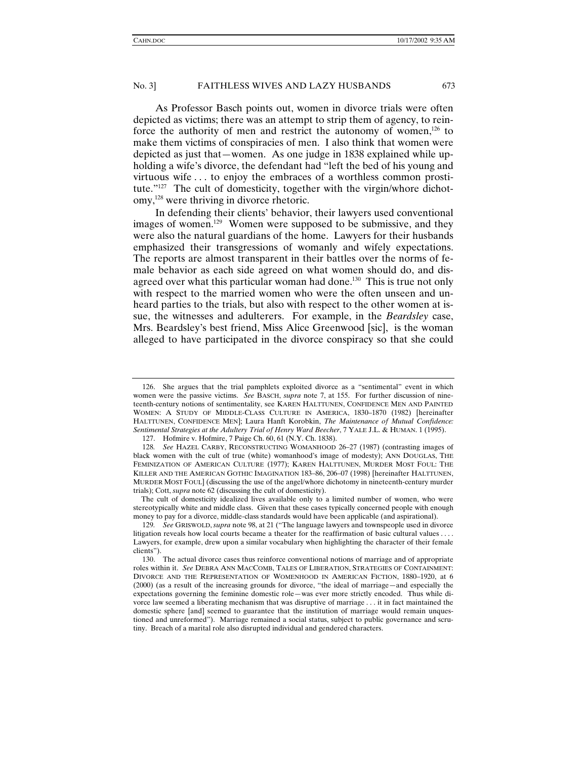As Professor Basch points out, women in divorce trials were often depicted as victims; there was an attempt to strip them of agency, to reinforce the authority of men and restrict the autonomy of women, $126$  to make them victims of conspiracies of men. I also think that women were depicted as just that—women. As one judge in 1838 explained while upholding a wife's divorce, the defendant had "left the bed of his young and virtuous wife . . . to enjoy the embraces of a worthless common prostitute."<sup>127</sup> The cult of domesticity, together with the virgin/whore dichotomy,128 were thriving in divorce rhetoric.

In defending their clients' behavior, their lawyers used conventional images of women.<sup>129</sup> Women were supposed to be submissive, and they were also the natural guardians of the home. Lawyers for their husbands emphasized their transgressions of womanly and wifely expectations. The reports are almost transparent in their battles over the norms of female behavior as each side agreed on what women should do, and disagreed over what this particular woman had done.<sup>130</sup> This is true not only with respect to the married women who were the often unseen and unheard parties to the trials, but also with respect to the other women at issue, the witnesses and adulterers. For example, in the *Beardsley* case, Mrs. Beardsley's best friend, Miss Alice Greenwood [sic], is the woman alleged to have participated in the divorce conspiracy so that she could

 <sup>126.</sup> She argues that the trial pamphlets exploited divorce as a "sentimental" event in which women were the passive victims. *See* BASCH, *supra* note 7, at 155. For further discussion of nineteenth-century notions of sentimentality, see KAREN HALTTUNEN, CONFIDENCE MEN AND PAINTED WOMEN: A STUDY OF MIDDLE-CLASS CULTURE IN AMERICA, 1830–1870 (1982) [hereinafter HALTTUNEN, CONFIDENCE MEN]; Laura Hanft Korobkin, *The Maintenance of Mutual Confidence: Sentimental Strategies at the Adultery Trial of Henry Ward Beecher*, 7 YALE J.L. & HUMAN. 1 (1995).

 <sup>127.</sup> Hofmire v. Hofmire, 7 Paige Ch. 60, 61 (N.Y. Ch. 1838).

<sup>128</sup>*. See* HAZEL CARBY, RECONSTRUCTING WOMANHOOD 26–27 (1987) (contrasting images of black women with the cult of true (white) womanhood's image of modesty); ANN DOUGLAS, THE FEMINIZATION OF AMERICAN CULTURE (1977); KAREN HALTTUNEN, MURDER MOST FOUL: THE KILLER AND THE AMERICAN GOTHIC IMAGINATION 183–86, 206–07 (1998) [hereinafter HALTTUNEN, MURDER MOST FOUL] (discussing the use of the angel/whore dichotomy in nineteenth-century murder trials); Cott, *supra* note 62 (discussing the cult of domesticity).

The cult of domesticity idealized lives available only to a limited number of women, who were stereotypically white and middle class. Given that these cases typically concerned people with enough money to pay for a divorce, middle-class standards would have been applicable (and aspirational).

<sup>129</sup>*. See* GRISWOLD,*supra* note 98, at 21 ("The language lawyers and townspeople used in divorce litigation reveals how local courts became a theater for the reaffirmation of basic cultural values . . . . Lawyers, for example, drew upon a similar vocabulary when highlighting the character of their female clients").

 <sup>130.</sup> The actual divorce cases thus reinforce conventional notions of marriage and of appropriate roles within it. *See* DEBRA ANN MACCOMB, TALES OF LIBERATION, STRATEGIES OF CONTAINMENT: DIVORCE AND THE REPRESENTATION OF WOMENHOOD IN AMERICAN FICTION, 1880–1920, at 6 (2000) (as a result of the increasing grounds for divorce, "the ideal of marriage—and especially the expectations governing the feminine domestic role—was ever more strictly encoded. Thus while divorce law seemed a liberating mechanism that was disruptive of marriage . . . it in fact maintained the domestic sphere [and] seemed to guarantee that the institution of marriage would remain unquestioned and unreformed"). Marriage remained a social status, subject to public governance and scrutiny. Breach of a marital role also disrupted individual and gendered characters.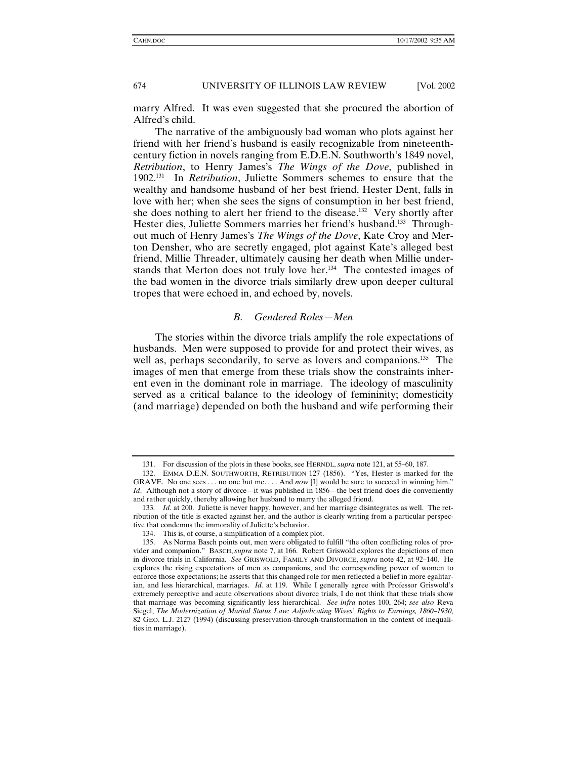marry Alfred. It was even suggested that she procured the abortion of Alfred's child.

The narrative of the ambiguously bad woman who plots against her friend with her friend's husband is easily recognizable from nineteenthcentury fiction in novels ranging from E.D.E.N. Southworth's 1849 novel, *Retribution*, to Henry James's *The Wings of the Dove*, published in 1902.131 In *Retribution*, Juliette Sommers schemes to ensure that the wealthy and handsome husband of her best friend, Hester Dent, falls in love with her; when she sees the signs of consumption in her best friend, she does nothing to alert her friend to the disease.<sup>132</sup> Very shortly after Hester dies, Juliette Sommers marries her friend's husband.<sup>133</sup> Throughout much of Henry James's *The Wings of the Dove*, Kate Croy and Merton Densher, who are secretly engaged, plot against Kate's alleged best friend, Millie Threader, ultimately causing her death when Millie understands that Merton does not truly love her.<sup>134</sup> The contested images of the bad women in the divorce trials similarly drew upon deeper cultural tropes that were echoed in, and echoed by, novels.

# *B. Gendered Roles—Men*

The stories within the divorce trials amplify the role expectations of husbands. Men were supposed to provide for and protect their wives, as well as, perhaps secondarily, to serve as lovers and companions.<sup>135</sup> The images of men that emerge from these trials show the constraints inherent even in the dominant role in marriage. The ideology of masculinity served as a critical balance to the ideology of femininity; domesticity (and marriage) depended on both the husband and wife performing their

 <sup>131.</sup> For discussion of the plots in these books, see HERNDL, *supra* note 121, at 55–60, 187.

 <sup>132.</sup> EMMA D.E.N. SOUTHWORTH, RETRIBUTION 127 (1856). "Yes, Hester is marked for the GRAVE. No one sees . . . no one but me. . . . And *now* [I] would be sure to succeed in winning him." *Id*. Although not a story of divorce—it was published in 1856—the best friend does die conveniently and rather quickly, thereby allowing her husband to marry the alleged friend.

<sup>133</sup>*. Id.* at 200. Juliette is never happy, however, and her marriage disintegrates as well. The retribution of the title is exacted against her, and the author is clearly writing from a particular perspective that condemns the immorality of Juliette's behavior.

 <sup>134.</sup> This is, of course, a simplification of a complex plot.

 <sup>135.</sup> As Norma Basch points out, men were obligated to fulfill "the often conflicting roles of provider and companion." BASCH, *supra* note 7, at 166. Robert Griswold explores the depictions of men in divorce trials in California. *See* GRISWOLD, FAMILY AND DIVORCE, *supra* note 42, at 92–140. He explores the rising expectations of men as companions, and the corresponding power of women to enforce those expectations; he asserts that this changed role for men reflected a belief in more egalitarian, and less hierarchical, marriages. *Id.* at 119. While I generally agree with Professor Griswold's extremely perceptive and acute observations about divorce trials, I do not think that these trials show that marriage was becoming significantly less hierarchical. *See infra* notes 100, 264; *see also* Reva Siegel, *The Modernization of Marital Status Law: Adjudicating Wives' Rights to Earnings, 1860–1930*, 82 GEO. L.J. 2127 (1994) (discussing preservation-through-transformation in the context of inequalities in marriage).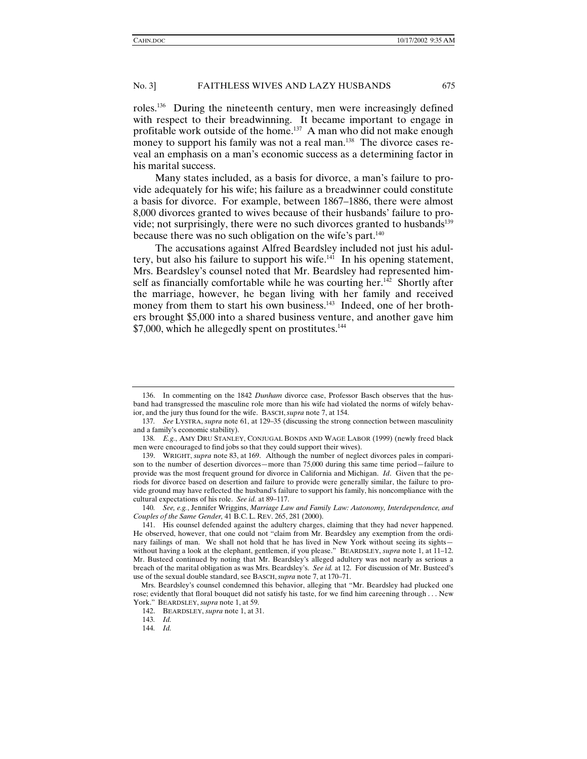roles.136 During the nineteenth century, men were increasingly defined with respect to their breadwinning. It became important to engage in profitable work outside of the home.<sup>137</sup> A man who did not make enough money to support his family was not a real man.<sup>138</sup> The divorce cases reveal an emphasis on a man's economic success as a determining factor in his marital success.

Many states included, as a basis for divorce, a man's failure to provide adequately for his wife; his failure as a breadwinner could constitute a basis for divorce. For example, between 1867–1886, there were almost 8,000 divorces granted to wives because of their husbands' failure to provide; not surprisingly, there were no such divorces granted to husbands<sup>139</sup> because there was no such obligation on the wife's part.<sup>140</sup>

The accusations against Alfred Beardsley included not just his adultery, but also his failure to support his wife.<sup>141</sup> In his opening statement, Mrs. Beardsley's counsel noted that Mr. Beardsley had represented himself as financially comfortable while he was courting her.<sup>142</sup> Shortly after the marriage, however, he began living with her family and received money from them to start his own business.<sup>143</sup> Indeed, one of her brothers brought \$5,000 into a shared business venture, and another gave him  $$7,000$ , which he allegedly spent on prostitutes.<sup>144</sup>

 <sup>136.</sup> In commenting on the 1842 *Dunham* divorce case, Professor Basch observes that the husband had transgressed the masculine role more than his wife had violated the norms of wifely behavior, and the jury thus found for the wife. BASCH,*supra* note 7, at 154.

<sup>137</sup>*. See* LYSTRA, *supra* note 61, at 129–35 (discussing the strong connection between masculinity and a family's economic stability).

<sup>138</sup>*. E.g.*, AMY DRU STANLEY, CONJUGAL BONDS AND WAGE LABOR (1999) (newly freed black men were encouraged to find jobs so that they could support their wives).

 <sup>139.</sup> WRIGHT, *supra* note 83, at 169. Although the number of neglect divorces pales in comparison to the number of desertion divorces—more than 75,000 during this same time period—failure to provide was the most frequent ground for divorce in California and Michigan. *Id*. Given that the periods for divorce based on desertion and failure to provide were generally similar, the failure to provide ground may have reflected the husband's failure to support his family, his noncompliance with the cultural expectations of his role. *See id.* at 89–117.

<sup>140</sup>*. See, e.g.*, Jennifer Wriggins, *Marriage Law and Family Law: Autonomy, Interdependence, and Couples of the Same Gender,* 41 B.C. L. REV. 265, 281 (2000).

 <sup>141.</sup> His counsel defended against the adultery charges, claiming that they had never happened. He observed, however, that one could not "claim from Mr. Beardsley any exemption from the ordinary failings of man. We shall not hold that he has lived in New York without seeing its sights without having a look at the elephant, gentlemen, if you please." BEARDSLEY, *supra* note 1, at 11–12. Mr. Busteed continued by noting that Mr. Beardsley's alleged adultery was not nearly as serious a breach of the marital obligation as was Mrs. Beardsley's. *See id.* at 12. For discussion of Mr. Busteed's use of the sexual double standard, see BASCH,*supra* note 7, at 170–71.

Mrs. Beardsley's counsel condemned this behavior, alleging that "Mr. Beardsley had plucked one rose; evidently that floral bouquet did not satisfy his taste, for we find him careening through . . . New York." BEARDSLEY, *supra* note 1, at 59.

 <sup>142.</sup> BEARDSLEY, *supra* note 1, at 31.

<sup>143</sup>*. Id.*

<sup>144</sup>*. Id.*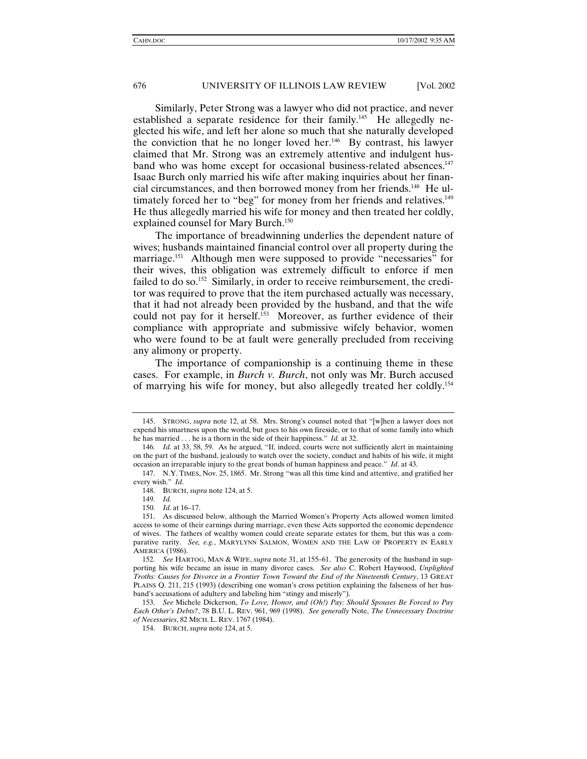Similarly, Peter Strong was a lawyer who did not practice, and never established a separate residence for their family.<sup>145</sup> He allegedly neglected his wife, and left her alone so much that she naturally developed the conviction that he no longer loved her.146 By contrast, his lawyer claimed that Mr. Strong was an extremely attentive and indulgent husband who was home except for occasional business-related absences.<sup>147</sup> Isaac Burch only married his wife after making inquiries about her financial circumstances, and then borrowed money from her friends.148 He ultimately forced her to "beg" for money from her friends and relatives.<sup>149</sup> He thus allegedly married his wife for money and then treated her coldly, explained counsel for Mary Burch.<sup>150</sup>

The importance of breadwinning underlies the dependent nature of wives; husbands maintained financial control over all property during the marriage.151 Although men were supposed to provide "necessaries" for their wives, this obligation was extremely difficult to enforce if men failed to do so.<sup>152</sup> Similarly, in order to receive reimbursement, the creditor was required to prove that the item purchased actually was necessary, that it had not already been provided by the husband, and that the wife could not pay for it herself.<sup>153</sup> Moreover, as further evidence of their compliance with appropriate and submissive wifely behavior, women who were found to be at fault were generally precluded from receiving any alimony or property.

The importance of companionship is a continuing theme in these cases. For example, in *Burch v. Burch*, not only was Mr. Burch accused of marrying his wife for money, but also allegedly treated her coldly.154

 <sup>145.</sup> STRONG, *supra* note 12, at 58. Mrs. Strong's counsel noted that "[w]hen a lawyer does not expend his smartness upon the world, but goes to his own fireside, or to that of some family into which he has married . . . he is a thorn in the side of their happiness." *Id.* at 32.

<sup>146</sup>*. Id.* at 33, 58, 59. As he argued, "If, indeed, courts were not sufficiently alert in maintaining on the part of the husband, jealously to watch over the society, conduct and habits of his wife, it might occasion an irreparable injury to the great bonds of human happiness and peace." *Id*. at 43.

 <sup>147.</sup> N.Y. TIMES, Nov. 25, 1865. Mr. Strong "was all this time kind and attentive, and gratified her every wish." *Id*.

 <sup>148.</sup> BURCH, *supra* note 124, at 5.

<sup>149</sup>*. Id.*

<sup>150</sup>*. Id.* at 16–17.

 <sup>151.</sup> As discussed below, although the Married Women's Property Acts allowed women limited access to some of their earnings during marriage, even these Acts supported the economic dependence of wives. The fathers of wealthy women could create separate estates for them, but this was a comparative rarity. *See, e.g.*, MARYLYNN SALMON, WOMEN AND THE LAW OF PROPERTY IN EARLY AMERICA (1986).

<sup>152</sup>*. See* HARTOG, MAN & WIFE, *supra* note 31, at 155–61. The generosity of the husband in supporting his wife became an issue in many divorce cases. *See also* C. Robert Haywood, *Unplighted Troths: Causes for Divorce in a Frontier Town Toward the End of the Nineteenth Century*, 13 GREAT PLAINS Q. 211, 215 (1993) (describing one woman's cross petition explaining the falseness of her husband's accusations of adultery and labeling him "stingy and miserly").

<sup>153</sup>*. See* Michele Dickerson, *To Love, Honor, and (Oh!) Pay: Should Spouses Be Forced to Pay Each Other's Debts?*, 78 B.U. L. REV. 961, 969 (1998). *See generally* Note, *The Unnecessary Doctrine of Necessaries*, 82 MICH. L. REV. 1767 (1984).

 <sup>154.</sup> BURCH, *supra* note 124, at 5.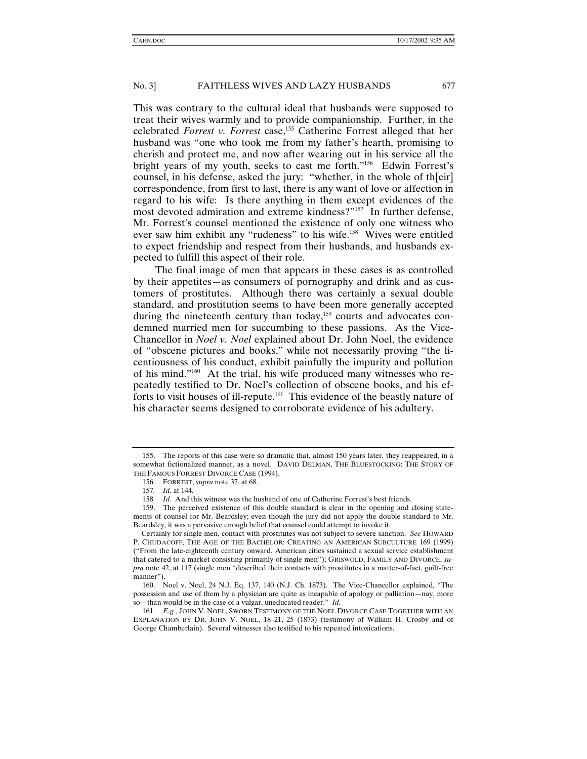This was contrary to the cultural ideal that husbands were supposed to treat their wives warmly and to provide companionship. Further, in the celebrated *Forrest v. Forrest* case,<sup>155</sup> Catherine Forrest alleged that her husband was "one who took me from my father's hearth, promising to cherish and protect me, and now after wearing out in his service all the bright years of my youth, seeks to cast me forth."156 Edwin Forrest's counsel, in his defense, asked the jury: "whether, in the whole of th[eir] correspondence, from first to last, there is any want of love or affection in regard to his wife: Is there anything in them except evidences of the most devoted admiration and extreme kindness?"157 In further defense, Mr. Forrest's counsel mentioned the existence of only one witness who ever saw him exhibit any "rudeness" to his wife.158 Wives were entitled to expect friendship and respect from their husbands, and husbands expected to fulfill this aspect of their role.

The final image of men that appears in these cases is as controlled by their appetites—as consumers of pornography and drink and as customers of prostitutes. Although there was certainly a sexual double standard, and prostitution seems to have been more generally accepted during the nineteenth century than today,<sup>159</sup> courts and advocates condemned married men for succumbing to these passions. As the Vice-Chancellor in *Noel v. Noel* explained about Dr. John Noel, the evidence of "obscene pictures and books," while not necessarily proving "the licentiousness of his conduct, exhibit painfully the impurity and pollution of his mind."160 At the trial, his wife produced many witnesses who repeatedly testified to Dr. Noel's collection of obscene books, and his efforts to visit houses of ill-repute.161 This evidence of the beastly nature of his character seems designed to corroborate evidence of his adultery.

 <sup>155.</sup> The reports of this case were so dramatic that, almost 150 years later, they reappeared, in a somewhat fictionalized manner, as a novel. DAVID DELMAN, THE BLUESTOCKING: THE STORY OF THE FAMOUS FORREST DIVORCE CASE (1994).

 <sup>156.</sup> FORREST, *supra* note 37, at 68.

<sup>157</sup>*. Id.* at 144.

<sup>158</sup>*. Id.* And this witness was the husband of one of Catherine Forrest's best friends.

 <sup>159.</sup> The perceived existence of this double standard is clear in the opening and closing statements of counsel for Mr. Beardsley; even though the jury did not apply the double standard to Mr. Beardsley, it was a pervasive enough belief that counsel could attempt to invoke it.

Certainly for single men, contact with prostitutes was not subject to severe sanction. *See* HOWARD P. CHUDACOFF, THE AGE OF THE BACHELOR: CREATING AN AMERICAN SUBCULTURE 169 (1999) ("From the late-eighteenth century onward, American cities sustained a sexual service establishment that catered to a market consisting primarily of single men"); GRISWOLD, FAMILY AND DIVORCE, *supra* note 42, at 117 (single men "described their contacts with prostitutes in a matter-of-fact, guilt-free manner").

 <sup>160.</sup> Noel v. Noel, 24 N.J. Eq. 137, 140 (N.J. Ch. 1873). The Vice-Chancellor explained, "The possession and use of them by a physician are quite as incapable of apology or palliation—nay, more so—than would be in the case of a vulgar, uneducated reader." *Id.*

<sup>161</sup>*. E.g.*, JOHN V. NOEL, SWORN TESTIMONY OF THE NOEL DIVORCE CASE TOGETHER WITH AN EXPLANATION BY DR. JOHN V. NOEL, 18–21, 25 (1873) (testimony of William H. Crosby and of George Chamberlain). Several witnesses also testified to his repeated intoxications.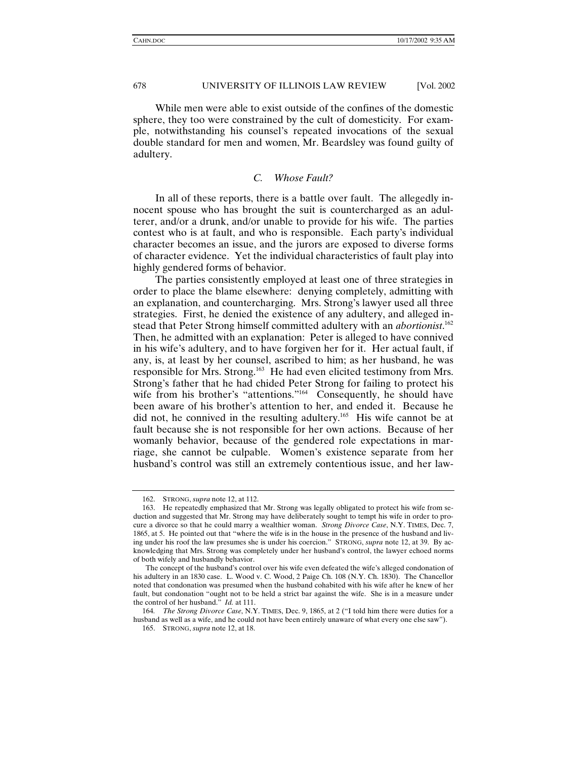While men were able to exist outside of the confines of the domestic sphere, they too were constrained by the cult of domesticity. For example, notwithstanding his counsel's repeated invocations of the sexual double standard for men and women, Mr. Beardsley was found guilty of adultery.

# *C. Whose Fault?*

In all of these reports, there is a battle over fault. The allegedly innocent spouse who has brought the suit is countercharged as an adulterer, and/or a drunk, and/or unable to provide for his wife. The parties contest who is at fault, and who is responsible. Each party's individual character becomes an issue, and the jurors are exposed to diverse forms of character evidence. Yet the individual characteristics of fault play into highly gendered forms of behavior.

The parties consistently employed at least one of three strategies in order to place the blame elsewhere: denying completely, admitting with an explanation, and countercharging. Mrs. Strong's lawyer used all three strategies. First, he denied the existence of any adultery, and alleged instead that Peter Strong himself committed adultery with an *abortionist*. 162 Then, he admitted with an explanation: Peter is alleged to have connived in his wife's adultery, and to have forgiven her for it. Her actual fault, if any, is, at least by her counsel, ascribed to him; as her husband, he was responsible for Mrs. Strong.163 He had even elicited testimony from Mrs. Strong's father that he had chided Peter Strong for failing to protect his wife from his brother's "attentions."<sup>164</sup> Consequently, he should have been aware of his brother's attention to her, and ended it. Because he did not, he connived in the resulting adultery.165 His wife cannot be at fault because she is not responsible for her own actions. Because of her womanly behavior, because of the gendered role expectations in marriage, she cannot be culpable. Women's existence separate from her husband's control was still an extremely contentious issue, and her law-

 <sup>162.</sup> STRONG, *supra* note 12, at 112.

 <sup>163.</sup> He repeatedly emphasized that Mr. Strong was legally obligated to protect his wife from seduction and suggested that Mr. Strong may have deliberately sought to tempt his wife in order to procure a divorce so that he could marry a wealthier woman. *Strong Divorce Case*, N.Y. TIMES, Dec. 7, 1865, at 5. He pointed out that "where the wife is in the house in the presence of the husband and living under his roof the law presumes she is under his coercion." STRONG, *supra* note 12, at 39. By acknowledging that Mrs. Strong was completely under her husband's control, the lawyer echoed norms of both wifely and husbandly behavior.

The concept of the husband's control over his wife even defeated the wife's alleged condonation of his adultery in an 1830 case. L. Wood v. C. Wood, 2 Paige Ch. 108 (N.Y. Ch. 1830). The Chancellor noted that condonation was presumed when the husband cohabited with his wife after he knew of her fault, but condonation "ought not to be held a strict bar against the wife. She is in a measure under the control of her husband." *Id.* at 111.

<sup>164</sup>*. The Strong Divorce Case*, N.Y. TIMES, Dec. 9, 1865, at 2 ("I told him there were duties for a husband as well as a wife, and he could not have been entirely unaware of what every one else saw").

 <sup>165.</sup> STRONG, *supra* note 12, at 18.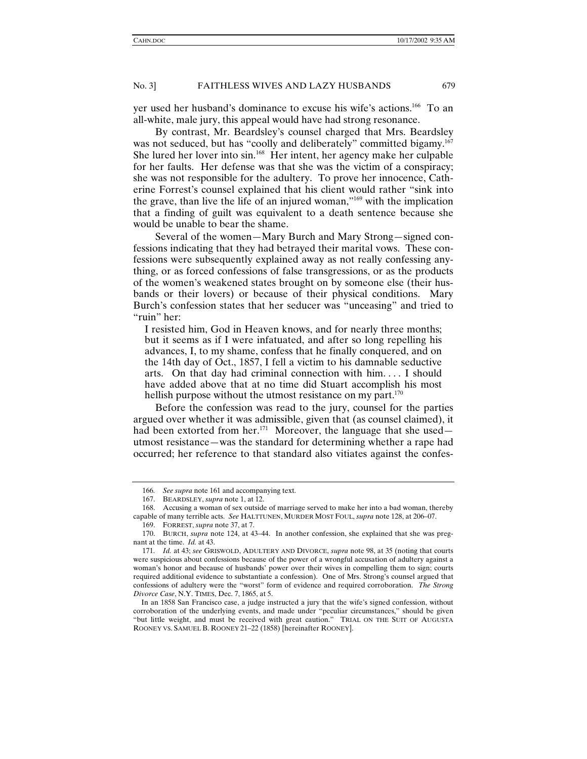yer used her husband's dominance to excuse his wife's actions.166 To an all-white, male jury, this appeal would have had strong resonance.

By contrast, Mr. Beardsley's counsel charged that Mrs. Beardsley was not seduced, but has "coolly and deliberately" committed bigamy.<sup>167</sup> She lured her lover into sin.168 Her intent, her agency make her culpable for her faults. Her defense was that she was the victim of a conspiracy; she was not responsible for the adultery. To prove her innocence, Catherine Forrest's counsel explained that his client would rather "sink into the grave, than live the life of an injured woman,"169 with the implication that a finding of guilt was equivalent to a death sentence because she would be unable to bear the shame.

Several of the women—Mary Burch and Mary Strong—signed confessions indicating that they had betrayed their marital vows. These confessions were subsequently explained away as not really confessing anything, or as forced confessions of false transgressions, or as the products of the women's weakened states brought on by someone else (their husbands or their lovers) or because of their physical conditions. Mary Burch's confession states that her seducer was "unceasing" and tried to "ruin" her:

I resisted him, God in Heaven knows, and for nearly three months; but it seems as if I were infatuated, and after so long repelling his advances, I, to my shame, confess that he finally conquered, and on the 14th day of Oct., 1857, I fell a victim to his damnable seductive arts. On that day had criminal connection with him. . . . I should have added above that at no time did Stuart accomplish his most hellish purpose without the utmost resistance on my part.<sup>170</sup>

Before the confession was read to the jury, counsel for the parties argued over whether it was admissible, given that (as counsel claimed), it had been extorted from her.<sup>171</sup> Moreover, the language that she used utmost resistance—was the standard for determining whether a rape had occurred; her reference to that standard also vitiates against the confes-

<sup>166</sup>*. See supra* note 161 and accompanying text.

 <sup>167.</sup> BEARDSLEY, *supra* note 1, at 12.

 <sup>168.</sup> Accusing a woman of sex outside of marriage served to make her into a bad woman, thereby capable of many terrible acts. *See* HALTTUNEN, MURDER MOST FOUL, *supra* note 128, at 206–07.

 <sup>169.</sup> FORREST, *supra* note 37, at 7.

 <sup>170.</sup> BURCH, *supra* note 124, at 43–44. In another confession, she explained that she was pregnant at the time. *Id.* at 43.

<sup>171</sup>*. Id.* at 43; *see* GRISWOLD, ADULTERY AND DIVORCE, *supra* note 98, at 35 (noting that courts were suspicious about confessions because of the power of a wrongful accusation of adultery against a woman's honor and because of husbands' power over their wives in compelling them to sign; courts required additional evidence to substantiate a confession). One of Mrs. Strong's counsel argued that confessions of adultery were the "worst" form of evidence and required corroboration. *The Strong Divorce Case*, N.Y. TIMES, Dec. 7, 1865, at 5.

In an 1858 San Francisco case, a judge instructed a jury that the wife's signed confession, without corroboration of the underlying events, and made under "peculiar circumstances," should be given "but little weight, and must be received with great caution." TRIAL ON THE SUIT OF AUGUSTA ROONEY VS. SAMUEL B. ROONEY 21–22 (1858) [hereinafter ROONEY].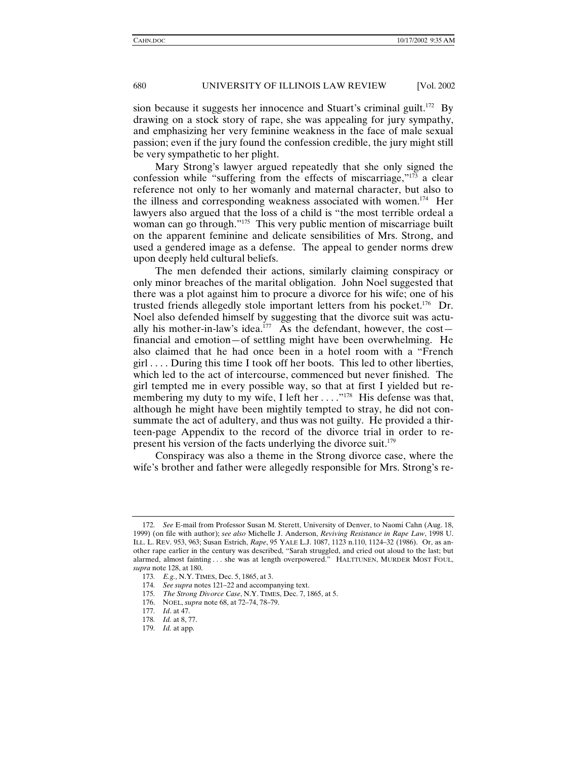sion because it suggests her innocence and Stuart's criminal guilt.<sup>172</sup> By drawing on a stock story of rape, she was appealing for jury sympathy, and emphasizing her very feminine weakness in the face of male sexual passion; even if the jury found the confession credible, the jury might still be very sympathetic to her plight.

Mary Strong's lawyer argued repeatedly that she only signed the confession while "suffering from the effects of miscarriage,"173 a clear reference not only to her womanly and maternal character, but also to the illness and corresponding weakness associated with women.<sup>174</sup> Her lawyers also argued that the loss of a child is "the most terrible ordeal a woman can go through."<sup>175</sup> This very public mention of miscarriage built on the apparent feminine and delicate sensibilities of Mrs. Strong, and used a gendered image as a defense. The appeal to gender norms drew upon deeply held cultural beliefs.

The men defended their actions, similarly claiming conspiracy or only minor breaches of the marital obligation. John Noel suggested that there was a plot against him to procure a divorce for his wife; one of his trusted friends allegedly stole important letters from his pocket.<sup>176</sup> Dr. Noel also defended himself by suggesting that the divorce suit was actually his mother-in-law's idea.<sup>177</sup> As the defendant, however, the cost financial and emotion—of settling might have been overwhelming. He also claimed that he had once been in a hotel room with a "French girl . . . . During this time I took off her boots. This led to other liberties, which led to the act of intercourse, commenced but never finished. The girl tempted me in every possible way, so that at first I yielded but remembering my duty to my wife, I left her  $\dots$   $\cdot$   $\cdot$   $\cdot$   $\cdot$  His defense was that, although he might have been mightily tempted to stray, he did not consummate the act of adultery, and thus was not guilty. He provided a thirteen-page Appendix to the record of the divorce trial in order to represent his version of the facts underlying the divorce suit.<sup>179</sup>

Conspiracy was also a theme in the Strong divorce case, where the wife's brother and father were allegedly responsible for Mrs. Strong's re-

<sup>172</sup>*. See* E-mail from Professor Susan M. Sterett, University of Denver, to Naomi Cahn (Aug. 18, 1999) (on file with author); *see also* Michelle J. Anderson, *Reviving Resistance in Rape Law*, 1998 U. ILL. L. REV. 953, 963; Susan Estrich, *Rape*, 95 YALE L.J. 1087, 1123 n.110, 1124–32 (1986). Or, as another rape earlier in the century was described, "Sarah struggled, and cried out aloud to the last; but alarmed, almost fainting . . . she was at length overpowered." HALTTUNEN, MURDER MOST FOUL, *supra* note 128, at 180.

<sup>173</sup>*. E.g.*, N.Y. TIMES, Dec. 5, 1865, at 3.

<sup>174</sup>*. See supra* notes 121–22 and accompanying text.

<sup>175</sup>*. The Strong Divorce Case*, N.Y. TIMES, Dec. 7, 1865, at 5.

 <sup>176.</sup> NOEL, *supra* note 68, at 72–74, 78–79.

<sup>177</sup>*. Id*. at 47.

<sup>178</sup>*. Id.* at 8, 77.

<sup>179</sup>*. Id.* at app.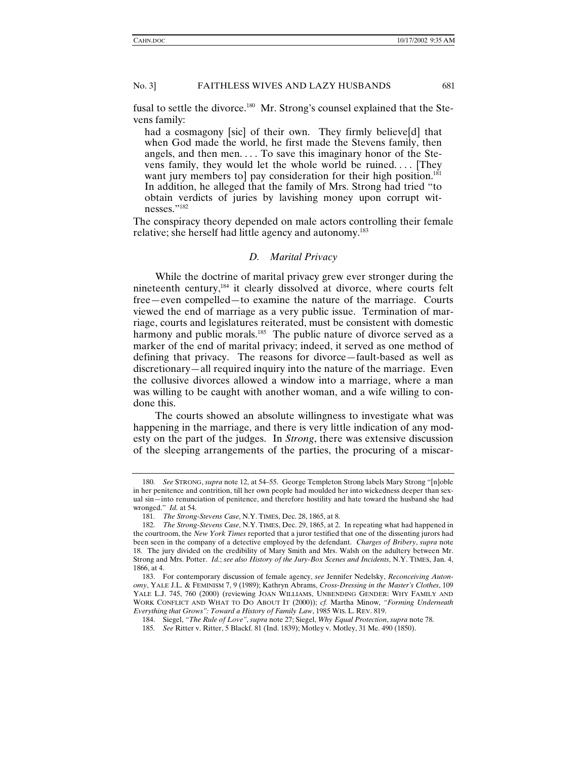fusal to settle the divorce.<sup>180</sup> Mr. Strong's counsel explained that the Stevens family:

had a cosmagony [sic] of their own. They firmly believe[d] that when God made the world, he first made the Stevens family, then angels, and then men.... To save this imaginary honor of the Stevens family, they would let the whole world be ruined. . . . [They want jury members to] pay consideration for their high position.<sup>181</sup> In addition, he alleged that the family of Mrs. Strong had tried "to obtain verdicts of juries by lavishing money upon corrupt witnesses."182

The conspiracy theory depended on male actors controlling their female relative; she herself had little agency and autonomy.<sup>183</sup>

#### *D. Marital Privacy*

While the doctrine of marital privacy grew ever stronger during the nineteenth century,184 it clearly dissolved at divorce, where courts felt free—even compelled—to examine the nature of the marriage. Courts viewed the end of marriage as a very public issue. Termination of marriage, courts and legislatures reiterated, must be consistent with domestic harmony and public morals.<sup>185</sup> The public nature of divorce served as a marker of the end of marital privacy; indeed, it served as one method of defining that privacy. The reasons for divorce—fault-based as well as discretionary—all required inquiry into the nature of the marriage. Even the collusive divorces allowed a window into a marriage, where a man was willing to be caught with another woman, and a wife willing to condone this.

The courts showed an absolute willingness to investigate what was happening in the marriage, and there is very little indication of any modesty on the part of the judges. In *Strong*, there was extensive discussion of the sleeping arrangements of the parties, the procuring of a miscar-

<sup>180</sup>*. See* STRONG, *supra* note 12, at 54–55. George Templeton Strong labels Mary Strong "[n]oble in her penitence and contrition, till her own people had moulded her into wickedness deeper than sexual sin—into renunciation of penitence, and therefore hostility and hate toward the husband she had wronged." *Id.* at 54.

<sup>181</sup>*. The Strong-Stevens Case*, N.Y. TIMES, Dec. 28, 1865, at 8.

<sup>182</sup>*. The Strong-Stevens Case*, N.Y. TIMES, Dec. 29, 1865, at 2. In repeating what had happened in the courtroom, the *New York Times* reported that a juror testified that one of the dissenting jurors had been seen in the company of a detective employed by the defendant. *Charges of Bribery*, *supra* note 18. The jury divided on the credibility of Mary Smith and Mrs. Walsh on the adultery between Mr. Strong and Mrs. Potter. *Id.*; *see also History of the Jury-Box Scenes and Incidents*, N.Y. TIMES, Jan. 4, 1866, at 4.

 <sup>183.</sup> For contemporary discussion of female agency, *see* Jennifer Nedelsky, *Reconceiving Autonomy*, YALE J.L. & FEMINISM 7, 9 (1989); Kathryn Abrams, *Cross-Dressing in the Master's Clothes*, 109 YALE L.J. 745, 760 (2000) (reviewing JOAN WILLIAMS, UNBENDING GENDER: WHY FAMILY AND WORK CONFLICT AND WHAT TO DO ABOUT IT (2000)); *cf.* Martha Minow, *"Forming Underneath Everything that Grows": Toward a History of Family Law*, 1985 WIS. L. REV. 819.

 <sup>184.</sup> Siegel, *"The Rule of Love"*, *supra* note 27; Siegel, *Why Equal Protection*, *supra* note 78.

<sup>185</sup>*. See* Ritter v. Ritter, 5 Blackf. 81 (Ind. 1839); Motley v. Motley, 31 Me. 490 (1850).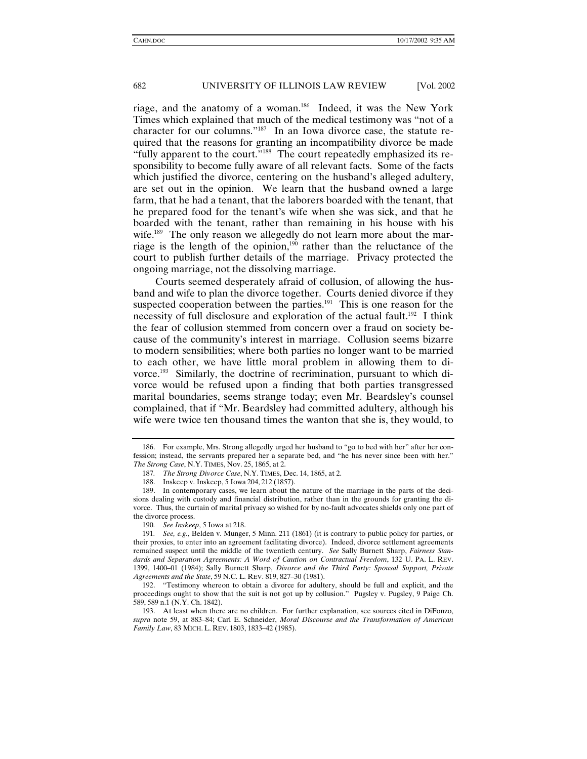riage, and the anatomy of a woman.186 Indeed, it was the New York Times which explained that much of the medical testimony was "not of a character for our columns."187 In an Iowa divorce case, the statute required that the reasons for granting an incompatibility divorce be made "fully apparent to the court."<sup>188</sup> The court repeatedly emphasized its responsibility to become fully aware of all relevant facts. Some of the facts which justified the divorce, centering on the husband's alleged adultery, are set out in the opinion. We learn that the husband owned a large farm, that he had a tenant, that the laborers boarded with the tenant, that he prepared food for the tenant's wife when she was sick, and that he boarded with the tenant, rather than remaining in his house with his wife.<sup>189</sup> The only reason we allegedly do not learn more about the marriage is the length of the opinion,<sup>190</sup> rather than the reluctance of the court to publish further details of the marriage. Privacy protected the ongoing marriage, not the dissolving marriage.

Courts seemed desperately afraid of collusion, of allowing the husband and wife to plan the divorce together. Courts denied divorce if they suspected cooperation between the parties.<sup>191</sup> This is one reason for the necessity of full disclosure and exploration of the actual fault.<sup>192</sup> I think the fear of collusion stemmed from concern over a fraud on society because of the community's interest in marriage. Collusion seems bizarre to modern sensibilities; where both parties no longer want to be married to each other, we have little moral problem in allowing them to divorce.<sup>193</sup> Similarly, the doctrine of recrimination, pursuant to which divorce would be refused upon a finding that both parties transgressed marital boundaries, seems strange today; even Mr. Beardsley's counsel complained, that if "Mr. Beardsley had committed adultery, although his wife were twice ten thousand times the wanton that she is, they would, to

190*. See Inskeep*, 5 Iowa at 218.

 <sup>186.</sup> For example, Mrs. Strong allegedly urged her husband to "go to bed with her" after her confession; instead, the servants prepared her a separate bed, and "he has never since been with her." *The Strong Case*, N.Y. TIMES, Nov. 25, 1865, at 2.

<sup>187</sup>*. The Strong Divorce Case*, N.Y. TIMES, Dec. 14, 1865, at 2.

 <sup>188.</sup> Inskeep v. Inskeep, 5 Iowa 204, 212 (1857).

 <sup>189.</sup> In contemporary cases, we learn about the nature of the marriage in the parts of the decisions dealing with custody and financial distribution, rather than in the grounds for granting the divorce. Thus, the curtain of marital privacy so wished for by no-fault advocates shields only one part of the divorce process.

<sup>191</sup>*. See, e.g.*, Belden v. Munger, 5 Minn. 211 (1861) (it is contrary to public policy for parties, or their proxies, to enter into an agreement facilitating divorce). Indeed, divorce settlement agreements remained suspect until the middle of the twentieth century. *See* Sally Burnett Sharp, *Fairness Standards and Separation Agreements: A Word of Caution on Contractual Freedom*, 132 U. PA. L. REV. 1399, 1400–01 (1984); Sally Burnett Sharp, *Divorce and the Third Party: Spousal Support, Private Agreements and the State*, 59 N.C. L. REV. 819, 827–30 (1981).

 <sup>192. &</sup>quot;Testimony whereon to obtain a divorce for adultery, should be full and explicit, and the proceedings ought to show that the suit is not got up by collusion." Pugsley v. Pugsley, 9 Paige Ch. 589, 589 n.1 (N.Y. Ch. 1842).

 <sup>193.</sup> At least when there are no children. For further explanation, see sources cited in DiFonzo, *supra* note 59, at 883–84; Carl E. Schneider, *Moral Discourse and the Transformation of American Family Law*, 83 MICH. L. REV. 1803, 1833–42 (1985).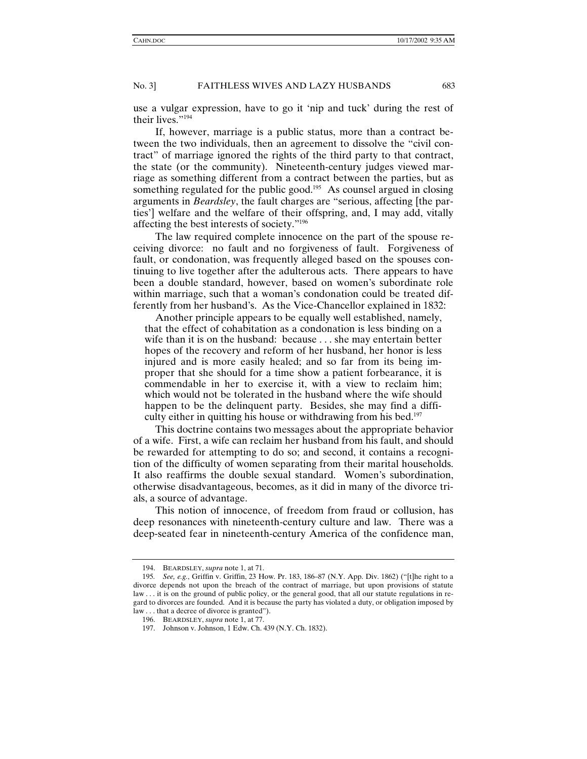use a vulgar expression, have to go it 'nip and tuck' during the rest of their lives."194

If, however, marriage is a public status, more than a contract between the two individuals, then an agreement to dissolve the "civil contract" of marriage ignored the rights of the third party to that contract, the state (or the community). Nineteenth-century judges viewed marriage as something different from a contract between the parties, but as something regulated for the public good.<sup>195</sup> As counsel argued in closing arguments in *Beardsley*, the fault charges are "serious, affecting [the parties'] welfare and the welfare of their offspring, and, I may add, vitally affecting the best interests of society."196

The law required complete innocence on the part of the spouse receiving divorce: no fault and no forgiveness of fault. Forgiveness of fault, or condonation, was frequently alleged based on the spouses continuing to live together after the adulterous acts. There appears to have been a double standard, however, based on women's subordinate role within marriage, such that a woman's condonation could be treated differently from her husband's. As the Vice-Chancellor explained in 1832:

 Another principle appears to be equally well established, namely, that the effect of cohabitation as a condonation is less binding on a wife than it is on the husband: because . . . she may entertain better hopes of the recovery and reform of her husband, her honor is less injured and is more easily healed; and so far from its being improper that she should for a time show a patient forbearance, it is commendable in her to exercise it, with a view to reclaim him; which would not be tolerated in the husband where the wife should happen to be the delinquent party. Besides, she may find a difficulty either in quitting his house or withdrawing from his bed.<sup>197</sup>

This doctrine contains two messages about the appropriate behavior of a wife. First, a wife can reclaim her husband from his fault, and should be rewarded for attempting to do so; and second, it contains a recognition of the difficulty of women separating from their marital households. It also reaffirms the double sexual standard. Women's subordination, otherwise disadvantageous, becomes, as it did in many of the divorce trials, a source of advantage.

This notion of innocence, of freedom from fraud or collusion, has deep resonances with nineteenth-century culture and law. There was a deep-seated fear in nineteenth-century America of the confidence man,

 <sup>194.</sup> BEARDSLEY, *supra* note 1, at 71.

<sup>195</sup>*. See, e.g.*, Griffin v. Griffin, 23 How. Pr. 183, 186–87 (N.Y. App. Div. 1862) ("[t]he right to a divorce depends not upon the breach of the contract of marriage, but upon provisions of statute law . . . it is on the ground of public policy, or the general good, that all our statute regulations in regard to divorces are founded. And it is because the party has violated a duty, or obligation imposed by law . . . that a decree of divorce is granted").

 <sup>196.</sup> BEARDSLEY, *supra* note 1, at 77.

 <sup>197.</sup> Johnson v. Johnson, 1 Edw. Ch. 439 (N.Y. Ch. 1832).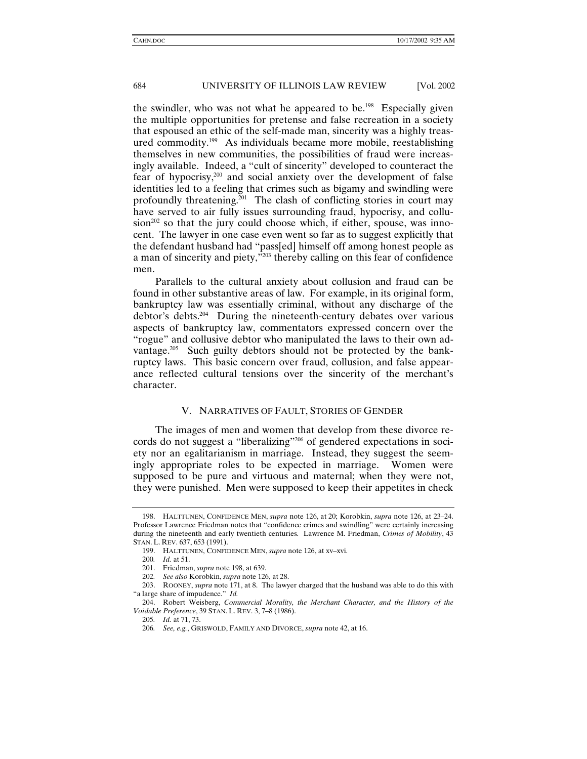the swindler, who was not what he appeared to be.<sup>198</sup> Especially given the multiple opportunities for pretense and false recreation in a society that espoused an ethic of the self-made man, sincerity was a highly treasured commodity.199 As individuals became more mobile, reestablishing themselves in new communities, the possibilities of fraud were increasingly available. Indeed, a "cult of sincerity" developed to counteract the fear of hypocrisy,200 and social anxiety over the development of false identities led to a feeling that crimes such as bigamy and swindling were profoundly threatening.<sup> $201$ </sup> The clash of conflicting stories in court may have served to air fully issues surrounding fraud, hypocrisy, and collu $sion<sup>202</sup>$  so that the jury could choose which, if either, spouse, was innocent. The lawyer in one case even went so far as to suggest explicitly that the defendant husband had "pass[ed] himself off among honest people as a man of sincerity and piety,"203 thereby calling on this fear of confidence men.

Parallels to the cultural anxiety about collusion and fraud can be found in other substantive areas of law. For example, in its original form, bankruptcy law was essentially criminal, without any discharge of the debtor's debts.204 During the nineteenth-century debates over various aspects of bankruptcy law, commentators expressed concern over the "rogue" and collusive debtor who manipulated the laws to their own advantage.<sup>205</sup> Such guilty debtors should not be protected by the bankruptcy laws. This basic concern over fraud, collusion, and false appearance reflected cultural tensions over the sincerity of the merchant's character.

# V. NARRATIVES OF FAULT, STORIES OF GENDER

The images of men and women that develop from these divorce records do not suggest a "liberalizing"206 of gendered expectations in society nor an egalitarianism in marriage. Instead, they suggest the seemingly appropriate roles to be expected in marriage. Women were supposed to be pure and virtuous and maternal; when they were not, they were punished. Men were supposed to keep their appetites in check

 <sup>198.</sup> HALTTUNEN, CONFIDENCE MEN, *supra* note 126, at 20; Korobkin, *supra* note 126, at 23–24. Professor Lawrence Friedman notes that "confidence crimes and swindling" were certainly increasing during the nineteenth and early twentieth centuries. Lawrence M. Friedman, *Crimes of Mobility*, 43 STAN. L. REV. 637, 653 (1991).

 <sup>199.</sup> HALTTUNEN, CONFIDENCE MEN, *supra* note 126, at xv–xvi.

<sup>200</sup>*. Id.* at 51.

 <sup>201.</sup> Friedman, *supra* note 198, at 639.

<sup>202</sup>*. See also* Korobkin, *supra* note 126, at 28.

 <sup>203.</sup> ROONEY, *supra* note 171, at 8. The lawyer charged that the husband was able to do this with "a large share of impudence." *Id.*

 <sup>204.</sup> Robert Weisberg, *Commercial Morality, the Merchant Character, and the History of the Voidable Preference*, 39 STAN. L. REV. 3, 7–8 (1986).

<sup>205</sup>*. Id.* at 71, 73.

<sup>206</sup>*. See, e.g.*, GRISWOLD, FAMILY AND DIVORCE, *supra* note 42, at 16.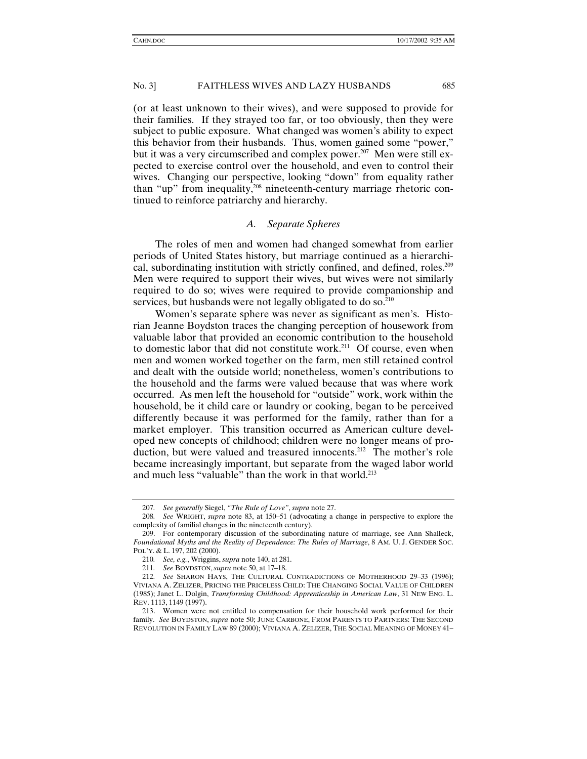(or at least unknown to their wives), and were supposed to provide for their families. If they strayed too far, or too obviously, then they were subject to public exposure. What changed was women's ability to expect this behavior from their husbands. Thus, women gained some "power," but it was a very circumscribed and complex power.<sup>207</sup> Men were still expected to exercise control over the household, and even to control their wives. Changing our perspective, looking "down" from equality rather than "up" from inequality,208 nineteenth-century marriage rhetoric continued to reinforce patriarchy and hierarchy.

#### *A. Separate Spheres*

The roles of men and women had changed somewhat from earlier periods of United States history, but marriage continued as a hierarchical, subordinating institution with strictly confined, and defined, roles.<sup>209</sup> Men were required to support their wives, but wives were not similarly required to do so; wives were required to provide companionship and services, but husbands were not legally obligated to do so.<sup>210</sup>

Women's separate sphere was never as significant as men's. Historian Jeanne Boydston traces the changing perception of housework from valuable labor that provided an economic contribution to the household to domestic labor that did not constitute work.<sup>211</sup> Of course, even when men and women worked together on the farm, men still retained control and dealt with the outside world; nonetheless, women's contributions to the household and the farms were valued because that was where work occurred. As men left the household for "outside" work, work within the household, be it child care or laundry or cooking, began to be perceived differently because it was performed for the family, rather than for a market employer. This transition occurred as American culture developed new concepts of childhood; children were no longer means of production, but were valued and treasured innocents.<sup>212</sup> The mother's role became increasingly important, but separate from the waged labor world and much less "valuable" than the work in that world.<sup>213</sup>

<sup>207</sup>*. See generally* Siegel, *"The Rule of Love"*, *supra* note 27.

<sup>208</sup>*. See* WRIGHT, *supra* note 83, at 150–51 (advocating a change in perspective to explore the complexity of familial changes in the nineteenth century).

 <sup>209.</sup> For contemporary discussion of the subordinating nature of marriage, see Ann Shalleck, *Foundational Myths and the Reality of Dependence: The Rules of Marriage*, 8 AM. U. J. GENDER SOC. POL'Y. & L. 197, 202 (2000).

<sup>210</sup>*. See, e.g.*, Wriggins, *supra* note 140, at 281.

<sup>211</sup>*. See* BOYDSTON,*supra* note 50, at 17–18.

<sup>212</sup>*. See* SHARON HAYS, THE CULTURAL CONTRADICTIONS OF MOTHERHOOD 29–33 (1996); VIVIANA A. ZELIZER, PRICING THE PRICELESS CHILD: THE CHANGING SOCIAL VALUE OF CHILDREN (1985); Janet L. Dolgin, *Transforming Childhood: Apprenticeship in American Law*, 31 NEW ENG. L. REV. 1113, 1149 (1997).

 <sup>213.</sup> Women were not entitled to compensation for their household work performed for their family. *See* BOYDSTON, *supra* note 50; JUNE CARBONE, FROM PARENTS TO PARTNERS: THE SECOND REVOLUTION IN FAMILY LAW 89 (2000); VIVIANA A. ZELIZER, THE SOCIAL MEANING OF MONEY 41–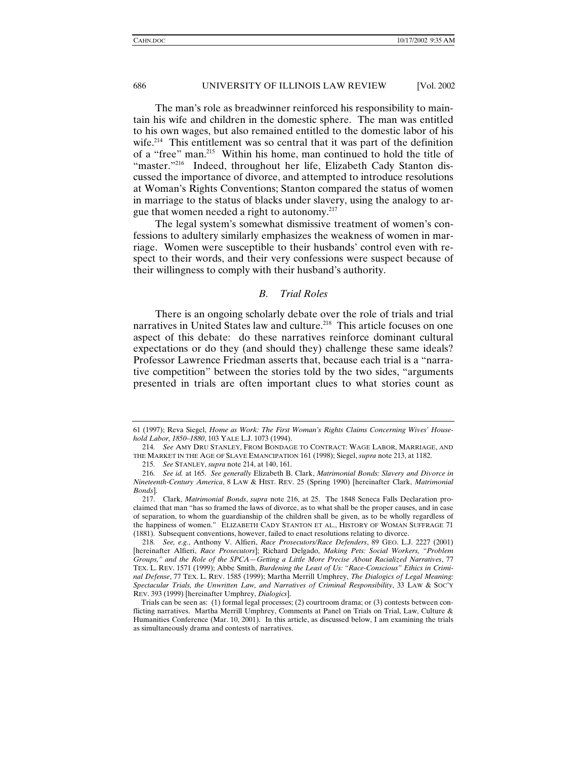The man's role as breadwinner reinforced his responsibility to maintain his wife and children in the domestic sphere. The man was entitled to his own wages, but also remained entitled to the domestic labor of his wife.<sup>214</sup> This entitlement was so central that it was part of the definition of a "free" man.215 Within his home, man continued to hold the title of "master."216 Indeed, throughout her life, Elizabeth Cady Stanton discussed the importance of divorce, and attempted to introduce resolutions at Woman's Rights Conventions; Stanton compared the status of women in marriage to the status of blacks under slavery, using the analogy to argue that women needed a right to autonomy.217

The legal system's somewhat dismissive treatment of women's confessions to adultery similarly emphasizes the weakness of women in marriage. Women were susceptible to their husbands' control even with respect to their words, and their very confessions were suspect because of their willingness to comply with their husband's authority.

# *B. Trial Roles*

There is an ongoing scholarly debate over the role of trials and trial narratives in United States law and culture.<sup>218</sup> This article focuses on one aspect of this debate: do these narratives reinforce dominant cultural expectations or do they (and should they) challenge these same ideals? Professor Lawrence Friedman asserts that, because each trial is a "narrative competition" between the stories told by the two sides, "arguments presented in trials are often important clues to what stories count as

<sup>61 (1997);</sup> Reva Siegel, *Home as Work: The First Woman's Rights Claims Concerning Wives' Household Labor, 1850–1880*, 103 YALE L.J. 1073 (1994).

<sup>214</sup>*. See* AMY DRU STANLEY, FROM BONDAGE TO CONTRACT: WAGE LABOR, MARRIAGE, AND THE MARKET IN THE AGE OF SLAVE EMANCIPATION 161 (1998); Siegel, *supra* note 213, at 1182.

<sup>215</sup>*. See* STANLEY, *supra* note 214, at 140, 161.

<sup>216</sup>*. See id.* at 165. *See generally* Elizabeth B. Clark, *Matrimonial Bonds: Slavery and Divorce in Nineteenth-Century America*, 8 LAW & HIST. REV. 25 (Spring 1990) [hereinafter Clark, *Matrimonial Bonds*].

 <sup>217.</sup> Clark, *Matrimonial Bonds*, *supra* note 216, at 25. The 1848 Seneca Falls Declaration proclaimed that man "has so framed the laws of divorce, as to what shall be the proper causes, and in case of separation, to whom the guardianship of the children shall be given, as to be wholly regardless of the happiness of women." ELIZABETH CADY STANTON ET AL., HISTORY OF WOMAN SUFFRAGE 71 (1881). Subsequent conventions, however, failed to enact resolutions relating to divorce.

<sup>218</sup>*. See, e.g.*, Anthony V. Alfieri, *Race Prosecutors/Race Defenders*, 89 GEO. L.J. 2227 (2001) [hereinafter Alfieri, *Race Prosecutors*]; Richard Delgado, *Making Pets: Social Workers, "Problem Groups," and the Role of the SPCA—Getting a Little More Precise About Racialized Narratives*, 77 TEX. L. REV. 1571 (1999); Abbe Smith, *Burdening the Least of Us: "Race-Conscious" Ethics in Criminal Defense*, 77 TEX. L. REV. 1585 (1999); Martha Merrill Umphrey, *The Dialogics of Legal Meaning: Spectacular Trials, the Unwritten Law, and Narratives of Criminal Responsibility*, 33 LAW & SOC'Y REV. 393 (1999) [hereinafter Umphrey, *Dialogics*].

Trials can be seen as: (1) formal legal processes; (2) courtroom drama; or (3) contests between conflicting narratives. Martha Merrill Umphrey, Comments at Panel on Trials on Trial, Law, Culture & Humanities Conference (Mar. 10, 2001). In this article, as discussed below, I am examining the trials as simultaneously drama and contests of narratives.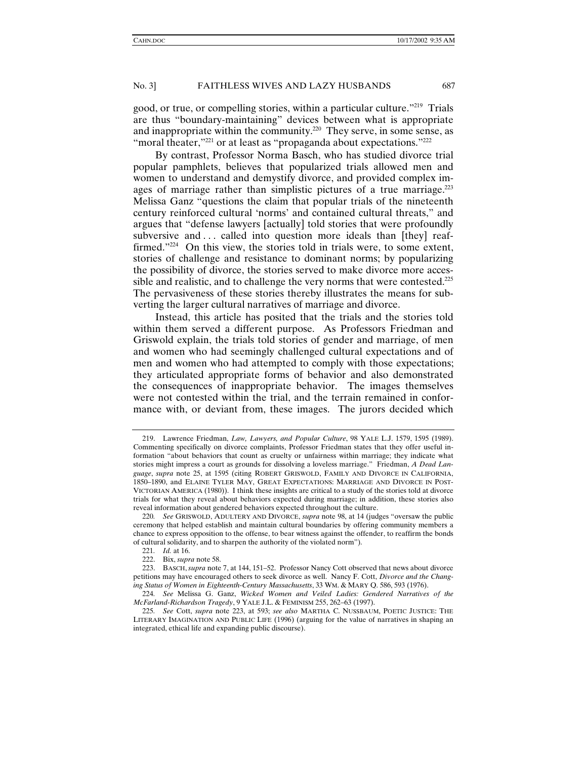good, or true, or compelling stories, within a particular culture."219 Trials are thus "boundary-maintaining" devices between what is appropriate and inappropriate within the community.<sup>220</sup> They serve, in some sense, as "moral theater,"<sup>221</sup> or at least as "propaganda about expectations."<sup>222</sup>

By contrast, Professor Norma Basch, who has studied divorce trial popular pamphlets, believes that popularized trials allowed men and women to understand and demystify divorce, and provided complex images of marriage rather than simplistic pictures of a true marriage.<sup>223</sup> Melissa Ganz "questions the claim that popular trials of the nineteenth century reinforced cultural 'norms' and contained cultural threats," and argues that "defense lawyers [actually] told stories that were profoundly subversive and ... called into question more ideals than [they] reaffirmed."224 On this view, the stories told in trials were, to some extent, stories of challenge and resistance to dominant norms; by popularizing the possibility of divorce, the stories served to make divorce more accessible and realistic, and to challenge the very norms that were contested.<sup>225</sup> The pervasiveness of these stories thereby illustrates the means for subverting the larger cultural narratives of marriage and divorce.

Instead, this article has posited that the trials and the stories told within them served a different purpose. As Professors Friedman and Griswold explain, the trials told stories of gender and marriage, of men and women who had seemingly challenged cultural expectations and of men and women who had attempted to comply with those expectations; they articulated appropriate forms of behavior and also demonstrated the consequences of inappropriate behavior. The images themselves were not contested within the trial, and the terrain remained in conformance with, or deviant from, these images. The jurors decided which

 <sup>219.</sup> Lawrence Friedman, *Law, Lawyers, and Popular Culture*, 98 YALE L.J. 1579, 1595 (1989). Commenting specifically on divorce complaints, Professor Friedman states that they offer useful information "about behaviors that count as cruelty or unfairness within marriage; they indicate what stories might impress a court as grounds for dissolving a loveless marriage." Friedman, *A Dead Language*, *supra* note 25, at 1595 (citing ROBERT GRISWOLD, FAMILY AND DIVORCE IN CALIFORNIA, 1850–1890, and ELAINE TYLER MAY, GREAT EXPECTATIONS: MARRIAGE AND DIVORCE IN POST-VICTORIAN AMERICA (1980)). I think these insights are critical to a study of the stories told at divorce trials for what they reveal about behaviors expected during marriage; in addition, these stories also reveal information about gendered behaviors expected throughout the culture.

<sup>220</sup>*. See* GRISWOLD, ADULTERY AND DIVORCE, *supra* note 98, at 14 (judges "oversaw the public ceremony that helped establish and maintain cultural boundaries by offering community members a chance to express opposition to the offense, to bear witness against the offender, to reaffirm the bonds of cultural solidarity, and to sharpen the authority of the violated norm").

<sup>221</sup>*. Id.* at 16.

 <sup>222.</sup> Bix, *supra* note 58.

 <sup>223.</sup> BASCH,*supra* note 7, at 144, 151–52. Professor Nancy Cott observed that news about divorce petitions may have encouraged others to seek divorce as well. Nancy F. Cott, *Divorce and the Changing Status of Women in Eighteenth-Century Massachusetts*, 33 WM. & MARY Q. 586, 593 (1976).

<sup>224</sup>*. See* Melissa G. Ganz, *Wicked Women and Veiled Ladies: Gendered Narratives of the McFarland-Richardson Tragedy*, 9 YALE J.L. & FEMINISM 255, 262–63 (1997).

<sup>225</sup>*. See* Cott, *supra* note 223, at 593; *see also* MARTHA C. NUSSBAUM, POETIC JUSTICE: THE LITERARY IMAGINATION AND PUBLIC LIFE (1996) (arguing for the value of narratives in shaping an integrated, ethical life and expanding public discourse).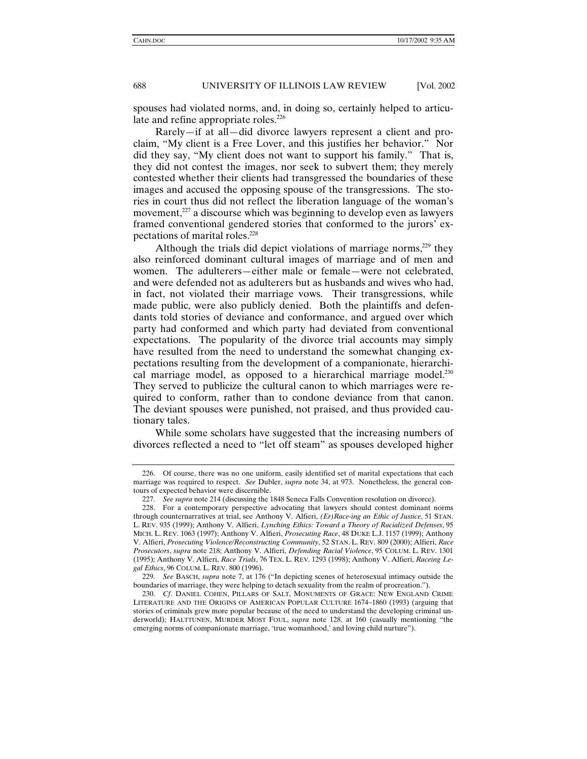spouses had violated norms, and, in doing so, certainly helped to articulate and refine appropriate roles.<sup>226</sup>

Rarely—if at all—did divorce lawyers represent a client and proclaim, "My client is a Free Lover, and this justifies her behavior." Nor did they say, "My client does not want to support his family." That is, they did not contest the images, nor seek to subvert them; they merely contested whether their clients had transgressed the boundaries of these images and accused the opposing spouse of the transgressions. The stories in court thus did not reflect the liberation language of the woman's movement,<sup>227</sup> a discourse which was beginning to develop even as lawyers framed conventional gendered stories that conformed to the jurors' expectations of marital roles.<sup>228</sup>

Although the trials did depict violations of marriage norms, $229$  they also reinforced dominant cultural images of marriage and of men and women. The adulterers—either male or female—were not celebrated, and were defended not as adulterers but as husbands and wives who had, in fact, not violated their marriage vows. Their transgressions, while made public, were also publicly denied. Both the plaintiffs and defendants told stories of deviance and conformance, and argued over which party had conformed and which party had deviated from conventional expectations. The popularity of the divorce trial accounts may simply have resulted from the need to understand the somewhat changing expectations resulting from the development of a companionate, hierarchical marriage model, as opposed to a hierarchical marriage model.<sup>230</sup> They served to publicize the cultural canon to which marriages were required to conform, rather than to condone deviance from that canon. The deviant spouses were punished, not praised, and thus provided cautionary tales.

While some scholars have suggested that the increasing numbers of divorces reflected a need to "let off steam" as spouses developed higher

 <sup>226.</sup> Of course, there was no one uniform, easily identified set of marital expectations that each marriage was required to respect. *See* Dubler, *supra* note 34, at 973. Nonetheless, the general contours of expected behavior were discernible.

<sup>227</sup>*. See supra* note 214 (discussing the 1848 Seneca Falls Convention resolution on divorce).

 <sup>228.</sup> For a contemporary perspective advocating that lawyers should contest dominant norms through counternarratives at trial, see Anthony V. Alfieri, *(Er)Race-ing an Ethic of Justice*, 51 STAN. L. REV. 935 (1999); Anthony V. Alfieri, *Lynching Ethics: Toward a Theory of Racialized Defenses*, 95 MICH. L. REV. 1063 (1997); Anthony V. Alfieri, *Prosecuting Race*, 48 DUKE L.J. 1157 (1999); Anthony V. Alfieri, *Prosecuting Violence/Reconstructing Community*, 52 STAN. L. REV. 809 (2000); Alfieri, *Race Prosecutors*, *supra* note 218; Anthony V. Alfieri, *Defending Racial Violence*, 95 COLUM. L. REV. 1301 (1995); Anthony V. Alfieri, *Race Trials*, 76 TEX. L. REV. 1293 (1998); Anthony V. Alfieri, *Raceing Legal Ethics*, 96 COLUM. L. REV. 800 (1996).

<sup>229</sup>*. See* BASCH, *supra* note 7, at 176 ("In depicting scenes of heterosexual intimacy outside the boundaries of marriage, they were helping to detach sexuality from the realm of procreation.").

<sup>230</sup>*. Cf*. DANIEL COHEN, PILLARS OF SALT, MONUMENTS OF GRACE: NEW ENGLAND CRIME LITERATURE AND THE ORIGINS OF AMERICAN POPULAR CULTURE 1674–1860 (1993) (arguing that stories of criminals grew more popular because of the need to understand the developing criminal underworld); HALTTUNEN, MURDER MOST FOUL, *supra* note 128, at 160 (casually mentioning "the emerging norms of companionate marriage, 'true womanhood,' and loving child nurture").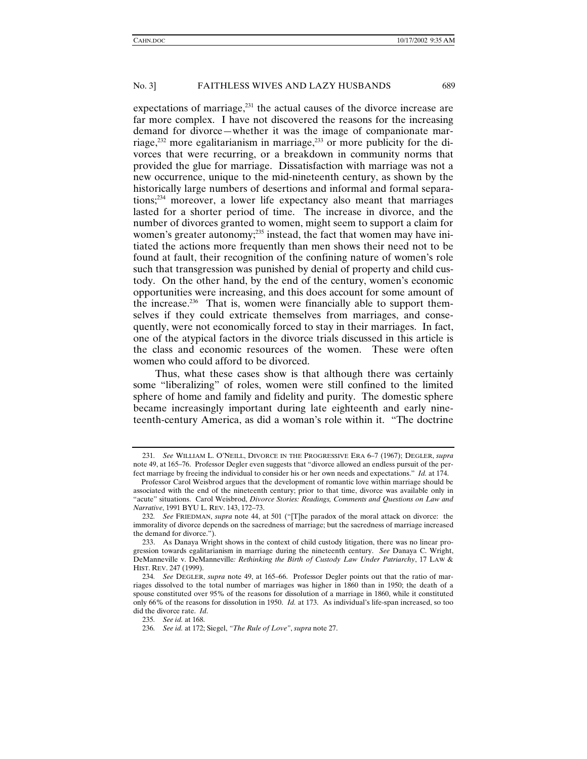expectations of marriage, $^{231}$  the actual causes of the divorce increase are far more complex. I have not discovered the reasons for the increasing demand for divorce—whether it was the image of companionate marriage, $232$  more egalitarianism in marriage, $233$  or more publicity for the divorces that were recurring, or a breakdown in community norms that provided the glue for marriage. Dissatisfaction with marriage was not a new occurrence, unique to the mid-nineteenth century, as shown by the historically large numbers of desertions and informal and formal separations;234 moreover, a lower life expectancy also meant that marriages lasted for a shorter period of time. The increase in divorce, and the number of divorces granted to women, might seem to support a claim for women's greater autonomy;<sup>235</sup> instead, the fact that women may have initiated the actions more frequently than men shows their need not to be found at fault, their recognition of the confining nature of women's role such that transgression was punished by denial of property and child custody. On the other hand, by the end of the century, women's economic opportunities were increasing, and this does account for some amount of the increase.<sup>236</sup> That is, women were financially able to support themselves if they could extricate themselves from marriages, and consequently, were not economically forced to stay in their marriages. In fact, one of the atypical factors in the divorce trials discussed in this article is the class and economic resources of the women. These were often women who could afford to be divorced.

Thus, what these cases show is that although there was certainly some "liberalizing" of roles, women were still confined to the limited sphere of home and family and fidelity and purity. The domestic sphere became increasingly important during late eighteenth and early nineteenth-century America, as did a woman's role within it. "The doctrine

235*. See id.* at 168.

<sup>231</sup>*. See* WILLIAM L. O'NEILL, DIVORCE IN THE PROGRESSIVE ERA 6–7 (1967); DEGLER, *supra* note 49, at 165–76. Professor Degler even suggests that "divorce allowed an endless pursuit of the perfect marriage by freeing the individual to consider his or her own needs and expectations." *Id.* at 174.

Professor Carol Weisbrod argues that the development of romantic love within marriage should be associated with the end of the nineteenth century; prior to that time, divorce was available only in "acute" situations. Carol Weisbrod, *Divorce Stories: Readings, Comments and Questions on Law and Narrative*, 1991 BYU L. REV. 143, 172–73.

<sup>232</sup>*. See* FRIEDMAN, *supra* note 44, at 501 ("[T]he paradox of the moral attack on divorce: the immorality of divorce depends on the sacredness of marriage; but the sacredness of marriage increased the demand for divorce.").

 <sup>233.</sup> As Danaya Wright shows in the context of child custody litigation, there was no linear progression towards egalitarianism in marriage during the nineteenth century. *See* Danaya C. Wright, DeManneville v. DeManneville*: Rethinking the Birth of Custody Law Under Patriarchy*, 17 LAW & HIST. REV. 247 (1999).

<sup>234</sup>*. See* DEGLER, *supra* note 49, at 165–66. Professor Degler points out that the ratio of marriages dissolved to the total number of marriages was higher in 1860 than in 1950; the death of a spouse constituted over 95% of the reasons for dissolution of a marriage in 1860, while it constituted only 66% of the reasons for dissolution in 1950. *Id.* at 173. As individual's life-span increased, so too did the divorce rate. *Id*.

<sup>236</sup>*. See id.* at 172; Siegel, *"The Rule of Love"*, *supra* note 27.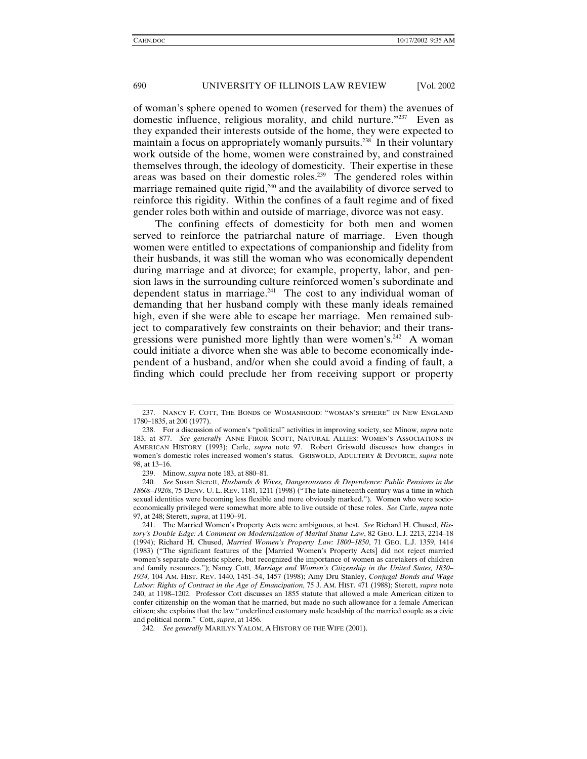of woman's sphere opened to women (reserved for them) the avenues of domestic influence, religious morality, and child nurture."237 Even as they expanded their interests outside of the home, they were expected to maintain a focus on appropriately womanly pursuits.<sup>238</sup> In their voluntary work outside of the home, women were constrained by, and constrained themselves through, the ideology of domesticity. Their expertise in these areas was based on their domestic roles.<sup>239</sup> The gendered roles within marriage remained quite rigid, $240$  and the availability of divorce served to reinforce this rigidity. Within the confines of a fault regime and of fixed gender roles both within and outside of marriage, divorce was not easy.

The confining effects of domesticity for both men and women served to reinforce the patriarchal nature of marriage. Even though women were entitled to expectations of companionship and fidelity from their husbands, it was still the woman who was economically dependent during marriage and at divorce; for example, property, labor, and pension laws in the surrounding culture reinforced women's subordinate and dependent status in marriage.<sup>241</sup> The cost to any individual woman of demanding that her husband comply with these manly ideals remained high, even if she were able to escape her marriage. Men remained subject to comparatively few constraints on their behavior; and their transgressions were punished more lightly than were women's.<sup>242</sup> A woman could initiate a divorce when she was able to become economically independent of a husband, and/or when she could avoid a finding of fault, a finding which could preclude her from receiving support or property

 <sup>237.</sup> NANCY F. COTT, THE BONDS OF WOMANHOOD: "WOMAN'S SPHERE" IN NEW ENGLAND 1780–1835, at 200 (1977).

 <sup>238.</sup> For a discussion of women's "political" activities in improving society, see Minow, *supra* note 183, at 877. *See generally* ANNE FIROR SCOTT, NATURAL ALLIES: WOMEN'S ASSOCIATIONS IN AMERICAN HISTORY (1993); Carle, *supra* note 97. Robert Griswold discusses how changes in women's domestic roles increased women's status. GRISWOLD, ADULTERY & DIVORCE, *supra* note 98, at 13–16.

 <sup>239.</sup> Minow, *supra* note 183, at 880–81.

<sup>240</sup>*. See* Susan Sterett, *Husbands & Wives, Dangerousness & Dependence: Public Pensions in the 1860s–1920s*, 75 DENV. U. L. REV. 1181, 1211 (1998) ("The late-nineteenth century was a time in which sexual identities were becoming less flexible and more obviously marked."). Women who were socioeconomically privileged were somewhat more able to live outside of these roles. *See* Carle, *supra* note 97, at 248; Sterett, *supra*, at 1190–91.

 <sup>241.</sup> The Married Women's Property Acts were ambiguous, at best. *See* Richard H. Chused, *History's Double Edge: A Comment on Modernization of Marital Status Law*, 82 GEO. L.J. 2213, 2214–18 (1994); Richard H. Chused, *Married Women's Property Law: 1800–1850*, 71 GEO. L.J. 1359, 1414 (1983) ("The significant features of the [Married Women's Property Acts] did not reject married women's separate domestic sphere, but recognized the importance of women as caretakers of children and family resources."); Nancy Cott, *Marriage and Women's Citizenship in the United States, 1830– 1934,* 104 AM. HIST. REV. 1440, 1451–54, 1457 (1998); Amy Dru Stanley, *Conjugal Bonds and Wage Labor: Rights of Contract in the Age of Emancipation*, 75 J. AM. HIST. 471 (1988); Sterett, *supra* note 240, at 1198–1202. Professor Cott discusses an 1855 statute that allowed a male American citizen to confer citizenship on the woman that he married, but made no such allowance for a female American citizen; she explains that the law "underlined customary male headship of the married couple as a civic and political norm." Cott, *supra*, at 1456.

<sup>242</sup>*. See generally* MARILYN YALOM, A HISTORY OF THE WIFE (2001).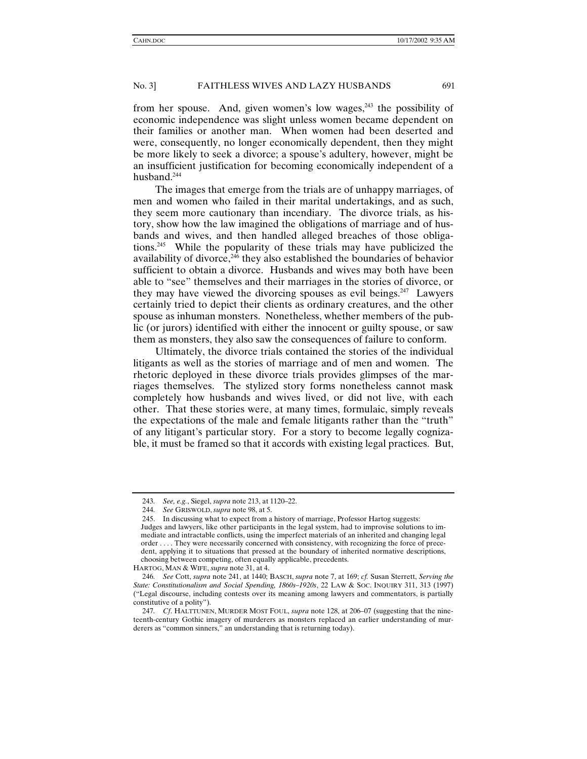from her spouse. And, given women's low wages, $243$  the possibility of economic independence was slight unless women became dependent on their families or another man. When women had been deserted and were, consequently, no longer economically dependent, then they might be more likely to seek a divorce; a spouse's adultery, however, might be an insufficient justification for becoming economically independent of a husband.<sup>244</sup>

The images that emerge from the trials are of unhappy marriages, of men and women who failed in their marital undertakings, and as such, they seem more cautionary than incendiary. The divorce trials, as history, show how the law imagined the obligations of marriage and of husbands and wives, and then handled alleged breaches of those obligations.245 While the popularity of these trials may have publicized the availability of divorce, $246$  they also established the boundaries of behavior sufficient to obtain a divorce. Husbands and wives may both have been able to "see" themselves and their marriages in the stories of divorce, or they may have viewed the divorcing spouses as evil beings.<sup>247</sup> Lawyers certainly tried to depict their clients as ordinary creatures, and the other spouse as inhuman monsters. Nonetheless, whether members of the public (or jurors) identified with either the innocent or guilty spouse, or saw them as monsters, they also saw the consequences of failure to conform.

Ultimately, the divorce trials contained the stories of the individual litigants as well as the stories of marriage and of men and women. The rhetoric deployed in these divorce trials provides glimpses of the marriages themselves. The stylized story forms nonetheless cannot mask completely how husbands and wives lived, or did not live, with each other. That these stories were, at many times, formulaic, simply reveals the expectations of the male and female litigants rather than the "truth" of any litigant's particular story. For a story to become legally cognizable, it must be framed so that it accords with existing legal practices. But,

<sup>243</sup>*. See, e.g.*, Siegel, *supra* note 213, at 1120–22.

<sup>244</sup>*. See* GRISWOLD,*supra* note 98, at 5.

 <sup>245.</sup> In discussing what to expect from a history of marriage, Professor Hartog suggests: Judges and lawyers, like other participants in the legal system, had to improvise solutions to immediate and intractable conflicts, using the imperfect materials of an inherited and changing legal order . . . . They were necessarily concerned with consistency, with recognizing the force of precedent, applying it to situations that pressed at the boundary of inherited normative descriptions, choosing between competing, often equally applicable, precedents.

HARTOG, MAN & WIFE, *supra* note 31, at 4.

<sup>246</sup>*. See* Cott, *supra* note 241, at 1440; BASCH, *supra* note 7, at 169; *cf.* Susan Sterrett, *Serving the State: Constitutionalism and Social Spending, 1860s–1920s*, 22 LAW & SOC. INQUIRY 311, 313 (1997) ("Legal discourse, including contests over its meaning among lawyers and commentators, is partially constitutive of a polity").

<sup>247</sup>*. Cf*. HALTTUNEN, MURDER MOST FOUL, *supra* note 128, at 206–07 (suggesting that the nineteenth-century Gothic imagery of murderers as monsters replaced an earlier understanding of murderers as "common sinners," an understanding that is returning today).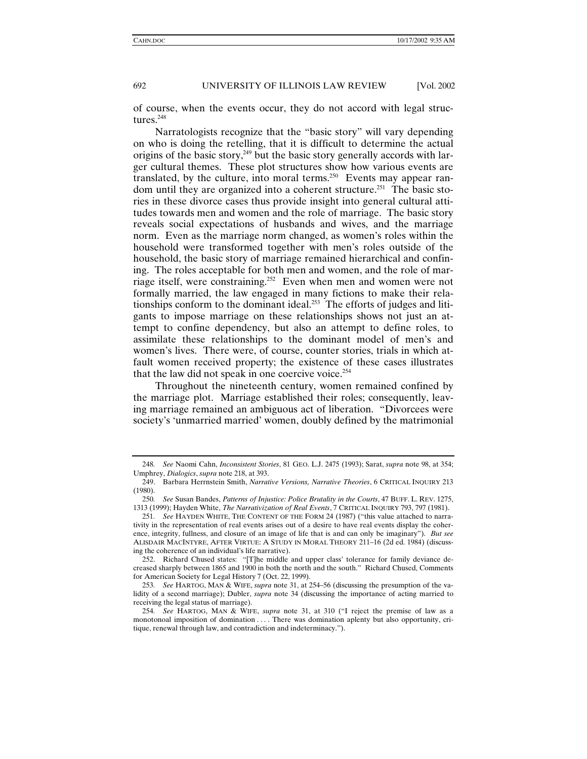of course, when the events occur, they do not accord with legal structures.248

Narratologists recognize that the "basic story" will vary depending on who is doing the retelling, that it is difficult to determine the actual origins of the basic story, $249$  but the basic story generally accords with larger cultural themes. These plot structures show how various events are translated, by the culture, into moral terms.<sup>250</sup> Events may appear random until they are organized into a coherent structure.<sup>251</sup> The basic stories in these divorce cases thus provide insight into general cultural attitudes towards men and women and the role of marriage. The basic story reveals social expectations of husbands and wives, and the marriage norm. Even as the marriage norm changed, as women's roles within the household were transformed together with men's roles outside of the household, the basic story of marriage remained hierarchical and confining. The roles acceptable for both men and women, and the role of marriage itself, were constraining.252 Even when men and women were not formally married, the law engaged in many fictions to make their relationships conform to the dominant ideal.<sup>253</sup> The efforts of judges and litigants to impose marriage on these relationships shows not just an attempt to confine dependency, but also an attempt to define roles, to assimilate these relationships to the dominant model of men's and women's lives. There were, of course, counter stories, trials in which atfault women received property; the existence of these cases illustrates that the law did not speak in one coercive voice.<sup>254</sup>

Throughout the nineteenth century, women remained confined by the marriage plot. Marriage established their roles; consequently, leaving marriage remained an ambiguous act of liberation. "Divorcees were society's 'unmarried married' women, doubly defined by the matrimonial

<sup>248</sup>*. See* Naomi Cahn, *Inconsistent Stories*, 81 GEO. L.J. 2475 (1993); Sarat, *supra* note 98, at 354; Umphrey, *Dialogics*, *supra* note 218, at 393.

 <sup>249.</sup> Barbara Herrnstein Smith, *Narrative Versions, Narrative Theories*, 6 CRITICAL INQUIRY 213 (1980).

<sup>250</sup>*. See* Susan Bandes, *Patterns of Injustice: Police Brutality in the Courts*, 47 BUFF. L. REV. 1275, 1313 (1999); Hayden White, *The Narrativization of Real Events*, 7 CRITICAL INQUIRY 793, 797 (1981).

<sup>251</sup>*. See* HAYDEN WHITE, THE CONTENT OF THE FORM 24 (1987) ("this value attached to narrativity in the representation of real events arises out of a desire to have real events display the coherence, integrity, fullness, and closure of an image of life that is and can only be imaginary"). *But see* ALISDAIR MACINTYRE, AFTER VIRTUE: A STUDY IN MORAL THEORY 211–16 (2d ed. 1984) (discussing the coherence of an individual's life narrative).

 <sup>252.</sup> Richard Chused states: "[T]he middle and upper class' tolerance for family deviance decreased sharply between 1865 and 1900 in both the north and the south." Richard Chused, Comments for American Society for Legal History 7 (Oct. 22, 1999).

<sup>253</sup>*. See* HARTOG, MAN & WIFE, *supra* note 31, at 254–56 (discussing the presumption of the validity of a second marriage); Dubler, *supra* note 34 (discussing the importance of acting married to receiving the legal status of marriage).

<sup>254</sup>*. See* HARTOG, MAN & WIFE, *supra* note 31, at 310 ("I reject the premise of law as a monotonoal imposition of domination . . . . There was domination aplenty but also opportunity, critique, renewal through law, and contradiction and indeterminacy.").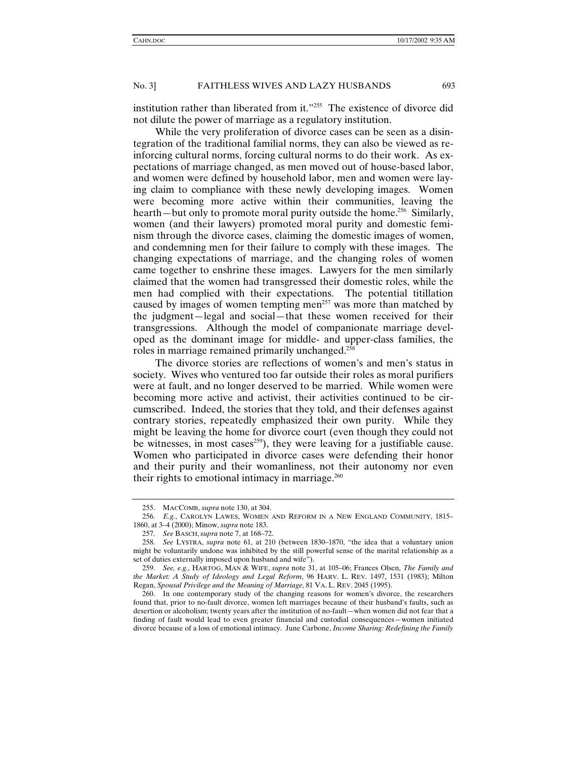institution rather than liberated from it."255 The existence of divorce did not dilute the power of marriage as a regulatory institution.

While the very proliferation of divorce cases can be seen as a disintegration of the traditional familial norms, they can also be viewed as reinforcing cultural norms, forcing cultural norms to do their work. As expectations of marriage changed, as men moved out of house-based labor, and women were defined by household labor, men and women were laying claim to compliance with these newly developing images. Women were becoming more active within their communities, leaving the hearth—but only to promote moral purity outside the home.<sup>256</sup> Similarly, women (and their lawyers) promoted moral purity and domestic feminism through the divorce cases, claiming the domestic images of women, and condemning men for their failure to comply with these images. The changing expectations of marriage, and the changing roles of women came together to enshrine these images. Lawyers for the men similarly claimed that the women had transgressed their domestic roles, while the men had complied with their expectations. The potential titillation caused by images of women tempting men<sup>257</sup> was more than matched by the judgment—legal and social—that these women received for their transgressions. Although the model of companionate marriage developed as the dominant image for middle- and upper-class families, the roles in marriage remained primarily unchanged.<sup>25</sup>

The divorce stories are reflections of women's and men's status in society. Wives who ventured too far outside their roles as moral purifiers were at fault, and no longer deserved to be married. While women were becoming more active and activist, their activities continued to be circumscribed. Indeed, the stories that they told, and their defenses against contrary stories, repeatedly emphasized their own purity. While they might be leaving the home for divorce court (even though they could not be witnesses, in most cases<sup>259</sup>), they were leaving for a justifiable cause. Women who participated in divorce cases were defending their honor and their purity and their womanliness, not their autonomy nor even their rights to emotional intimacy in marriage. $260$ 

 <sup>255.</sup> MACCOMB, *supra* note 130, at 304.

<sup>256</sup>*. E.g.*, CAROLYN LAWES, WOMEN AND REFORM IN A NEW ENGLAND COMMUNITY, 1815– 1860, at 3–4 (2000); Minow, *supra* note 183.

<sup>257</sup>*. See* BASCH,*supra* note 7, at 168–72.

<sup>258</sup>*. See* LYSTRA, *supra* note 61, at 210 (between 1830–1870, "the idea that a voluntary union might be voluntarily undone was inhibited by the still powerful sense of the marital relationship as a set of duties externally imposed upon husband and wife").

<sup>259</sup>*. See, e.g.*, HARTOG, MAN & WIFE, *supra* note 31, at 105–06; Frances Olsen, *The Family and the Market: A Study of Ideology and Legal Reform*, 96 HARV. L. REV. 1497, 1531 (1983); Milton Regan, *Spousal Privilege and the Meaning of Marriage*, 81 VA. L. REV. 2045 (1995).

 <sup>260.</sup> In one contemporary study of the changing reasons for women's divorce, the researchers found that, prior to no-fault divorce, women left marriages because of their husband's faults, such as desertion or alcoholism; twenty years after the institution of no-fault—when women did not fear that a finding of fault would lead to even greater financial and custodial consequences—women initiated divorce because of a loss of emotional intimacy. June Carbone, *Income Sharing: Redefining the Family*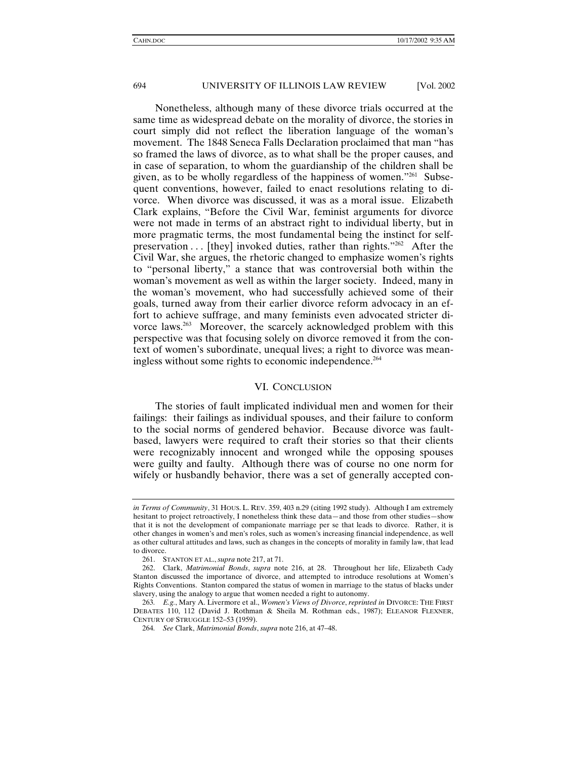Nonetheless, although many of these divorce trials occurred at the same time as widespread debate on the morality of divorce, the stories in court simply did not reflect the liberation language of the woman's movement. The 1848 Seneca Falls Declaration proclaimed that man "has so framed the laws of divorce, as to what shall be the proper causes, and in case of separation, to whom the guardianship of the children shall be given, as to be wholly regardless of the happiness of women."261 Subsequent conventions, however, failed to enact resolutions relating to divorce. When divorce was discussed, it was as a moral issue. Elizabeth Clark explains, "Before the Civil War, feminist arguments for divorce were not made in terms of an abstract right to individual liberty, but in more pragmatic terms, the most fundamental being the instinct for selfpreservation  $\dots$  [they] invoked duties, rather than rights."<sup>262</sup> After the Civil War, she argues, the rhetoric changed to emphasize women's rights to "personal liberty," a stance that was controversial both within the woman's movement as well as within the larger society. Indeed, many in the woman's movement, who had successfully achieved some of their goals, turned away from their earlier divorce reform advocacy in an effort to achieve suffrage, and many feminists even advocated stricter divorce laws.<sup>263</sup> Moreover, the scarcely acknowledged problem with this perspective was that focusing solely on divorce removed it from the context of women's subordinate, unequal lives; a right to divorce was meaningless without some rights to economic independence.<sup>264</sup>

#### VI. CONCLUSION

The stories of fault implicated individual men and women for their failings: their failings as individual spouses, and their failure to conform to the social norms of gendered behavior. Because divorce was faultbased, lawyers were required to craft their stories so that their clients were recognizably innocent and wronged while the opposing spouses were guilty and faulty. Although there was of course no one norm for wifely or husbandly behavior, there was a set of generally accepted con-

*in Terms of Community*, 31 HOUS. L. REV. 359, 403 n.29 (citing 1992 study). Although I am extremely hesitant to project retroactively, I nonetheless think these data—and those from other studies—show that it is not the development of companionate marriage per se that leads to divorce. Rather, it is other changes in women's and men's roles, such as women's increasing financial independence, as well as other cultural attitudes and laws, such as changes in the concepts of morality in family law, that lead to divorce.

 <sup>261.</sup> STANTON ET AL.,*supra* note 217, at 71.

 <sup>262.</sup> Clark, *Matrimonial Bonds*, *supra* note 216, at 28. Throughout her life, Elizabeth Cady Stanton discussed the importance of divorce, and attempted to introduce resolutions at Women's Rights Conventions. Stanton compared the status of women in marriage to the status of blacks under slavery, using the analogy to argue that women needed a right to autonomy.

<sup>263</sup>*. E.g.*, Mary A. Livermore et al., *Women's Views of Divorce*, *reprinted in* DIVORCE: THE FIRST DEBATES 110, 112 (David J. Rothman & Sheila M. Rothman eds., 1987); ELEANOR FLEXNER, CENTURY OF STRUGGLE 152–53 (1959).

<sup>264</sup>*. See* Clark, *Matrimonial Bonds*, *supra* note 216, at 47–48.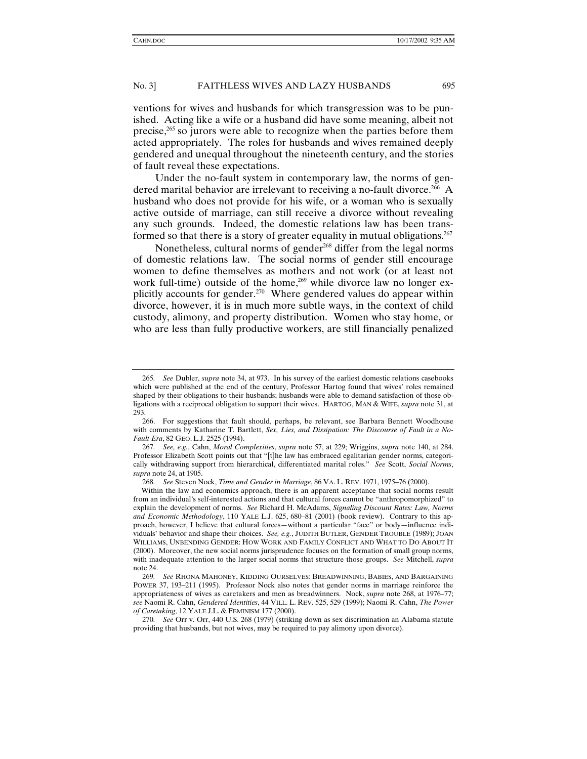ventions for wives and husbands for which transgression was to be punished. Acting like a wife or a husband did have some meaning, albeit not precise,265 so jurors were able to recognize when the parties before them acted appropriately. The roles for husbands and wives remained deeply gendered and unequal throughout the nineteenth century, and the stories of fault reveal these expectations.

Under the no-fault system in contemporary law, the norms of gendered marital behavior are irrelevant to receiving a no-fault divorce.<sup>266</sup> A husband who does not provide for his wife, or a woman who is sexually active outside of marriage, can still receive a divorce without revealing any such grounds. Indeed, the domestic relations law has been transformed so that there is a story of greater equality in mutual obligations.<sup>267</sup>

Nonetheless, cultural norms of gender<sup>268</sup> differ from the legal norms of domestic relations law. The social norms of gender still encourage women to define themselves as mothers and not work (or at least not work full-time) outside of the home,<sup>269</sup> while divorce law no longer explicitly accounts for gender.<sup>270</sup> Where gendered values do appear within divorce, however, it is in much more subtle ways, in the context of child custody, alimony, and property distribution. Women who stay home, or who are less than fully productive workers, are still financially penalized

<sup>265</sup>*. See* Dubler, *supra* note 34, at 973. In his survey of the earliest domestic relations casebooks which were published at the end of the century, Professor Hartog found that wives' roles remained shaped by their obligations to their husbands; husbands were able to demand satisfaction of those obligations with a reciprocal obligation to support their wives. HARTOG, MAN & WIFE, *supra* note 31, at 293.

 <sup>266.</sup> For suggestions that fault should, perhaps, be relevant, see Barbara Bennett Woodhouse with comments by Katharine T. Bartlett, *Sex, Lies, and Dissipation: The Discourse of Fault in a No-Fault Era*, 82 GEO. L.J. 2525 (1994).

<sup>267</sup>*. See, e.g.*, Cahn, *Moral Complexities*, *supra* note 57, at 229; Wriggins, *supra* note 140, at 284. Professor Elizabeth Scott points out that "[t]he law has embraced egalitarian gender norms, categorically withdrawing support from hierarchical, differentiated marital roles." *See* Scott, *Social Norms*, *supra* note 24, at 1905.

<sup>268</sup>*. See* Steven Nock, *Time and Gender in Marriage*, 86 VA. L. REV. 1971, 1975–76 (2000).

Within the law and economics approach, there is an apparent acceptance that social norms result from an individual's self-interested actions and that cultural forces cannot be "anthropomorphized" to explain the development of norms. *See* Richard H. McAdams, *Signaling Discount Rates: Law, Norms and Economic Methodology*, 110 YALE L.J. 625, 680–81 (2001) (book review). Contrary to this approach, however, I believe that cultural forces—without a particular "face" or body—influence individuals' behavior and shape their choices. *See, e.g.*, JUDITH BUTLER, GENDER TROUBLE (1989); JOAN WILLIAMS, UNBENDING GENDER: HOW WORK AND FAMILY CONFLICT AND WHAT TO DO ABOUT IT (2000). Moreover, the new social norms jurisprudence focuses on the formation of small group norms, with inadequate attention to the larger social norms that structure those groups. *See* Mitchell, *supra* note 24.

<sup>269</sup>*. See* RHONA MAHONEY, KIDDING OURSELVES: BREADWINNING, BABIES, AND BARGAINING POWER 37, 193–211 (1995). Professor Nock also notes that gender norms in marriage reinforce the appropriateness of wives as caretakers and men as breadwinners. Nock, *supra* note 268, at 1976–77; *see* Naomi R. Cahn, *Gendered Identities*, 44 VILL. L. REV. 525, 529 (1999); Naomi R. Cahn, *The Power of Caretaking*, 12 YALE J.L. & FEMINISM 177 (2000).

<sup>270</sup>*. See* Orr v. Orr, 440 U.S. 268 (1979) (striking down as sex discrimination an Alabama statute providing that husbands, but not wives, may be required to pay alimony upon divorce).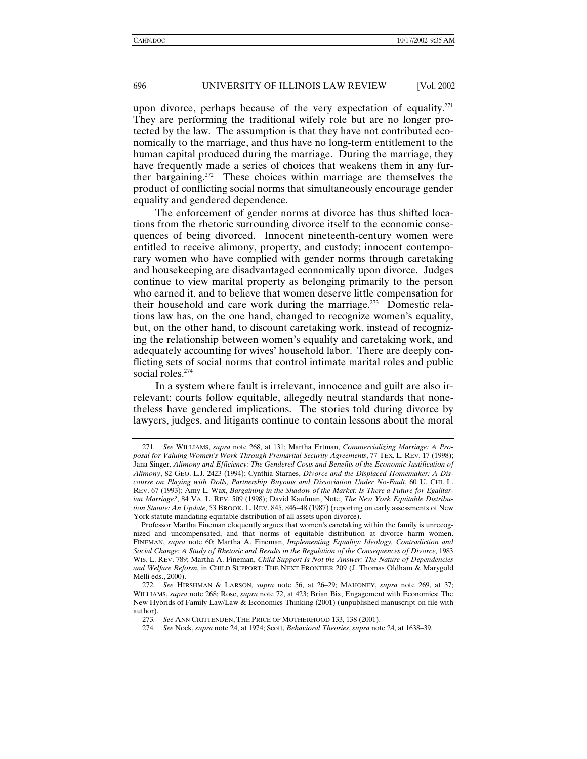upon divorce, perhaps because of the very expectation of equality.<sup>271</sup> They are performing the traditional wifely role but are no longer protected by the law. The assumption is that they have not contributed economically to the marriage, and thus have no long-term entitlement to the human capital produced during the marriage. During the marriage, they have frequently made a series of choices that weakens them in any further bargaining.272 These choices within marriage are themselves the product of conflicting social norms that simultaneously encourage gender equality and gendered dependence.

The enforcement of gender norms at divorce has thus shifted locations from the rhetoric surrounding divorce itself to the economic consequences of being divorced. Innocent nineteenth-century women were entitled to receive alimony, property, and custody; innocent contemporary women who have complied with gender norms through caretaking and housekeeping are disadvantaged economically upon divorce. Judges continue to view marital property as belonging primarily to the person who earned it, and to believe that women deserve little compensation for their household and care work during the marriage.<sup>273</sup> Domestic relations law has, on the one hand, changed to recognize women's equality, but, on the other hand, to discount caretaking work, instead of recognizing the relationship between women's equality and caretaking work, and adequately accounting for wives' household labor. There are deeply conflicting sets of social norms that control intimate marital roles and public social roles.<sup>274</sup>

In a system where fault is irrelevant, innocence and guilt are also irrelevant; courts follow equitable, allegedly neutral standards that nonetheless have gendered implications. The stories told during divorce by lawyers, judges, and litigants continue to contain lessons about the moral

<sup>271</sup>*. See* WILLIAMS, *supra* note 268, at 131; Martha Ertman, *Commercializing Marriage: A Proposal for Valuing Women's Work Through Premarital Security Agreements*, 77 TEX. L. REV. 17 (1998); Jana Singer, *Alimony and Efficiency: The Gendered Costs and Benefits of the Economic Justification of Alimony*, 82 GEO. L.J. 2423 (1994); Cynthia Starnes, *Divorce and the Displaced Homemaker: A Discourse on Playing with Dolls, Partnership Buyouts and Dissociation Under No-Fault*, 60 U. CHI. L. REV. 67 (1993); Amy L. Wax, *Bargaining in the Shadow of the Market: Is There a Future for Egalitarian Marriage?*, 84 VA. L. REV. 509 (1998); David Kaufman, Note, *The New York Equitable Distribution Statute: An Update*, 53 BROOK. L. REV. 845, 846–48 (1987) (reporting on early assessments of New York statute mandating equitable distribution of all assets upon divorce).

Professor Martha Fineman eloquently argues that women's caretaking within the family is unrecognized and uncompensated, and that norms of equitable distribution at divorce harm women. FINEMAN, *supra* note 60; Martha A. Fineman, *Implementing Equality: Ideology, Contradiction and Social Change: A Study of Rhetoric and Results in the Regulation of the Consequences of Divorce*, 1983 WIS. L. REV. 789; Martha A. Fineman, *Child Support Is Not the Answer: The Nature of Dependencies and Welfare Reform*, in CHILD SUPPORT: THE NEXT FRONTIER 209 (J. Thomas Oldham & Marygold Melli eds., 2000).

<sup>272</sup>*. See* HIRSHMAN & LARSON, *supra* note 56, at 26–29; MAHONEY, *supra* note 269, at 37; WILLIAMS, *supra* note 268; Rose, *supra* note 72, at 423; Brian Bix, Engagement with Economics: The New Hybrids of Family Law/Law & Economics Thinking (2001) (unpublished manuscript on file with author).

<sup>273</sup>*. See* ANN CRITTENDEN, THE PRICE OF MOTHERHOOD 133, 138 (2001).

<sup>274</sup>*. See* Nock, *supra* note 24, at 1974; Scott, *Behavioral Theories*, *supra* note 24, at 1638–39.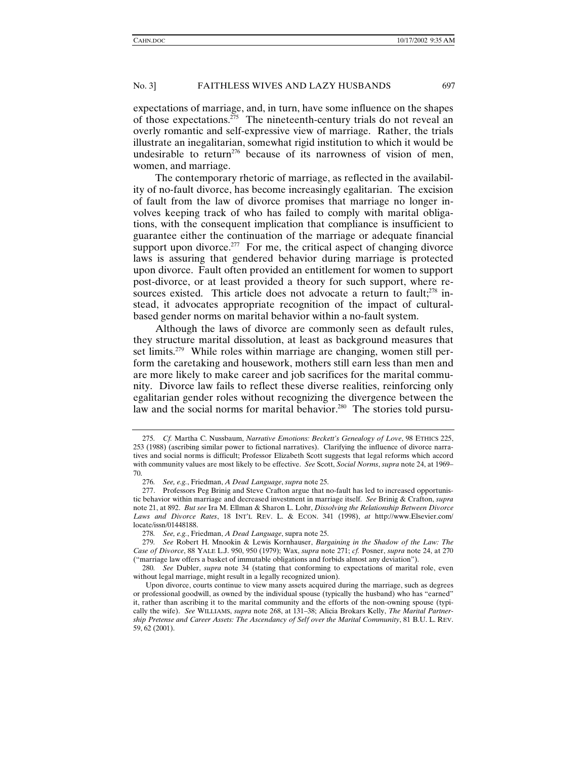expectations of marriage, and, in turn, have some influence on the shapes of those expectations.275 The nineteenth-century trials do not reveal an overly romantic and self-expressive view of marriage. Rather, the trials illustrate an inegalitarian, somewhat rigid institution to which it would be undesirable to return<sup>276</sup> because of its narrowness of vision of men, women, and marriage.

The contemporary rhetoric of marriage, as reflected in the availability of no-fault divorce, has become increasingly egalitarian. The excision of fault from the law of divorce promises that marriage no longer involves keeping track of who has failed to comply with marital obligations, with the consequent implication that compliance is insufficient to guarantee either the continuation of the marriage or adequate financial support upon divorce. $277$  For me, the critical aspect of changing divorce laws is assuring that gendered behavior during marriage is protected upon divorce. Fault often provided an entitlement for women to support post-divorce, or at least provided a theory for such support, where resources existed. This article does not advocate a return to fault;<sup>278</sup> instead, it advocates appropriate recognition of the impact of culturalbased gender norms on marital behavior within a no-fault system.

Although the laws of divorce are commonly seen as default rules, they structure marital dissolution, at least as background measures that set limits.<sup>279</sup> While roles within marriage are changing, women still perform the caretaking and housework, mothers still earn less than men and are more likely to make career and job sacrifices for the marital community. Divorce law fails to reflect these diverse realities, reinforcing only egalitarian gender roles without recognizing the divergence between the law and the social norms for marital behavior.<sup>280</sup> The stories told pursu-

<sup>275</sup>*. Cf.* Martha C. Nussbaum, *Narrative Emotions: Beckett's Genealogy of Love*, 98 ETHICS 225, 253 (1988) (ascribing similar power to fictional narratives). Clarifying the influence of divorce narratives and social norms is difficult; Professor Elizabeth Scott suggests that legal reforms which accord with community values are most likely to be effective. *See* Scott, *Social Norms*, *supra* note 24, at 1969– 70.

<sup>276</sup>*. See, e.g.*, Friedman, *A Dead Language*, *supra* note 25.

 <sup>277.</sup> Professors Peg Brinig and Steve Crafton argue that no-fault has led to increased opportunistic behavior within marriage and decreased investment in marriage itself. *See* Brinig & Crafton, *supra* note 21, at 892. *But see* Ira M. Ellman & Sharon L. Lohr, *Dissolving the Relationship Between Divorce Laws and Divorce Rates*, 18 INT'L REV. L. & ECON. 341 (1998), *at* http://www.Elsevier.com/ locate/issn/01448188.

<sup>278</sup>*. See, e.g.*, Friedman, *A Dead Language*, supra note 25.

<sup>279</sup>*. See* Robert H. Mnookin & Lewis Kornhauser, *Bargaining in the Shadow of the Law: The Case of Divorce*, 88 YALE L.J. 950, 950 (1979); Wax, *supra* note 271; *cf.* Posner, *supra* note 24, at 270 ("marriage law offers a basket of immutable obligations and forbids almost any deviation").

<sup>280</sup>*. See* Dubler, *supra* note 34 (stating that conforming to expectations of marital role, even without legal marriage, might result in a legally recognized union).

Upon divorce, courts continue to view many assets acquired during the marriage, such as degrees or professional goodwill, as owned by the individual spouse (typically the husband) who has "earned" it, rather than ascribing it to the marital community and the efforts of the non-owning spouse (typically the wife). *See* WILLIAMS, *supra* note 268, at 131–38; Alicia Brokars Kelly, *The Marital Partnership Pretense and Career Assets: The Ascendancy of Self over the Marital Community*, 81 B.U. L. REV. 59, 62 (2001).